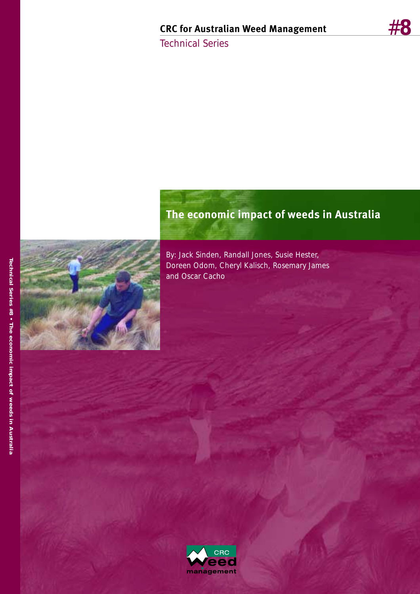#**8**

Technical Series



By: Jack Sinden, Randall Jones, Susie Hester, Doreen Odom, Cheryl Kalisch, Rosemary James

**The economic impact of weeds in Australia**

 $CRC$ ed

management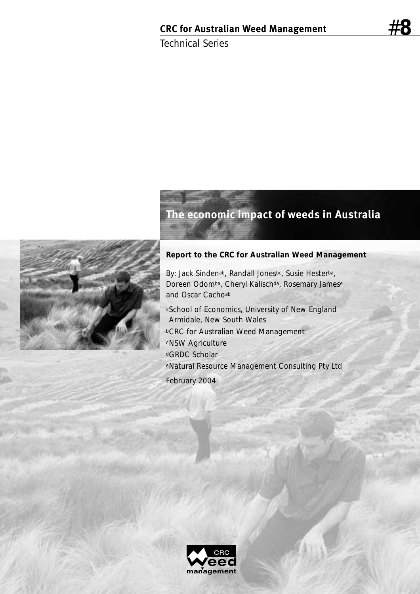Technical Series

# **The economic impact of weeds in Australia**

#### **Report to the CRC for Australian Weed Management**

By: Jack Sindenab, Randall Jonesbc, Susie Hesterba, Doreen Odomba, Cheryl Kalischda, Rosemary Jamese and Oscar Cachoab

aSchool of Economics, University of New England Armidale, New South Wales bCRC for Australian Weed Management cNSW Agriculture dGRDC Scholar eNatural Resource Management Consulting Pty Ltd February 2004



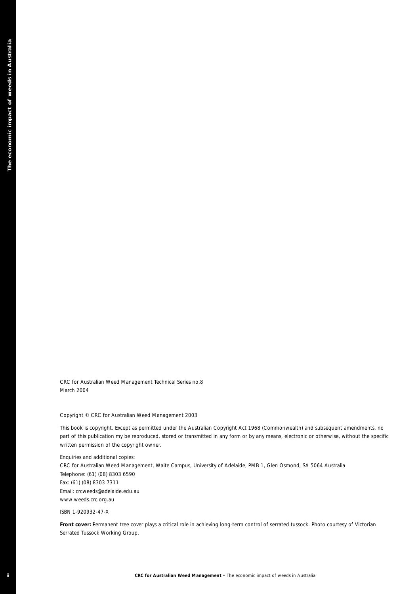CRC for Australian Weed Management Technical Series no.8 March 2004

Copyright © CRC for Australian Weed Management 2003

This book is copyright. Except as permitted under the Australian Copyright Act 1968 (Commonwealth) and subsequent amendments, no part of this publication my be reproduced, stored or transmitted in any form or by any means, electronic or otherwise, without the specific written permission of the copyright owner.

**CRC for Australian Weed Management • The economic information of Weeds in Australian Weeds in Australian Weeds in Australian Weeds in Australian Weeds in Australian Weeds in Australian The economic impact of weeds in the** Enquiries and additional copies: CRC for Australian Weed Management, Waite Campus, University of Adelaide, PMB 1, Glen Osmond, SA 5064 Australia Telephone: (61) (08) 8303 6590 Fax: (61) (08) 8303 7311 Email: crcweeds@adelaide.edu.au www.weeds.crc.org.au

ISBN 1-920932-47-X

**Front cover:** *Permanent tree cover plays a critical role in achieving long-term control of serrated tussock.* Photo courtesy of Victorian Serrated Tussock Working Group.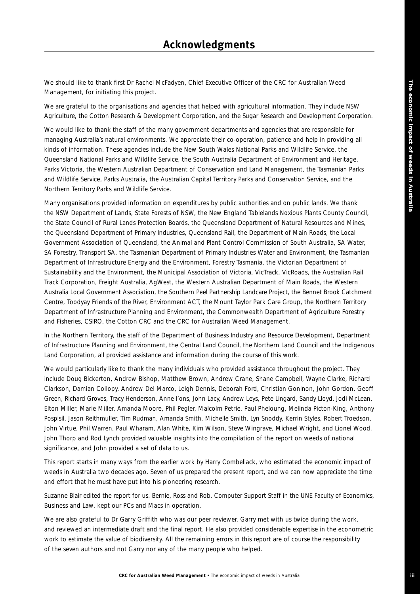We should like to thank first Dr Rachel McFadyen, Chief Executive Officer of the CRC for Australian Weed Management, for initiating this project.

We are grateful to the organisations and agencies that helped with agricultural information. They include NSW Agriculture, the Cotton Research & Development Corporation, and the Sugar Research and Development Corporation.

We would like to thank the staff of the many government departments and agencies that are responsible for managing Australia's natural environments. We appreciate their co-operation, patience and help in providing all kinds of information. These agencies include the New South Wales National Parks and Wildlife Service, the Queensland National Parks and Wildlife Service, the South Australia Department of Environment and Heritage, Parks Victoria, the Western Australian Department of Conservation and Land Management, the Tasmanian Parks and Wildlife Service, Parks Australia, the Australian Capital Territory Parks and Conservation Service, and the Northern Territory Parks and Wildlife Service.

Many organisations provided information on expenditures by public authorities and on public lands. We thank the NSW Department of Lands, State Forests of NSW, the New England Tablelands Noxious Plants County Council, the State Council of Rural Lands Protection Boards, the Queensland Department of Natural Resources and Mines, the Queensland Department of Primary Industries, Queensland Rail, the Department of Main Roads, the Local Government Association of Queensland, the Animal and Plant Control Commission of South Australia, SA Water, SA Forestry, Transport SA, the Tasmanian Department of Primary Industries Water and Environment, the Tasmanian Department of Infrastructure Energy and the Environment, Forestry Tasmania, the Victorian Department of Sustainability and the Environment, the Municipal Association of Victoria, VicTrack, VicRoads, the Australian Rail Track Corporation, Freight Australia, AgWest, the Western Australian Department of Main Roads, the Western Australia Local Government Association, the Southern Peel Partnership Landcare Project, the Bennet Brook Catchment Centre, Toodyay Friends of the River, Environment ACT, the Mount Taylor Park Care Group, the Northern Territory Department of Infrastructure Planning and Environment, the Commonwealth Department of Agriculture Forestry and Fisheries, CSIRO, the Cotton CRC and the CRC for Australian Weed Management.

In the Northern Territory, the staff of the Department of Business Industry and Resource Development, Department of Infrastructure Planning and Environment, the Central Land Council, the Northern Land Council and the Indigenous Land Corporation, all provided assistance and information during the course of this work.

We would particularly like to thank the many individuals who provided assistance throughout the project. They include Doug Bickerton, Andrew Bishop, Matthew Brown, Andrew Crane, Shane Campbell, Wayne Clarke, Richard Clarkson, Damian Collopy, Andrew Del Marco, Leigh Dennis, Deborah Ford, Christian Goninon, John Gordon, Geoff Green, Richard Groves, Tracy Henderson, Anne I'ons, John Lacy, Andrew Leys, Pete Lingard, Sandy Lloyd, Jodi McLean, Elton Miller, Marie Miller, Amanda Moore, Phil Pegler, Malcolm Petrie, Paul Pheloung, Melinda Picton-King, Anthony Pospisil, Jason Reithmuller, Tim Rudman, Amanda Smith, Michelle Smith, Lyn Snoddy, Kerrin Styles, Robert Troedson, John Virtue, Phil Warren, Paul Wharam, Alan White, Kim Wilson, Steve Wingrave, Michael Wright, and Lionel Wood. John Thorp and Rod Lynch provided valuable insights into the compilation of the report on weeds of national significance, and John provided a set of data to us.

This report starts in many ways from the earlier work by Harry Combellack, who estimated the economic impact of weeds in Australia two decades ago. Seven of us prepared the present report, and we can now appreciate the time and effort that he must have put into his pioneering research.

Suzanne Blair edited the report for us. Bernie, Ross and Rob, Computer Support Staff in the UNE Faculty of Economics, Business and Law, kept our PCs and Macs in operation.

We are also grateful to Dr Garry Griffith who was our peer reviewer. Garry met with us twice during the work, and reviewed an intermediate draft and the final report. He also provided considerable expertise in the econometric work to estimate the value of biodiversity. All the remaining errors in this report are of course the responsibility of the seven authors and not Garry nor any of the many people who helped.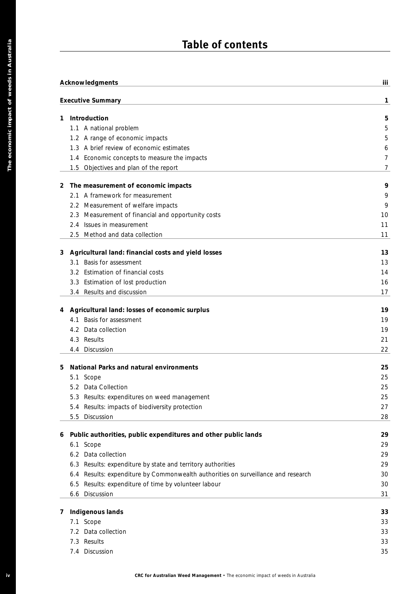# **Table of contents**

|              | Acknowledgments                                                                             |
|--------------|---------------------------------------------------------------------------------------------|
|              | <b>Executive Summary</b>                                                                    |
| 1            | Introduction                                                                                |
|              | 1.1 A national problem                                                                      |
|              | 1.2 A range of economic impacts                                                             |
|              | 1.3 A brief review of economic estimates                                                    |
|              | 1.4 Economic concepts to measure the impacts                                                |
|              | 1.5 Objectives and plan of the report                                                       |
| $\mathbf{2}$ | The measurement of economic impacts                                                         |
|              | 2.1 A framework for measurement                                                             |
|              | 2.2 Measurement of welfare impacts                                                          |
|              | 2.3 Measurement of financial and opportunity costs                                          |
|              | 2.4 Issues in measurement                                                                   |
|              | 2.5 Method and data collection                                                              |
| 3            | Agricultural land: financial costs and yield losses                                         |
|              | Basis for assessment<br>3.1                                                                 |
|              | 3.2 Estimation of financial costs                                                           |
|              | 3.3 Estimation of lost production                                                           |
|              | 3.4 Results and discussion                                                                  |
| 4            | Agricultural land: losses of economic surplus                                               |
|              | Basis for assessment<br>4.1                                                                 |
|              | 4.2 Data collection                                                                         |
|              | 4.3 Results                                                                                 |
|              | 4.4 Discussion                                                                              |
| 5            | National Parks and natural environments                                                     |
|              | Scope<br>5.1                                                                                |
|              | 5.2 Data Collection                                                                         |
|              | 5.3 Results: expenditures on weed management                                                |
|              | Results: impacts of biodiversity protection<br>5.4                                          |
|              | 5.5 Discussion                                                                              |
| 6            | Public authorities, public expenditures and other public lands                              |
|              | Scope<br>6.1                                                                                |
|              | 6.2 Data collection                                                                         |
|              | 6.3 Results: expenditure by state and territory authorities                                 |
|              | Results: expenditure by Commonwealth authorities on surveillance and research<br>6.4<br>6.5 |
|              | Results: expenditure of time by volunteer labour<br>6.6 Discussion                          |
|              |                                                                                             |
| 7            | Indigenous lands<br>7.1 Scope                                                               |
|              | 7.2 Data collection                                                                         |
|              | 7.3 Results                                                                                 |
|              | 7.4 Discussion                                                                              |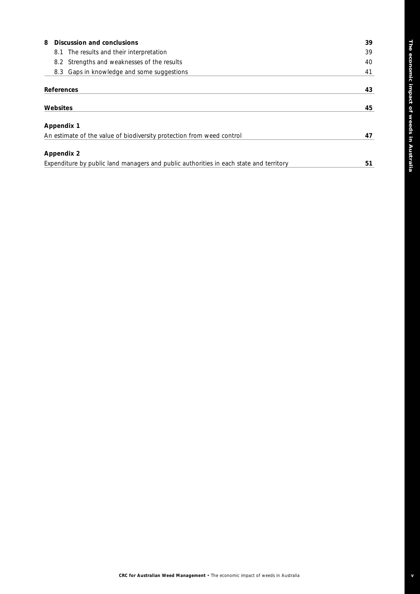| Discussion and conclusions<br>8                                                        | 39 |
|----------------------------------------------------------------------------------------|----|
| 8.1 The results and their interpretation                                               | 39 |
| 8.2 Strengths and weaknesses of the results                                            | 40 |
| 8.3 Gaps in knowledge and some suggestions                                             | 41 |
| <b>References</b>                                                                      | 43 |
| Websites                                                                               | 45 |
| <b>Appendix 1</b>                                                                      |    |
| An estimate of the value of biodiversity protection from weed control                  | 47 |
| <b>Appendix 2</b>                                                                      |    |
| Expenditure by public land managers and public authorities in each state and territory | 51 |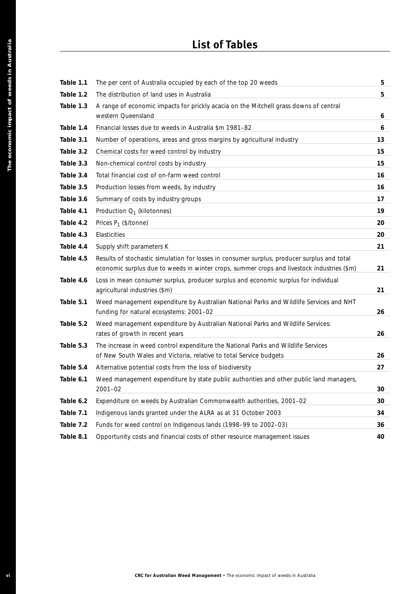# **List of Tables**

| Table 1.1<br>Table 1.2<br>Table 1.3 | The per cent of Australia occupied by each of the top 20 weeds<br>The distribution of land uses in Australia                                                                              |
|-------------------------------------|-------------------------------------------------------------------------------------------------------------------------------------------------------------------------------------------|
|                                     |                                                                                                                                                                                           |
|                                     |                                                                                                                                                                                           |
|                                     | A range of economic impacts for prickly acacia on the Mitchell grass downs of central<br>western Queensland                                                                               |
| Table 1.4                           | Financial losses due to weeds in Australia \$m 1981-82                                                                                                                                    |
| Table 3.1                           | Number of operations, areas and gross margins by agricultural industry                                                                                                                    |
| Table 3.2                           | Chemical costs for weed control by industry                                                                                                                                               |
| Table 3.3                           | Non-chemical control costs by industry                                                                                                                                                    |
| Table 3.4                           | Total financial cost of on-farm weed control                                                                                                                                              |
| Table 3.5                           | Production losses from weeds, by industry                                                                                                                                                 |
| Table 3.6                           | Summary of costs by industry groups                                                                                                                                                       |
| Table 4.1                           | Production $Q_1$ (kilotonnes)                                                                                                                                                             |
| Table 4.2                           | Prices $P_1$ (\$/tonne)                                                                                                                                                                   |
| Table 4.3                           | Elasticities                                                                                                                                                                              |
| Table 4.4                           | Supply shift parameters K                                                                                                                                                                 |
| Table 4.5                           | Results of stochastic simulation for losses in consumer surplus, producer surplus and total<br>economic surplus due to weeds in winter crops, summer crops and livestock industries (\$m) |
| Table 4.6                           | Loss in mean consumer surplus, producer surplus and economic surplus for individual<br>agricultural industries (\$m)                                                                      |
| Table 5.1                           | Weed management expenditure by Australian National Parks and Wildlife Services and NHT<br>funding for natural ecosystems: 2001-02                                                         |
| Table 5.2                           | Weed management expenditure by Australian National Parks and Wildlife Services:<br>rates of growth in recent years                                                                        |
| Table 5.3                           | The increase in weed control expenditure the National Parks and Wildlife Services<br>of New South Wales and Victoria, relative to total Service budgets                                   |
| Table 5.4                           | Alternative potential costs from the loss of biodiversity                                                                                                                                 |
| Table 6.1                           | Weed management expenditure by state public authorities and other public land managers,<br>2001-02                                                                                        |
| Table 6.2                           | Expenditure on weeds by Australian Commonwealth authorities, 2001-02                                                                                                                      |
| Table 7.1                           | Indigenous lands granted under the ALRA as at 31 October 2003                                                                                                                             |
| Table 7.2                           | Funds for weed control on Indigenous lands (1998-99 to 2002-03)                                                                                                                           |
| Table 8.1                           | Opportunity costs and financial costs of other resource management issues                                                                                                                 |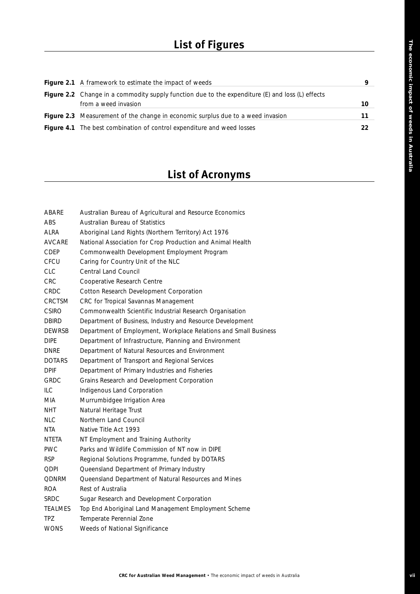# **List of Figures**

| <b>Figure 2.1</b> A framework to estimate the impact of weeds                                               | 9   |
|-------------------------------------------------------------------------------------------------------------|-----|
| <b>Figure 2.2</b> Change in a commodity supply function due to the expenditure $(E)$ and loss $(L)$ effects |     |
| from a weed invasion                                                                                        | 10. |
| <b>Figure 2.3</b> Measurement of the change in economic surplus due to a weed invasion                      | 11  |
| <b>Figure 4.1</b> The best combination of control expenditure and weed losses                               | 22  |

# **List of Acronyms**

| ABARE         | Australian Bureau of Agricultural and Resource Economics         |
|---------------|------------------------------------------------------------------|
| ABS           | Australian Bureau of Statistics                                  |
| ALRA          | Aboriginal Land Rights (Northern Territory) Act 1976             |
| <b>AVCARE</b> | National Association for Crop Production and Animal Health       |
| CDEP          | Commonwealth Development Employment Program                      |
| CFCU          | Caring for Country Unit of the NLC                               |
| <b>CLC</b>    | <b>Central Land Council</b>                                      |
| CRC           | Cooperative Research Centre                                      |
| CRDC          | Cotton Research Development Corporation                          |
| <b>CRCTSM</b> | CRC for Tropical Savannas Management                             |
| <b>CSIRO</b>  | Commonwealth Scientific Industrial Research Organisation         |
| <b>DBIRD</b>  | Department of Business, Industry and Resource Development        |
| <b>DEWRSB</b> | Department of Employment, Workplace Relations and Small Business |
| <b>DIPE</b>   | Department of Infrastructure, Planning and Environment           |
| DNRE          | Department of Natural Resources and Environment                  |
| <b>DOTARS</b> | Department of Transport and Regional Services                    |
| <b>DPIF</b>   | Department of Primary Industries and Fisheries                   |
| GRDC          | Grains Research and Development Corporation                      |
| ILC           | Indigenous Land Corporation                                      |
| MIA.          | Murrumbidgee Irrigation Area                                     |
| <b>NHT</b>    | Natural Heritage Trust                                           |
| <b>NLC</b>    | Northern Land Council                                            |
| NTA           | Native Title Act 1993                                            |
| NTETA         | NT Employment and Training Authority                             |
| PWC           | Parks and Wildlife Commission of NT now in DIPE                  |
| RSP.          | Regional Solutions Programme, funded by DOTARS                   |
| <b>QDPI</b>   | Queensland Department of Primary Industry                        |
| QDNRM         | Queensland Department of Natural Resources and Mines             |
| <b>ROA</b>    | Rest of Australia                                                |
| SRDC          | Sugar Research and Development Corporation                       |
| TEALMES       | Top End Aboriginal Land Management Employment Scheme             |
| TPZ.          | Temperate Perennial Zone                                         |
| WONS          | Weeds of National Significance                                   |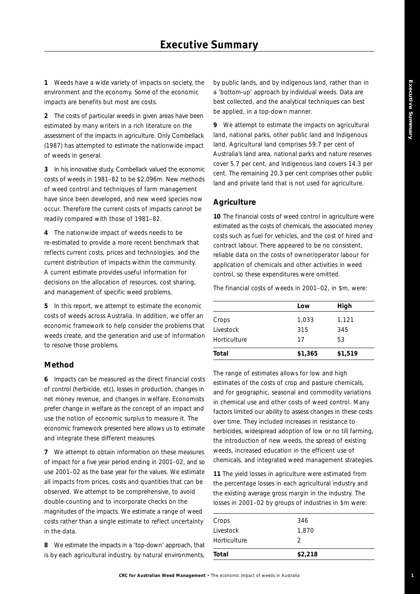**1**

**1** Weeds have a wide variety of impacts on society, the environment and the economy. Some of the economic impacts are benefits but most are costs.

**2** The costs of particular weeds in given areas have been estimated by many writers in a rich literature on the assessment of the impacts in agriculture. Only Combellack (1987) has attempted to estimate the nationwide impact of weeds in general.

**3** In his innovative study, Combellack valued the economic costs of weeds in 1981–82 to be \$2,096m. New methods of weed control and techniques of farm management have since been developed, and new weed species now occur. Therefore the current costs of impacts cannot be readily compared with those of 1981–82.

**4** The nationwide impact of weeds needs to be re-estimated to provide a more recent benchmark that reflects current costs, prices and technologies, and the current distribution of impacts within the community. A current estimate provides useful information for decisions on the allocation of resources, cost sharing, and management of specific weed problems.

**5** In this report, we attempt to estimate the economic costs of weeds across Australia. In addition, we offer an economic framework to help consider the problems that weeds create, and the generation and use of information to resolve those problems.

#### **Method**

**6** Impacts can be measured as the direct financial costs of control (herbicide, etc), losses in production, changes in net money revenue, and changes in welfare. Economists prefer change in welfare as the concept of an impact and use the notion of economic surplus to measure it. The economic framework presented here allows us to estimate and integrate these different measures.

**7** We attempt to obtain information on these measures of impact for a five year period ending in 2001–02, and so use 2001–02 as the base year for the values. We estimate all impacts from prices, costs and quantities that can be observed. We attempt to be comprehensive, to avoid double-counting and to incorporate checks on the magnitudes of the impacts. We estimate a range of weed costs rather than a single estimate to reflect uncertainty in the data.

**8** We estimate the impacts in a 'top-down' approach, that is by each agricultural industry, by natural environments, by public lands, and by indigenous land, rather than in a 'bottom-up' approach by individual weeds. Data are best collected, and the analytical techniques can best be applied, in a top-down manner.

**9** We attempt to estimate the impacts on agricultural land, national parks, other public land and Indigenous land. Agricultural land comprises 59.7 per cent of Australia's land area, national parks and nature reserves cover 5.7 per cent, and Indigenous land covers 14.3 per cent. The remaining 20.3 per cent comprises other public land and private land that is not used for agriculture.

#### **Agriculture**

**10** The financial costs of weed control in agriculture were estimated as the costs of chemicals, the associated money costs such as fuel for vehicles, and the cost of hired and contract labour. There appeared to be no consistent, reliable data on the costs of owner/operator labour for application of chemicals and other activities in weed control, so these expenditures were omitted.

The financial costs of weeds in 2001–02, in \$m, were:

|              | Low     | High    |
|--------------|---------|---------|
| Crops        | 1,033   | 1,121   |
| Livestock    | 315     | 345     |
| Horticulture | 17      | 53      |
| Total        | \$1,365 | \$1,519 |

The range of estimates allows for low and high estimates of the costs of crop and pasture chemicals, and for geographic, seasonal and commodity variations in chemical use and other costs of weed control. Many factors limited our ability to assess changes in these costs over time. They included increases in resistance to herbicides, widespread adoption of low or no till farming, the introduction of new weeds, the spread of existing weeds, increased education in the efficient use of chemicals, and integrated weed management strategies.

**11** The yield losses in agriculture were estimated from the percentage losses in each agricultural industry and the existing average gross margin in the industry. The losses in 2001–02 by groups of industries in \$m were:

| 2     |
|-------|
| 1,870 |
| 346   |
|       |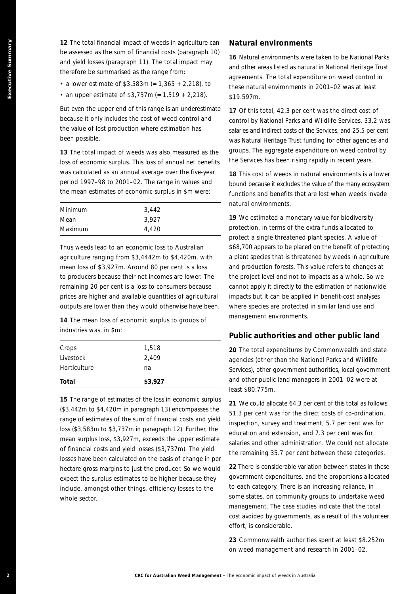**12** The total financial impact of weeds in agriculture can be assessed as the sum of financial costs (paragraph 10) and yield losses (paragraph 11). The total impact may therefore be summarised as the range from:

- a lower estimate of \$3,583m (= 1,365 + 2,218), to
- an upper estimate of  $$3,737m (= 1,519 + 2,218)$ .

But even the upper end of this range is an underestimate because it only includes the cost of weed control and the value of lost production where estimation has been possible.

**13** The total impact of weeds was also measured as the loss of economic surplus. This loss of annual net benefits was calculated as an annual average over the five-year period 1997–98 to 2001–02. The range in values and the mean estimates of economic surplus in \$m were:

| Minimum | 3.442 |
|---------|-------|
| Mean    | 3.927 |
| Maximum | 4,420 |

Thus weeds lead to an economic loss to Australian agriculture ranging from \$3,4442m to \$4,420m, with mean loss of \$3,927m. Around 80 per cent is a loss to producers because their net incomes are lower. The remaining 20 per cent is a loss to consumers because prices are higher and available quantities of agricultural outputs are lower than they would otherwise have been.

**14** The mean loss of economic surplus to groups of industries was, in \$m:

| Total        | \$3,927 |  |
|--------------|---------|--|
| Horticulture | na      |  |
| Livestock    | 2,409   |  |
| Crops        | 1,518   |  |

**2 Executive CRC for Australia Properties CRC for Australia CRC for Australia CRC for Australia CRC for Australia CRC for Australia CRC for Australia CRC for Australia CRC for Australia CRC for Australia CRC for Australi 15** The range of estimates of the loss in economic surplus (\$3,442m to \$4,420m in paragraph 13) encompasses the range of estimates of the sum of financial costs and yield loss (\$3,583m to \$3,737m in paragraph 12). Further, the mean surplus loss, \$3,927m, exceeds the upper estimate of financial costs and yield losses (\$3,737m). The yield losses have been calculated on the basis of change in per hectare gross margins to just the producer. So we would expect the surplus estimates to be higher because they include, amongst other things, efficiency losses to the whole sector.

#### **Natural environments**

**16** Natural environments were taken to be National Parks and other areas listed as natural in National Heritage Trust agreements. The total expenditure on weed control in these natural environments in 2001–02 was at least \$19.597m.

**17** Of this total, 42.3 per cent was the direct cost of control by National Parks and Wildlife Services, 33.2 was salaries and indirect costs of the Services, and 25.5 per cent was Natural Heritage Trust funding for other agencies and groups. The aggregate expenditure on weed control by the Services has been rising rapidly in recent years.

**18** This cost of weeds in natural environments is a lower bound because it excludes the value of the many ecosystem functions and benefits that are lost when weeds invade natural environments.

**19** We estimated a monetary value for biodiversity protection, in terms of the extra funds allocated to protect a single threatened plant species. A value of \$68,700 appears to be placed on the benefit of protecting a plant species that is threatened by weeds in agriculture and production forests. This value refers to changes at the project level and not to impacts as a whole. So we cannot apply it directly to the estimation of nationwide impacts but it can be applied in benefit-cost analyses where species are protected in similar land use and management environments.

#### **Public authorities and other public land**

**20** The total expenditures by Commonwealth and state agencies (other than the National Parks and Wildlife Services), other government authorities, local government and other public land managers in 2001–02 were at least \$80.775m.

**21** We could allocate 64.3 per cent of this total as follows: 51.3 per cent was for the direct costs of co-ordination, inspection, survey and treatment, 5.7 per cent was for education and extension, and 7.3 per cent was for salaries and other administration. We could not allocate the remaining 35.7 per cent between these categories.

**22** There is considerable variation between states in these government expenditures, and the proportions allocated to each category. There is an increasing reliance, in some states, on community groups to undertake weed management. The case studies indicate that the total cost avoided by governments, as a result of this volunteer effort, is considerable.

**23** Commonwealth authorities spent at least \$8.252m on weed management and research in 2001–02.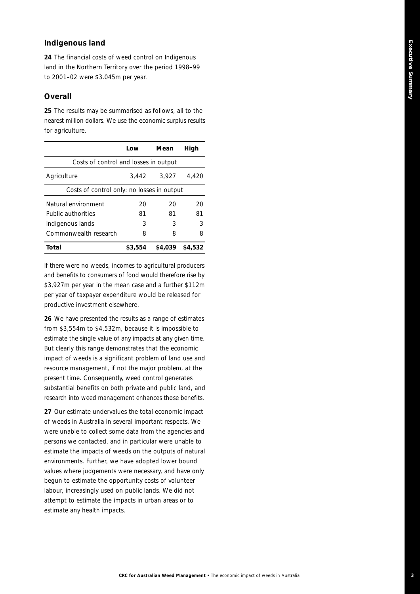# Executive Summary **Executive Summary**

## **Indigenous land**

**24** The financial costs of weed control on Indigenous land in the Northern Territory over the period 1998–99 to 2001–02 were \$3.045m per year.

## **Overall**

**25** The results may be summarised as follows, all to the nearest million dollars. We use the economic surplus results for agriculture.

|                                            | Low     | Mean    | High    |  |
|--------------------------------------------|---------|---------|---------|--|
| Costs of control and losses in output      |         |         |         |  |
| Agriculture                                | 3,442   | 3,927   | 4,420   |  |
| Costs of control only: no losses in output |         |         |         |  |
| Natural environment                        | 20      | 20      | 20      |  |
| Public authorities                         | 81      | 81      | 81      |  |
| Indigenous lands                           | 3       | 3       | 3       |  |
| Commonwealth research                      | 8       | 8       | 8       |  |
| Total                                      | \$3,554 | \$4,039 | \$4,532 |  |

If there were no weeds, incomes to agricultural producers and benefits to consumers of food would therefore rise by \$3,927m per year in the mean case and a further \$112m per year of taxpayer expenditure would be released for productive investment elsewhere.

**26** We have presented the results as a range of estimates from \$3,554m to \$4,532m, because it is impossible to estimate the single value of any impacts at any given time. But clearly this range demonstrates that the economic impact of weeds is a significant problem of land use and resource management, if not the major problem, at the present time. Consequently, weed control generates substantial benefits on both private and public land, and research into weed management enhances those benefits.

**27** Our estimate undervalues the total economic impact of weeds in Australia in several important respects. We were unable to collect some data from the agencies and persons we contacted, and in particular were unable to estimate the impacts of weeds on the outputs of natural environments. Further, we have adopted lower bound values where judgements were necessary, and have only begun to estimate the opportunity costs of volunteer labour, increasingly used on public lands. We did not attempt to estimate the impacts in urban areas or to estimate any health impacts.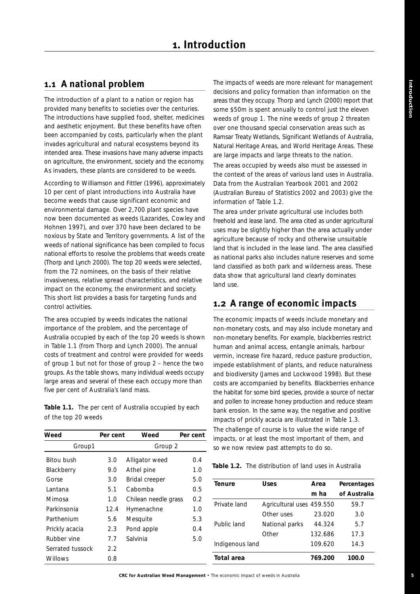# **1.1 A national problem**

The introduction of a plant to a nation or region has provided many benefits to societies over the centuries. The introductions have supplied food, shelter, medicines and aesthetic enjoyment. But these benefits have often been accompanied by costs, particularly when the plant invades agricultural and natural ecosystems beyond its intended area. These invasions have many adverse impacts on agriculture, the environment, society and the economy. As invaders, these plants are considered to be weeds.

According to Williamson and Fittler (1996), approximately 10 per cent of plant introductions into Australia have become weeds that cause significant economic and environmental damage. Over 2,700 plant species have now been documented as weeds (Lazarides, Cowley and Hohnen 1997), and over 370 have been declared to be noxious by State and Territory governments. A list of the weeds of national significance has been compiled to focus national efforts to resolve the problems that weeds create (Thorp and Lynch 2000). The top 20 weeds were selected, from the 72 nominees, on the basis of their relative invasiveness, relative spread characteristics, and relative impact on the economy, the environment and society. This short list provides a basis for targeting funds and control activities.

The area occupied by weeds indicates the national importance of the problem, and the percentage of Australia occupied by each of the top 20 weeds is shown in Table 1.1 (from Thorp and Lynch 2000). The annual costs of treatment and control were provided for weeds of group 1 but not for those of group 2 – hence the two groups. As the table shows, many individual weeds occupy large areas and several of these each occupy more than five per cent of Australia's land mass.

**Table 1.1.** The per cent of Australia occupied by each of the top 20 weeds

| Weed             | Per cent | Weed                 | Per cent |
|------------------|----------|----------------------|----------|
| Group1           |          | Group 2              |          |
| Bitou bush       | 3.0      | Alligator weed       | 0.4      |
| Blackberry       | 9.0      | Athel pine           | 1.0      |
| Gorse            | 3.0      | Bridal creeper       | 5.0      |
| Lantana          | 5.1      | Cabomba              | 0.5      |
| Mimosa           | 1.0      | Chilean needle grass | 0.2      |
| Parkinsonia      | 12.4     | Hymenachne           | 1.0      |
| Parthenium       | 5.6      | Mesquite             | 5.3      |
| Prickly acacia   | 2.3      | Pond apple           | 0.4      |
| Rubber vine      | 7.7      | Salvinia             | 5.0      |
| Serrated tussock | 2.2      |                      |          |
| Willows          | 0.8      |                      |          |

The impacts of weeds are more relevant for management decisions and policy formation than information on the areas that they occupy. Thorp and Lynch (2000) report that some \$50m is spent annually to control just the eleven weeds of group 1. The nine weeds of group 2 threaten over one thousand special conservation areas such as Ramsar Treaty Wetlands, Significant Wetlands of Australia, Natural Heritage Areas, and World Heritage Areas. These are large impacts and large threats to the nation. The areas occupied by weeds also must be assessed in the context of the areas of various land uses in Australia. Data from the Australian Yearbook 2001 and 2002

(Australian Bureau of Statistics 2002 and 2003) give the information of Table 1.2.

The area under private agricultural use includes both freehold and lease land. The area cited as under agricultural uses may be slightly higher than the area actually under agriculture because of rocky and otherwise unsuitable land that is included in the lease land. The area classified as national parks also includes nature reserves and some land classified as both park and wilderness areas. These data show that agricultural land clearly dominates land use.

# **1.2 A range of economic impacts**

The economic impacts of weeds include monetary and non-monetary costs, and may also include monetary and non-monetary benefits. For example, blackberries restrict human and animal access, entangle animals, harbour vermin, increase fire hazard, reduce pasture production, impede establishment of plants, and reduce naturalness and biodiversity (James and Lockwood 1998). But these costs are accompanied by benefits. Blackberries enhance the habitat for some bird species, provide a source of nectar and pollen to increase honey production and reduce steam bank erosion. In the same way, the negative and positive impacts of prickly acacia are illustrated in Table 1.3. The challenge of course is to value the wide range of impacts, or at least the most important of them, and so we now review past attempts to do so.

| <b>Table 1.2.</b> The distribution of land uses in Australia |  |  |
|--------------------------------------------------------------|--|--|
|                                                              |  |  |

| <b>Tenure</b>   | Uses                      | Area    | Percentages  |
|-----------------|---------------------------|---------|--------------|
|                 |                           | m ha    | of Australia |
| Private land    | Agricultural uses 459.550 |         | 59.7         |
|                 | Other uses                | 23.020  | 3.0          |
| Public land     | National parks            | 44.324  | 5.7          |
|                 | Other                     | 132.686 | 17.3         |
| Indigenous land |                           | 109.620 | 14.3         |
| Total area      |                           | 769.200 | 100.0        |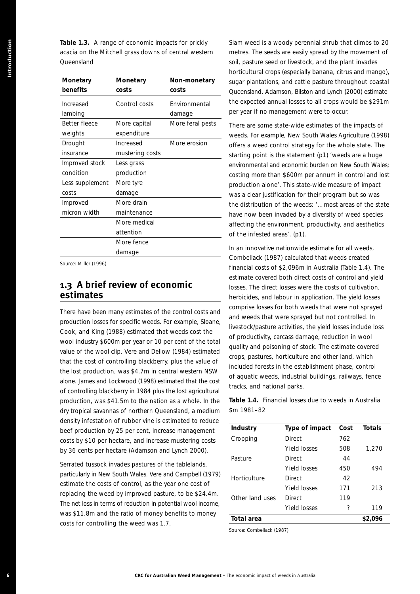**Table 1.3.** A range of economic impacts for prickly acacia on the Mitchell grass downs of central western Queensland

| Monetary             | Monetary                                               | Non-monetary                                                                                                                                                                                                                                                                                              | horticultural crops (especially b<br>sugar plantations, and cattle p                                                                      |                                      |
|----------------------|--------------------------------------------------------|-----------------------------------------------------------------------------------------------------------------------------------------------------------------------------------------------------------------------------------------------------------------------------------------------------------|-------------------------------------------------------------------------------------------------------------------------------------------|--------------------------------------|
| benefits             | costs                                                  | costs                                                                                                                                                                                                                                                                                                     | Queensland. Adamson, Bilston<br>the expected annual losses to                                                                             |                                      |
| Increased<br>lambing | Control costs                                          | Environmental                                                                                                                                                                                                                                                                                             | per year if no management we                                                                                                              |                                      |
| Better fleece        | More capital                                           | damage<br>More feral pests                                                                                                                                                                                                                                                                                |                                                                                                                                           |                                      |
| weights              | expenditure                                            |                                                                                                                                                                                                                                                                                                           | There are some state-wide esti                                                                                                            |                                      |
| Drought              | Increased                                              | More erosion                                                                                                                                                                                                                                                                                              | weeds. For example, New Sout                                                                                                              |                                      |
| insurance            | mustering costs                                        |                                                                                                                                                                                                                                                                                                           | offers a weed control strategy<br>starting point is the statement                                                                         |                                      |
| Improved stock       | Less grass                                             |                                                                                                                                                                                                                                                                                                           | environmental and economic bu                                                                                                             |                                      |
| condition            | production                                             |                                                                                                                                                                                                                                                                                                           | costing more than \$600m per                                                                                                              |                                      |
| Less supplement      | More tyre                                              |                                                                                                                                                                                                                                                                                                           | production alone'. This state-v                                                                                                           |                                      |
| costs                | damage                                                 |                                                                                                                                                                                                                                                                                                           | was a clear justification for the                                                                                                         |                                      |
| Improved             | More drain                                             |                                                                                                                                                                                                                                                                                                           | the distribution of the weeds:                                                                                                            |                                      |
| micron width         | maintenance                                            |                                                                                                                                                                                                                                                                                                           | have now been invaded by a d                                                                                                              |                                      |
|                      | More medical                                           |                                                                                                                                                                                                                                                                                                           | affecting the environment, pro                                                                                                            |                                      |
|                      | attention                                              |                                                                                                                                                                                                                                                                                                           | of the infested areas'. (p1).                                                                                                             |                                      |
|                      | More fence                                             |                                                                                                                                                                                                                                                                                                           |                                                                                                                                           |                                      |
|                      | damage                                                 |                                                                                                                                                                                                                                                                                                           | In an innovative nationwide es                                                                                                            |                                      |
|                      |                                                        |                                                                                                                                                                                                                                                                                                           |                                                                                                                                           |                                      |
|                      |                                                        | wool industry \$600m per year or 10 per cent of the total<br>value of the wool clip. Vere and Dellow (1984) estimated<br>that the cost of controlling blackberry, plus the value of<br>the lost production, was \$4.7m in central western NSW<br>alone. James and Lockwood (1998) estimated that the cost | quality and poisoning of stock<br>crops, pastures, horticulture ar<br>included forests in the establis<br>of aquatic weeds, industrial bu | of productivity, carcass damage      |
|                      |                                                        | of controlling blackberry in 1984 plus the lost agricultural                                                                                                                                                                                                                                              | tracks, and national parks.                                                                                                               |                                      |
|                      |                                                        | production, was \$41.5m to the nation as a whole. In the<br>dry tropical savannas of northern Queensland, a medium                                                                                                                                                                                        | Table 1.4. Financial losses du<br>\$m 1981-82                                                                                             |                                      |
|                      |                                                        | density infestation of rubber vine is estimated to reduce                                                                                                                                                                                                                                                 | Industry                                                                                                                                  | Type of in                           |
|                      |                                                        | beef production by 25 per cent, increase management                                                                                                                                                                                                                                                       | Cropping                                                                                                                                  |                                      |
|                      |                                                        | costs by \$10 per hectare, and increase mustering costs                                                                                                                                                                                                                                                   |                                                                                                                                           | Direct<br>Yield losse                |
|                      | by 36 cents per hectare (Adamson and Lynch 2000).      |                                                                                                                                                                                                                                                                                                           | Pasture                                                                                                                                   | Direct                               |
|                      | Serrated tussock invades pastures of the tablelands,   |                                                                                                                                                                                                                                                                                                           |                                                                                                                                           |                                      |
|                      |                                                        | particularly in New South Wales. Vere and Campbell (1979)                                                                                                                                                                                                                                                 | Horticulture                                                                                                                              | Yield losse<br>Direct                |
|                      | estimate the costs of control, as the year one cost of |                                                                                                                                                                                                                                                                                                           |                                                                                                                                           |                                      |
|                      |                                                        | replacing the weed by improved pasture, to be \$24.4m.                                                                                                                                                                                                                                                    | Other land uses                                                                                                                           |                                      |
|                      |                                                        | The net loss in terms of reduction in potential wool income,                                                                                                                                                                                                                                              |                                                                                                                                           |                                      |
|                      | costs for controlling the weed was 1.7.                | was \$11.8m and the ratio of money benefits to money                                                                                                                                                                                                                                                      | <b>Total area</b>                                                                                                                         | Yield losse<br>Direct<br>Yield losse |

## **1.3 A brief review of economic estimates**

Siam weed is a woody perennial shrub that climbs to 20 metres. The seeds are easily spread by the movement of soil, pasture seed or livestock, and the plant invades horticultural crops (especially banana, citrus and mango), sugar plantations, and cattle pasture throughout coastal Queensland. Adamson, Bilston and Lynch (2000) estimate the expected annual losses to all crops would be \$291m per year if no management were to occur.

There are some state-wide estimates of the impacts of weeds. For example, New South Wales Agriculture (1998) offers a weed control strategy for the whole state. The starting point is the statement (p1) 'weeds are a huge environmental and economic burden on New South Wales; costing more than \$600m per annum in control and lost production alone'. This state-wide measure of impact was a clear justification for their program but so was the distribution of the weeds: '…most areas of the state have now been invaded by a diversity of weed species affecting the environment, productivity, and aesthetics of the infested areas'. (p1).

In an innovative nationwide estimate for all weeds, Combellack (1987) calculated that weeds created financial costs of \$2,096m in Australia (Table 1.4). The estimate covered both direct costs of control and yield losses. The direct losses were the costs of cultivation, herbicides, and labour in application. The yield losses comprise losses for both weeds that were not sprayed and weeds that were sprayed but not controlled. In livestock/pasture activities, the yield losses include loss of productivity, carcass damage, reduction in wool quality and poisoning of stock. The estimate covered crops, pastures, horticulture and other land, which included forests in the establishment phase, control of aquatic weeds, industrial buildings, railways, fence tracks, and national parks.

**Table 1.4.** Financial losses due to weeds in Australia \$m 1981–82

| <b>Industry</b> | Type of impact | Cost | <b>Totals</b> |
|-----------------|----------------|------|---------------|
| Cropping        | Direct         | 762  |               |
|                 | Yield losses   | 508  | 1.270         |
| Pasture         | Direct         | 44   |               |
|                 | Yield losses   | 450  | 494           |
| Horticulture    | Direct         | 42   |               |
|                 | Yield losses   | 171  | 213           |
| Other land uses | Direct         | 119  |               |
|                 | Yield losses   | ?    | 119           |
| Total area      |                |      | \$2,096       |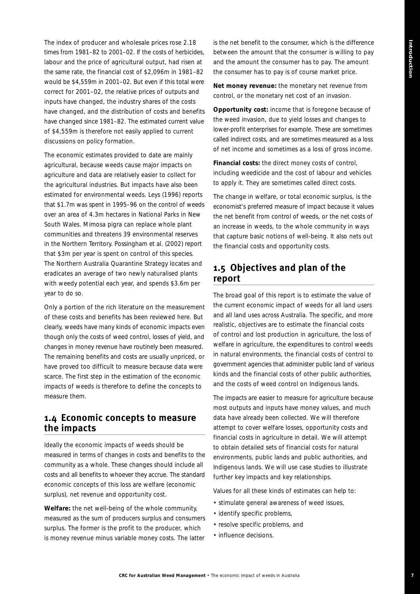**7**

The index of producer and wholesale prices rose 2.18 times from 1981–82 to 2001–02. If the costs of herbicides, labour and the price of agricultural output, had risen at the same rate, the financial cost of \$2,096m in 1981–82 would be \$4,559m in 2001–02. But even if this total were correct for 2001–02, the relative prices of outputs and inputs have changed, the industry shares of the costs have changed, and the distribution of costs and benefits have changed since 1981–82. The estimated current value of \$4,559m is therefore not easily applied to current discussions on policy formation.

The economic estimates provided to date are mainly agricultural, because weeds cause major impacts on agriculture and data are relatively easier to collect for the agricultural industries. But impacts have also been estimated for environmental weeds. Leys (1996) reports that \$1.7m was spent in 1995–96 on the control of weeds over an area of 4.3m hectares in National Parks in New South Wales. Mimosa pigra can replace whole plant communities and threatens 39 environmental reserves in the Northern Territory. Possingham *et al*. (2002) report that \$3m per year is spent on control of this species. The Northern Australia Quarantine Strategy locates and eradicates an average of two newly naturalised plants with weedy potential each year, and spends \$3.6m per year to do so.

Only a portion of the rich literature on the measurement of these costs and benefits has been reviewed here. But clearly, weeds have many kinds of economic impacts even though only the costs of weed control, losses of yield, and changes in money revenue have routinely been measured. The remaining benefits and costs are usually unpriced, or have proved too difficult to measure because data were scarce. The first step in the estimation of the economic impacts of weeds is therefore to define the concepts to measure them.

#### **1.4 Economic concepts to measure the impacts**

Ideally the economic impacts of weeds should be measured in terms of changes in costs and benefits to the community as a whole. These changes should include all costs and all benefits to whoever they accrue. The standard economic concepts of this loss are welfare (economic surplus), net revenue and opportunity cost.

**Welfare:** the net well-being of the whole community, measured as the sum of producers surplus and consumers surplus. The former is the profit to the producer, which is money revenue minus variable money costs. The latter

is the net benefit to the consumer, which is the difference between the amount that the consumer is willing to pay and the amount the consumer has to pay. The amount the consumer has to pay is of course market price.

**Net money revenue:** the monetary net revenue from control, or the monetary net cost of an invasion.

**Opportunity cost:** income that is foregone because of the weed invasion, due to yield losses and changes to lower-profit enterprises for example. These are sometimes called indirect costs, and are sometimes measured as a loss of *net* income and sometimes as a loss of *gross* income.

**Financial costs:** the direct money costs of control, including weedicide and the cost of labour and vehicles to apply it. They are sometimes called direct costs.

The change in welfare, or total economic surplus, is the economist's preferred measure of impact because it values the net benefit from control of weeds, or the net costs of an increase in weeds, to the whole community in ways that capture basic notions of well-being. It also nets out the financial costs and opportunity costs.

# **1.5 Objectives and plan of the report**

The broad goal of this report is to estimate the value of the current economic impact of weeds for all land users and all land uses across Australia. The specific, and more realistic, objectives are to estimate the financial costs of control and lost production in agriculture, the loss of welfare in agriculture, the expenditures to control weeds in natural environments, the financial costs of control to government agencies that administer public land of various kinds and the financial costs of other public authorities, and the costs of weed control on Indigenous lands.

The impacts are easier to measure for agriculture because most outputs and inputs have money values, and much data have already been collected. We will therefore attempt to cover welfare losses, opportunity costs and financial costs in agriculture in detail. We will attempt to obtain detailed sets of financial costs for natural environments, public lands and public authorities, and Indigenous lands. We will use case studies to illustrate further key impacts and key relationships.

Values for all these kinds of estimates can help to:

- stimulate general awareness of weed issues,
- identify specific problems,
- resolve specific problems, and
- influence decisions.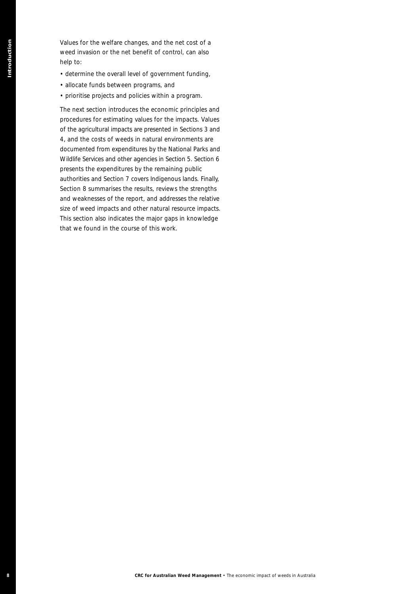Values for the welfare changes, and the net cost of a weed invasion or the net benefit of control, can also help to:

- determine the overall level of government funding,
- allocate funds between programs, and
- prioritise projects and policies within a program.

The next section introduces the economic principles and procedures for estimating values for the impacts. Values of the agricultural impacts are presented in Sections 3 and 4, and the costs of weeds in natural environments are documented from expenditures by the National Parks and Wildlife Services and other agencies in Section 5. Section 6 presents the expenditures by the remaining public authorities and Section 7 covers Indigenous lands. Finally, Section 8 summarises the results, reviews the strengths and weaknesses of the report, and addresses the relative size of weed impacts and other natural resource impacts. This section also indicates the major gaps in knowledge that we found in the course of this work. **Shows for Law state changes, were law to be a trained for the control can be a state of the economic for**  $\sim$  **CRC for Australia and the effect of the economic impacts of the equation of the economic system of the energy o**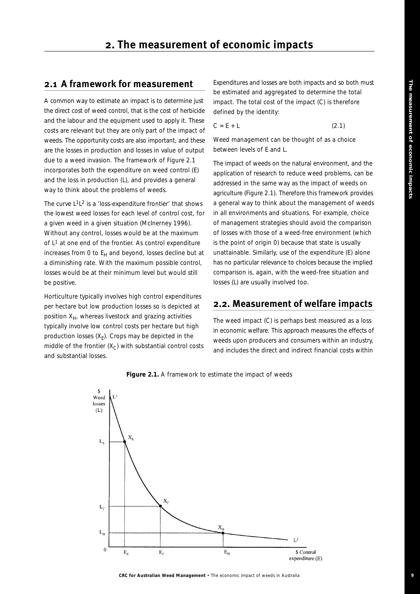# **2.1 A framework for measurement**

A common way to estimate an impact is to determine just the direct cost of weed control, that is the cost of herbicide and the labour and the equipment used to apply it. These costs are relevant but they are only part of the impact of weeds. The opportunity costs are also important, and these are the losses in production and losses in value of output due to a weed invasion. The framework of Figure 2.1 incorporates both the expenditure on weed control (E) and the loss in production (L), and provides a general way to think about the problems of weeds.

The curve L1L2 is a 'loss-expenditure frontier' that shows the lowest weed losses for each level of control cost, for a given weed in a given situation (McInerney 1996). Without any control, losses would be at the maximum of  $L<sup>1</sup>$  at one end of the frontier. As control expenditure increases from 0 to  $E_H$  and beyond, losses decline but at a diminishing rate. With the maximum possible control, losses would be at their minimum level but would still be positive.

Horticulture typically involves high control expenditures per hectare but low production losses so is depicted at position  $X_H$ , whereas livestock and grazing activities typically involve low control costs per hectare but high production losses  $(X_F)$ . Crops may be depicted in the middle of the frontier  $(X_C)$  with substantial control costs and substantial losses.

Expenditures and losses are both impacts and so both must be estimated and aggregated to determine the total impact. The total cost of the impact (C) is therefore defined by the identity:

$$
C = E + L \tag{2.1}
$$

Weed management can be thought of as a choice between levels of E and L.

The impact of weeds on the natural environment, and the application of research to reduce weed problems, can be addressed in the same way as the impact of weeds on agriculture (Figure 2.1). Therefore this framework provides a general way to think about the management of weeds in all environments and situations. For example, choice of management strategies should avoid the comparison of losses with those of a weed-free environment (which is the point of origin 0) because that state is usually unattainable. Similarly, use of the expenditure (E) alone has no particular relevance to choices because the implied comparison is, again, with the weed-free situation and losses (L) are usually involved too.

# **2.2. Measurement of welfare impacts**

The weed impact (C) is perhaps best measured as a loss in economic welfare. This approach measures the effects of weeds upon producers and consumers within an industry, and includes the direct and indirect financial costs within



#### **Figure 2.1.** A framework to estimate the impact of weeds

**CRC for Australian Weed Management** • The economic impact of weeds in Australia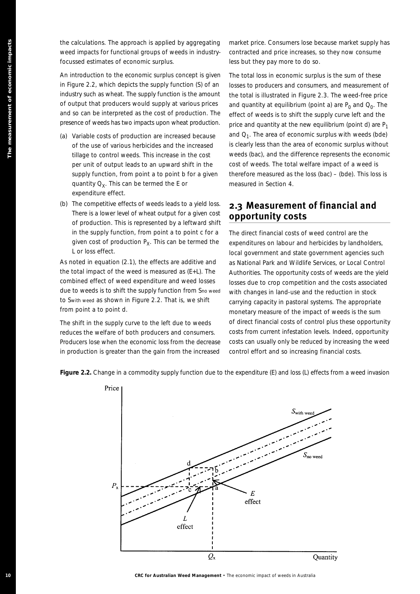the calculations. The approach is applied by aggregating weed impacts for functional groups of weeds in industryfocussed estimates of economic surplus.

An introduction to the economic surplus concept is given in Figure 2.2, which depicts the supply function (*S*) of an industry such as wheat. The supply function is the amount of output that producers would supply at various prices and so can be interpreted as the cost of production. The presence of weeds has two impacts upon wheat production.

- (a) Variable costs of production are increased because of the use of various herbicides and the increased tillage to control weeds. This increase in the cost per unit of output leads to an upward shift in the supply function, from point *a* to point *b* for a given quantity  $Q_Y$ . This can be termed the E or expenditure effect.
- (b) The competitive effects of weeds leads to a yield loss. There is a lower level of wheat output for a given cost of production. This is represented by a leftward shift in the supply function, from point *a* to point *c* for a given cost of production  $P_X$ . This can be termed the L or loss effect.

As noted in equation (2.1), the effects are additive and the total impact of the weed is measured as (E+L). The combined effect of weed expenditure and weed losses due to weeds is to shift the supply function from *S*no weed to *S*with weed as shown in Figure 2.2. That is, we shift from point *a* to point *d*.

The shift in the supply curve to the left due to weeds reduces the welfare of both producers and consumers. Producers lose when the economic loss from the decrease in production is greater than the gain from the increased

market price. Consumers lose because market supply has contracted and price increases, so they now consume less but they pay more to do so.

The total loss in economic surplus is the sum of these losses to producers and consumers, and measurement of the total is illustrated in Figure 2.3. The weed-free price and quantity at equilibrium (point  $a$ ) are  $P_0$  and  $Q_0$ . The effect of weeds is to shift the supply curve left and the price and quantity at the new equilibrium (point  $d$ ) are  $P_1$ and *Q*1. The area of economic surplus with weeds (*bde*) is clearly less than the area of economic surplus without weeds (*bac*), and the difference represents the economic cost of weeds. The total welfare impact of a weed is therefore measured as the loss (*bac*) – (*bde*). This loss is measured in Section 4.

# **2.3 Measurement of financial and opportunity costs**

The direct financial costs of weed control are the expenditures on labour and herbicides by landholders, local government and state government agencies such as National Park and Wildlife Services, or Local Control Authorities. The opportunity costs of weeds are the yield losses due to crop competition and the costs associated with changes in land-use and the reduction in stock carrying capacity in pastoral systems. The appropriate monetary measure of the impact of weeds is the sum of direct financial costs of control plus these opportunity costs from current infestation levels. Indeed, opportunity costs can usually only be reduced by increasing the weed control effort and so increasing financial costs.



**Figure 2.2.** Change in a commodity supply function due to the expenditure (*E*) and loss (*L*) effects from a weed invasion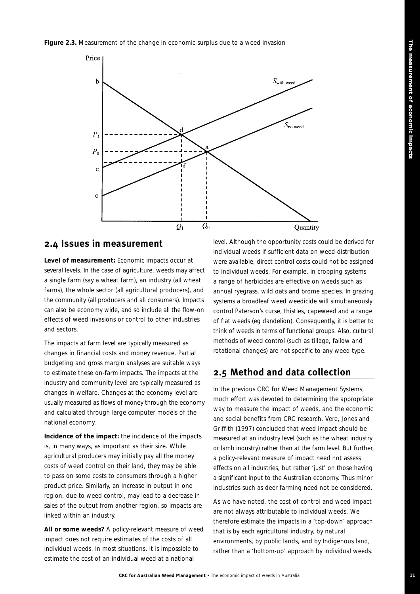#### Figure 2.3. Measurement of the change in economic surplus due to a weed invasion



## **2.4 Issues in measurement**

**Level of measurement:** Economic impacts occur at several levels. In the case of agriculture, weeds may affect a single farm (say a wheat farm), an industry (all wheat farms), the whole sector (all agricultural producers), and the community (all producers and all consumers). Impacts can also be economy wide, and so include all the flow-on effects of weed invasions or control to other industries and sectors.

The impacts at farm level are typically measured as changes in financial costs and money revenue. Partial budgeting and gross margin analyses are suitable ways to estimate these on-farm impacts. The impacts at the industry and community level are typically measured as changes in welfare. Changes at the economy level are usually measured as flows of money through the economy and calculated through large computer models of the national economy.

**Incidence of the impact:** the incidence of the impacts is, in many ways, as important as their size. While agricultural producers may initially pay all the money costs of weed control on their land, they may be able to pass on some costs to consumers through a higher product price. Similarly, an increase in output in one region, due to weed control, may lead to a decrease in sales of the output from another region, so impacts are linked within an industry.

**All or some weeds?** A policy-relevant measure of weed impact does not require estimates of the costs of all individual weeds. In most situations, it is impossible to estimate the cost of an individual weed at a national

level. Although the opportunity costs could be derived for individual weeds if sufficient data on weed distribution were available, direct control costs could not be assigned to individual weeds. For example, in cropping systems a range of herbicides are effective on weeds such as annual ryegrass, wild oats and brome species. In grazing systems a broadleaf weed weedicide will simultaneously control Paterson's curse, thistles, capeweed and a range of flat weeds (eg dandelion). Consequently, it is better to think of weeds in terms of functional groups. Also, cultural methods of weed control (such as tillage, fallow and rotational changes) are not specific to any weed type.

# **2.5 Method and data collection**

In the previous CRC for Weed Management Systems, much effort was devoted to determining the appropriate way to measure the impact of weeds, and the economic and social benefits from CRC research. Vere, Jones and Griffith (1997) concluded that weed impact should be measured at an industry level (such as the wheat industry or lamb industry) rather than at the farm level. But further, a policy-relevant measure of impact need not assess effects on all industries, but rather 'just' on those having a significant input to the Australian economy. Thus minor industries such as deer farming need not be considered.

As we have noted, the cost of control and weed impact are not always attributable to individual weeds. We therefore estimate the impacts in a 'top-down' approach that is by each agricultural industry, by natural environments, by public lands, and by Indigenous land, rather than a 'bottom-up' approach by individual weeds.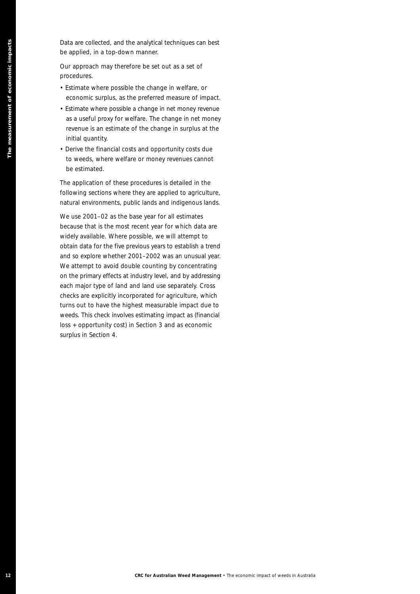Data are collected, and the analytical techniques can best be applied, in a top-down manner.

Our approach may therefore be set out as a set of procedures.

- Estimate where possible the change in welfare, or economic surplus, as the preferred measure of impact.
- Estimate where possible a change in net money revenue as a useful proxy for welfare. The change in net money revenue is an estimate of the change in surplus at the initial quantity.
- Derive the financial costs and opportunity costs due to weeds, where welfare or money revenues cannot be estimated.

The application of these procedures is detailed in the following sections where they are applied to agriculture, natural environments, public lands and indigenous lands.

**Extractive CRC for Australian Weed Management + The economic impact of the economic impact of the economic impact of the economic impact of the economic impact of the economic impact of the economic impact of the economic** We use 2001–02 as the base year for all estimates because that is the most recent year for which data are widely available. Where possible, we will attempt to obtain data for the five previous years to establish a trend and so explore whether 2001–2002 was an unusual year. We attempt to avoid double counting by concentrating on the primary effects at industry level, and by addressing each major type of land and land use separately. Cross checks are explicitly incorporated for agriculture, which turns out to have the highest measurable impact due to weeds. This check involves estimating impact as (financial loss + opportunity cost) in Section 3 and as economic surplus in Section 4.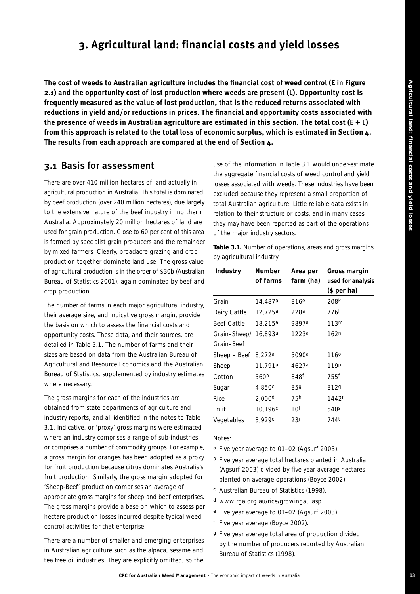# **3. Agricultural land: financial costs and yield losses**

**The cost of weeds to Australian agriculture includes the financial cost of weed control (E in Figure 2.1) and the opportunity cost of lost production where weeds are present (L). Opportunity cost is frequently measured as the value of lost production, that is the reduced returns associated with reductions in yield and/or reductions in prices. The financial and opportunity costs associated with the presence of weeds in Australian agriculture are estimated in this section. The total cost (E + L) from this approach is related to the total loss of economic surplus, which is estimated in Section 4. The results from each approach are compared at the end of Section 4.**

# **3.1 Basis for assessment**

There are over 410 million hectares of land actually in agricultural production in Australia. This total is dominated by beef production (over 240 million hectares), due largely to the extensive nature of the beef industry in northern Australia. Approximately 20 million hectares of land are used for grain production. Close to 60 per cent of this area is farmed by specialist grain producers and the remainder by mixed farmers. Clearly, broadacre grazing and crop production together dominate land use. The gross value of agricultural production is in the order of \$30b (Australian Bureau of Statistics 2001), again dominated by beef and crop production.

The number of farms in each major agricultural industry, their average size, and indicative gross margin, provide the basis on which to assess the financial costs and opportunity costs. These data, and their sources, are detailed in Table 3.1. The number of farms and their sizes are based on data from the Australian Bureau of Agricultural and Resource Economics and the Australian Bureau of Statistics, supplemented by industry estimates where necessary.

The gross margins for each of the industries are obtained from state departments of agriculture and industry reports, and all identified in the notes to Table 3.1. Indicative, or 'proxy' gross margins were estimated where an industry comprises a range of sub-industries, or comprises a number of commodity groups. For example, a gross margin for oranges has been adopted as a proxy for fruit production because citrus dominates Australia's fruit production. Similarly, the gross margin adopted for 'Sheep-Beef' production comprises an average of appropriate gross margins for sheep and beef enterprises. The gross margins provide a base on which to assess per hectare production losses incurred despite typical weed control activities for that enterprise.

There are a number of smaller and emerging enterprises in Australian agriculture such as the alpaca, sesame and tea tree oil industries. They are explicitly omitted, so the use of the information in Table 3.1 would under-estimate the aggregate financial costs of weed control and yield losses associated with weeds. These industries have been excluded because they represent a small proportion of total Australian agriculture. Little reliable data exists in relation to their structure or costs, and in many cases they may have been reported as part of the operations of the major industry sectors.

**Table 3.1.** Number of operations, areas and gross margins by agricultural industry

| Industry           | <b>Number</b>       | Area per         | Gross margin      |
|--------------------|---------------------|------------------|-------------------|
|                    | of farms            | farm (ha)        | used for analysis |
|                    |                     |                  | $$$ per ha)       |
| Grain              | 14,487 <sup>a</sup> | 816 <sup>e</sup> | 208 <sup>k</sup>  |
| Dairy Cattle       | 12,725 <sup>a</sup> | 228a             | 776 <sup>I</sup>  |
| <b>Beef Cattle</b> | 18,215 <sup>a</sup> | 9897a            | 113 <sup>m</sup>  |
| Grain-Sheep/       | 16,893 <sup>a</sup> | 1223ª            | 162 <sup>n</sup>  |
| Grain-Beef         |                     |                  |                   |
| Sheep – Beef       | 8,272 <sup>a</sup>  | 5090a            | 1160              |
| Sheep              | 11,791a             | 4627a            | 119P              |
| Cotton             | 560b                | 848f             | 755f              |
| Sugar              | 4,850c              | 859              | 8129              |
| Rice               | 2,000 <sup>d</sup>  | 75h              | 1442 <sup>r</sup> |
| Fruit              | 10,196 <sup>c</sup> | 10 <sup>i</sup>  | 540 <sup>s</sup>  |
| Vegetables         | 3.929 <sup>c</sup>  | 23J              | 744 <sup>t</sup>  |

Notes:

- a Five year average to 01–02 (Agsurf 2003).
- b Five year average total hectares planted in Australia (Agsurf 2003) divided by five year average hectares planted on average operations (Boyce 2002).
- c Australian Bureau of Statistics (1998).
- d www.rga.org.au/rice/growingau.asp.
- e Five year average to 01–02 (Agsurf 2003).
- f Five year average (Boyce 2002).
- g Five year average total area of production divided by the number of producers reported by Australian Bureau of Statistics (1998).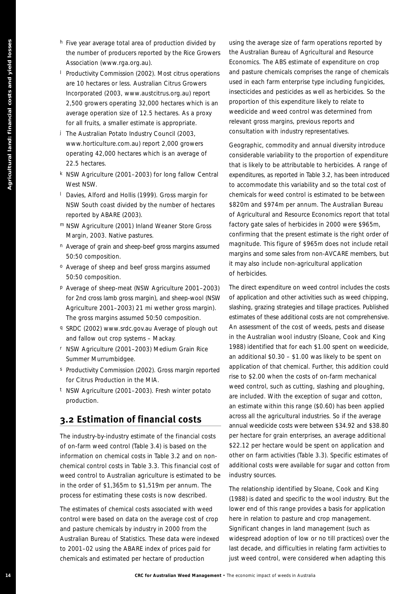- h Five year average total area of production divided by the number of producers reported by the Rice Growers Association (www.rga.org.au).
- I Productivity Commission (2002). Most citrus operations are 10 hectares or less. Australian Citrus Growers Incorporated (2003, www.austcitrus.org.au) report 2,500 growers operating 32,000 hectares which is an average operation size of 12.5 hectares. As a proxy for all fruits, a smaller estimate is appropriate.
- j The Australian Potato Industry Council (2003, www.horticulture.com.au) report 2,000 growers operating 42,000 hectares which is an average of 22.5 hectares.
- k NSW Agriculture (2001–2003) for long fallow Central West NSW.
- l Davies, Alford and Hollis (1999). Gross margin for NSW South coast divided by the number of hectares reported by ABARE (2003).
- m NSW Agriculture (2001) Inland Weaner Store Gross Margin, 2003. Native pastures.
- n Average of grain and sheep-beef gross margins assumed 50:50 composition.
- o Average of sheep and beef gross margins assumed 50:50 composition.
- p Average of sheep-meat (NSW Agriculture 2001–2003) for 2nd cross lamb gross margin), and sheep-wool (NSW Agriculture 2001–2003) 21 mi wether gross margin). The gross margins assumed 50:50 composition.
- q SRDC (2002) www.srdc.gov.au Average of plough out and fallow out crop systems – Mackay.
- r NSW Agriculture (2001–2003) Medium Grain Rice Summer Murrumbidgee.
- s Productivity Commission (2002). Gross margin reported for Citrus Production in the MIA.
- t NSW Agriculture (2001–2003). Fresh winter potato production.

# **3.2 Estimation of financial costs**

The industry-by-industry estimate of the financial costs of on-farm weed control (Table 3.4) is based on the information on chemical costs in Table 3.2 and on nonchemical control costs in Table 3.3. This financial cost of weed control to Australian agriculture is estimated to be in the order of \$1,365m to \$1,519m per annum. The process for estimating these costs is now described.

The estimates of chemical costs associated with weed control were based on data on the average cost of crop and pasture chemicals by industry in 2000 from the Australian Bureau of Statistics. These data were indexed to 2001–02 using the ABARE index of prices paid for chemicals and estimated per hectare of production

using the average size of farm operations reported by the Australian Bureau of Agricultural and Resource Economics. The ABS estimate of expenditure on crop and pasture chemicals comprises the range of chemicals used in each farm enterprise type including fungicides, insecticides and pesticides as well as herbicides. So the proportion of this expenditure likely to relate to weedicide and weed control was determined from relevant gross margins, previous reports and consultation with industry representatives.

Geographic, commodity and annual diversity introduce considerable variability to the proportion of expenditure that is likely to be attributable to herbicides. A range of expenditures, as reported in Table 3.2, has been introduced to accommodate this variability and so the total cost of chemicals for weed control is estimated to be between \$820m and \$974m per annum. The Australian Bureau of Agricultural and Resource Economics report that total factory gate sales of herbicides in 2000 were \$965m, confirming that the present estimate is the right order of magnitude. This figure of \$965m does not include retail margins and some sales from non-AVCARE members, but it may also include non-agricultural application of herbicides.

**14 CRC** frequency fresh wave promotion distributed by single landship and yield losses at the energy of the energy of the energy of the energy of the energy of the energy of the energy of the energy of the energy of th The direct expenditure on weed control includes the costs of application and other activities such as weed chipping, slashing, grazing strategies and tillage practices. Published estimates of these additional costs are not comprehensive. An assessment of the cost of weeds, pests and disease in the Australian wool industry (Sloane, Cook and King 1988) identified that for each \$1.00 spent on weedicide, an additional \$0.30 – \$1.00 was likely to be spent on application of that chemical. Further, this addition could rise to \$2.00 when the costs of on-farm mechanical weed control, such as cutting, slashing and ploughing, are included. With the exception of sugar and cotton, an estimate within this range (\$0.60) has been applied across all the agricultural industries. So if the average annual weedicide costs were between \$34.92 and \$38.80 per hectare for grain enterprises, an average additional \$22.12 per hectare would be spent on application and other on farm activities (Table 3.3). Specific estimates of additional costs were available for sugar and cotton from industry sources.

The relationship identified by Sloane, Cook and King (1988) is dated and specific to the wool industry. But the lower end of this range provides a basis for application here in relation to pasture and crop management. Significant changes in land management (such as widespread adoption of low or no till practices) over the last decade, and difficulties in relating farm activities to just weed control, were considered when adapting this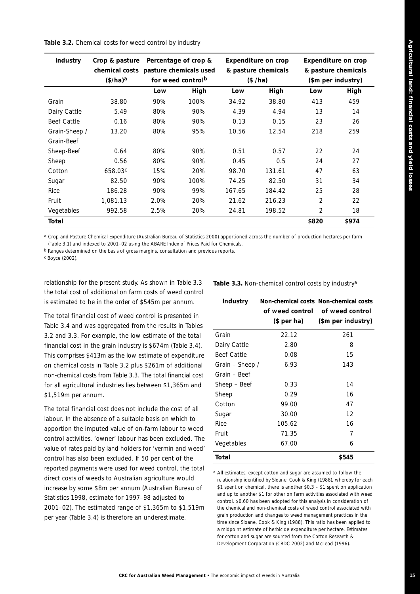#### **Table 3.2.** Chemical costs for weed control by industry

| <b>Industry</b>    | Crop & pasture<br>chemical costs pasture chemicals used<br>$(\frac{4}{h})^a$ |      | Percentage of crop &<br>for weed control <sup>b</sup> |        | <b>Expenditure on crop</b><br>& pasture chemicals<br>(\$/ha) |                | <b>Expenditure on crop</b><br>& pasture chemicals<br>(\$m per industry) |
|--------------------|------------------------------------------------------------------------------|------|-------------------------------------------------------|--------|--------------------------------------------------------------|----------------|-------------------------------------------------------------------------|
|                    |                                                                              | Low  | High                                                  | Low    | High                                                         | Low            | High                                                                    |
| Grain              | 38.80                                                                        | 90%  | 100%                                                  | 34.92  | 38.80                                                        | 413            | 459                                                                     |
| Dairy Cattle       | 5.49                                                                         | 80%  | 90%                                                   | 4.39   | 4.94                                                         | 13             | 14                                                                      |
| <b>Beef Cattle</b> | 0.16                                                                         | 80%  | 90%                                                   | 0.13   | 0.15                                                         | 23             | 26                                                                      |
| Grain-Sheep /      | 13.20                                                                        | 80%  | 95%                                                   | 10.56  | 12.54                                                        | 218            | 259                                                                     |
| Grain-Beef         |                                                                              |      |                                                       |        |                                                              |                |                                                                         |
| Sheep-Beef         | 0.64                                                                         | 80%  | 90%                                                   | 0.51   | 0.57                                                         | 22             | 24                                                                      |
| Sheep              | 0.56                                                                         | 80%  | 90%                                                   | 0.45   | 0.5                                                          | 24             | 27                                                                      |
| Cotton             | 658.03 <sup>c</sup>                                                          | 15%  | 20%                                                   | 98.70  | 131.61                                                       | 47             | 63                                                                      |
| Sugar              | 82.50                                                                        | 90%  | 100%                                                  | 74.25  | 82.50                                                        | 31             | 34                                                                      |
| Rice               | 186.28                                                                       | 90%  | 99%                                                   | 167.65 | 184.42                                                       | 25             | 28                                                                      |
| Fruit              | 1,081.13                                                                     | 2.0% | 20%                                                   | 21.62  | 216.23                                                       | $\overline{2}$ | 22                                                                      |
| Vegetables         | 992.58                                                                       | 2.5% | 20%                                                   | 24.81  | 198.52                                                       | 2              | 18                                                                      |
| Total              |                                                                              |      |                                                       |        |                                                              | \$820          | \$974                                                                   |

*a Crop and Pasture Chemical Expenditure (Australian Bureau of Statistics 2000) apportioned across the number of production hectares per farm (Table 3.1) and indexed to 2001–02 using the ABARE Index of Prices Paid for Chemicals.*

*b Ranges determined on the basis of gross margins, consultation and previous reports.*

*c Boyce (2002).*

relationship for the present study. As shown in Table 3.3 the total cost of additional on farm costs of weed control is estimated to be in the order of \$545m per annum.

The total financial cost of weed control is presented in Table 3.4 and was aggregated from the results in Tables 3.2 and 3.3. For example, the low estimate of the total financial cost in the grain industry is \$674m (Table 3.4). This comprises \$413m as the low estimate of expenditure on chemical costs in Table 3.2 plus \$261m of additional non-chemical costs from Table 3.3. The total financial cost for all agricultural industries lies between \$1,365m and \$1,519m per annum.

The total financial cost does not include the cost of all labour. In the absence of a suitable basis on which to apportion the imputed value of on-farm labour to weed control activities, 'owner' labour has been excluded. The value of rates paid by land holders for 'vermin and weed' control has also been excluded. If 50 per cent of the reported payments were used for weed control, the total direct costs of weeds to Australian agriculture would increase by some \$8m per annum (Australian Bureau of Statistics 1998, estimate for 1997–98 adjusted to 2001–02). The estimated range of \$1,365m to \$1,519m per year (Table 3.4) is therefore an underestimate.

Table 3.3. Non-chemical control costs by industry<sup>a</sup>

| <b>Industry</b> | of weed control<br>(\$ per ha) | Non-chemical costs Non-chemical costs<br>of weed control<br>(\$m per industry) |
|-----------------|--------------------------------|--------------------------------------------------------------------------------|
| Grain           | 22.12                          | 261                                                                            |
| Dairy Cattle    | 2.80                           | 8                                                                              |
| Beef Cattle     | 0.08                           | 15                                                                             |
| Grain – Sheep / | 6.93                           | 143                                                                            |
| Grain - Beef    |                                |                                                                                |
| Sheep - Beef    | 0.33                           | 14                                                                             |
| Sheep           | 0.29                           | 16                                                                             |
| Cotton          | 99.00                          | 47                                                                             |
| Sugar           | 30.00                          | 12                                                                             |
| <b>Rice</b>     | 105.62                         | 16                                                                             |
| Fruit           | 71.35                          | 7                                                                              |
| Vegetables      | 67.00                          | 6                                                                              |
| Total           |                                | \$545                                                                          |

*a All estimates, except cotton and sugar are assumed to follow the relationship identified by Sloane, Cook & King (1988), whereby for each \$1 spent on chemical, there is another \$0.3 – \$1 spent on application and up to another \$1 for other on farm activities associated with weed control. \$0.60 has been adopted for this analysis in consideration of the chemical and non-chemical costs of weed control associated with grain production and changes to weed management practices in the time since Sloane, Cook & King (1988). This ratio has been applied to a midpoint estimate of herbicide expenditure per hectare. Estimates for cotton and sugar are sourced from the Cotton Research & Development Corporation (CRDC 2002) and McLeod (1996).*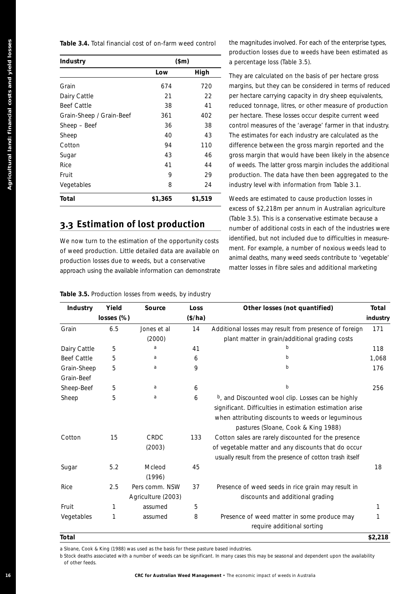| Industry                 | \$m\$   |         |
|--------------------------|---------|---------|
|                          | Low     | High    |
| Grain                    | 674     | 720     |
| Dairy Cattle             | 21      | 22      |
| <b>Beef Cattle</b>       | 38      | 41      |
| Grain-Sheep / Grain-Beef | 361     | 402     |
| Sheep - Beef             | 36      | 38      |
| Sheep                    | 40      | 43      |
| Cotton                   | 94      | 110     |
| Sugar                    | 43      | 46      |
| Rice                     | 41      | 44      |
| Fruit                    | 9       | 29      |
| Vegetables               | 8       | 24      |
| Total                    | \$1,365 | \$1,519 |

# **3.3 Estimation of lost production**

| Industry                 |            | \$m\$                                                                                                                                                                                                                                                                      |         |    | a percentage loss (Table 3.5).                                                                                                                                                                                                                                                                                                                                   | production losses due to weeds have been estimated as |
|--------------------------|------------|----------------------------------------------------------------------------------------------------------------------------------------------------------------------------------------------------------------------------------------------------------------------------|---------|----|------------------------------------------------------------------------------------------------------------------------------------------------------------------------------------------------------------------------------------------------------------------------------------------------------------------------------------------------------------------|-------------------------------------------------------|
|                          |            | Low                                                                                                                                                                                                                                                                        | High    |    |                                                                                                                                                                                                                                                                                                                                                                  |                                                       |
| Grain                    |            | 674                                                                                                                                                                                                                                                                        | 720     |    | They are calculated on the basis of per hectare gross<br>margins, but they can be considered in terms of reduced                                                                                                                                                                                                                                                 |                                                       |
|                          |            |                                                                                                                                                                                                                                                                            |         |    |                                                                                                                                                                                                                                                                                                                                                                  |                                                       |
| Dairy Cattle             |            | 21                                                                                                                                                                                                                                                                         |         | 22 | per hectare carrying capacity in dry sheep equivalents,                                                                                                                                                                                                                                                                                                          |                                                       |
| <b>Beef Cattle</b>       |            | 38                                                                                                                                                                                                                                                                         |         | 41 | reduced tonnage, litres, or other measure of production                                                                                                                                                                                                                                                                                                          |                                                       |
| Grain-Sheep / Grain-Beef |            | 361                                                                                                                                                                                                                                                                        | 402     |    | per hectare. These losses occur despite current weed                                                                                                                                                                                                                                                                                                             |                                                       |
| Sheep - Beef             |            | 36                                                                                                                                                                                                                                                                         |         | 38 | control measures of the 'average' farmer in that industry.                                                                                                                                                                                                                                                                                                       |                                                       |
| Sheep                    |            | 40                                                                                                                                                                                                                                                                         |         | 43 | The estimates for each industry are calculated as the                                                                                                                                                                                                                                                                                                            |                                                       |
| Cotton                   |            | 94                                                                                                                                                                                                                                                                         | 110     |    | difference between the gross margin reported and the                                                                                                                                                                                                                                                                                                             |                                                       |
| Sugar                    |            | 43                                                                                                                                                                                                                                                                         |         | 46 | gross margin that would have been likely in the absence                                                                                                                                                                                                                                                                                                          |                                                       |
| Rice                     |            | 41                                                                                                                                                                                                                                                                         |         | 44 | of weeds. The latter gross margin includes the additional                                                                                                                                                                                                                                                                                                        |                                                       |
| Fruit                    |            | 9                                                                                                                                                                                                                                                                          |         | 29 | production. The data have then been aggregated to the                                                                                                                                                                                                                                                                                                            |                                                       |
| Vegetables               |            | 8                                                                                                                                                                                                                                                                          |         | 24 | industry level with information from Table 3.1.                                                                                                                                                                                                                                                                                                                  |                                                       |
| Total                    |            | \$1,365                                                                                                                                                                                                                                                                    | \$1,519 |    | Weeds are estimated to cause production losses in                                                                                                                                                                                                                                                                                                                |                                                       |
|                          |            | 3.3 Estimation of lost production<br>We now turn to the estimation of the opportunity costs<br>of weed production. Little detailed data are available on<br>production losses due to weeds, but a conservative<br>approach using the available information can demonstrate |         |    | (Table 3.5). This is a conservative estimate because a<br>number of additional costs in each of the industries were<br>identified, but not included due to difficulties in measure-<br>ment. For example, a number of noxious weeds lead to<br>animal deaths, many weed seeds contribute to 'vegetable'<br>matter losses in fibre sales and additional marketing |                                                       |
| Industry                 | Yield      | Table 3.5. Production losses from weeds, by industry<br>Source                                                                                                                                                                                                             | Loss    |    | Other losses (not quantified)                                                                                                                                                                                                                                                                                                                                    | Total                                                 |
|                          | losses (%) |                                                                                                                                                                                                                                                                            | (\$/ha) |    |                                                                                                                                                                                                                                                                                                                                                                  | industry                                              |
|                          |            |                                                                                                                                                                                                                                                                            |         |    |                                                                                                                                                                                                                                                                                                                                                                  |                                                       |
| Grain                    | 6.5        | Jones et al                                                                                                                                                                                                                                                                | 14      |    | Additional losses may result from presence of foreign                                                                                                                                                                                                                                                                                                            |                                                       |
|                          |            | (2000)                                                                                                                                                                                                                                                                     |         |    | plant matter in grain/additional grading costs                                                                                                                                                                                                                                                                                                                   |                                                       |
| Dairy Cattle             | 5          | a                                                                                                                                                                                                                                                                          | 41      |    | b                                                                                                                                                                                                                                                                                                                                                                |                                                       |
| <b>Beef Cattle</b>       | 5          | a                                                                                                                                                                                                                                                                          | 6       |    | b                                                                                                                                                                                                                                                                                                                                                                |                                                       |
| Grain-Sheep              | 5          | a                                                                                                                                                                                                                                                                          | 9       |    | b                                                                                                                                                                                                                                                                                                                                                                |                                                       |
| Grain-Beef               |            |                                                                                                                                                                                                                                                                            |         |    |                                                                                                                                                                                                                                                                                                                                                                  |                                                       |
|                          | 5          | a                                                                                                                                                                                                                                                                          | 6       |    | b                                                                                                                                                                                                                                                                                                                                                                |                                                       |
| Sheep-Beef<br>Sheep      | 5          | a                                                                                                                                                                                                                                                                          | 6       |    | b, and Discounted wool clip. Losses can be highly<br>significant. Difficulties in estimation estimation arise<br>when attributing discounts to weeds or leguminous<br>pastures (Sloane, Cook & King 1988)                                                                                                                                                        |                                                       |
| Cotton                   | 15         | CRDC<br>(2003)                                                                                                                                                                                                                                                             | 133     |    | Cotton sales are rarely discounted for the presence<br>of vegetable matter and any discounts that do occur<br>usually result from the presence of cotton trash itself                                                                                                                                                                                            |                                                       |
| Sugar                    | 5.2        | Mcleod<br>(1996)                                                                                                                                                                                                                                                           | 45      |    |                                                                                                                                                                                                                                                                                                                                                                  |                                                       |
| Rice                     | 2.5        | Pers comm. NSW<br>Agriculture (2003)                                                                                                                                                                                                                                       | 37      |    | Presence of weed seeds in rice grain may result in<br>discounts and additional grading                                                                                                                                                                                                                                                                           |                                                       |
| Fruit                    | 1          | assumed                                                                                                                                                                                                                                                                    | 5       |    |                                                                                                                                                                                                                                                                                                                                                                  | 171<br>118<br>1,068<br>176<br>256<br>18<br>1          |
| Vegetables               | 1          | assumed                                                                                                                                                                                                                                                                    | 8       |    | Presence of weed matter in some produce may<br>require additional sorting                                                                                                                                                                                                                                                                                        | 1                                                     |

#### **Table 3.5.** Production losses from weeds, by industry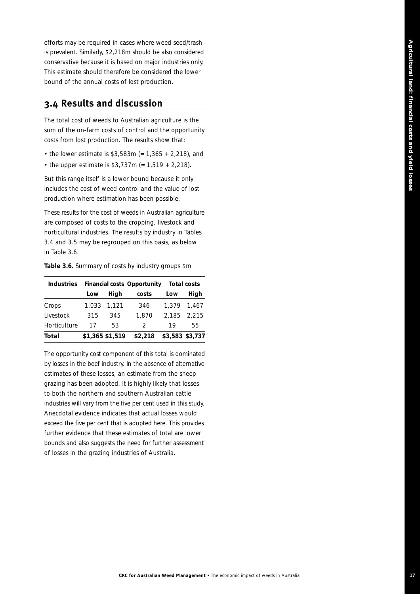efforts may be required in cases where weed seed/trash is prevalent. Similarly, \$2,218m should be also considered conservative because it is based on major industries only. This estimate should therefore be considered the lower bound of the annual costs of lost production.

## **3.4 Results and discussion**

The total cost of weeds to Australian agriculture is the sum of the on-farm costs of control and the opportunity costs from lost production. The results show that:

- the lower estimate is  $$3,583m (= 1,365 + 2,218)$ , and
- the upper estimate is  $$3,737m (= 1,519 + 2,218)$ .

But this range itself is a lower bound because it only includes the cost of weed control and the value of lost production where estimation has been possible.

These results for the cost of weeds in Australian agriculture are composed of costs to the cropping, livestock and horticultural industries. The results by industry in Tables 3.4 and 3.5 may be regrouped on this basis, as below in Table 3.6.

**Table 3.6.** Summary of costs by industry groups \$m

| <b>Industries</b> |                 |      | <b>Financial costs Opportunity</b> |             | Total costs     |
|-------------------|-----------------|------|------------------------------------|-------------|-----------------|
|                   | Low             | High | costs                              | Low         | High            |
| Crops             | 1.033 1.121     |      | 346                                | 1.379       | 1.467           |
| Livestock         | 315             | 345  | 1,870                              | 2.185 2.215 |                 |
| Horticulture      | 17              | 53   | $\mathcal{D}$                      | 19          | 55.             |
| Total             | \$1,365 \$1,519 |      | \$2,218                            |             | \$3,583 \$3,737 |

The opportunity cost component of this total is dominated by losses in the beef industry. In the absence of alternative estimates of these losses, an estimate from the sheep grazing has been adopted. It is highly likely that losses to both the northern and southern Australian cattle industries will vary from the five per cent used in this study. Anecdotal evidence indicates that actual losses would exceed the five per cent that is adopted here. This provides further evidence that these estimates of total are lower bounds and also suggests the need for further assessment of losses in the grazing industries of Australia.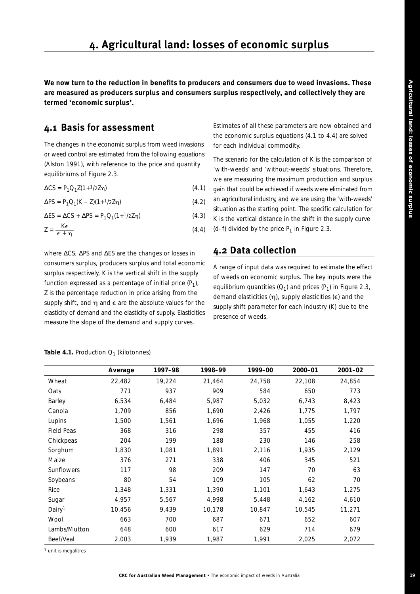**We now turn to the reduction in benefits to producers and consumers due to weed invasions. These are measured as producers surplus and consumers surplus respectively, and collectively they are termed 'economic surplus'.**

# **4.1 Basis for assessment**

The changes in the economic surplus from weed invasions or weed control are estimated from the following equations (Alston 1991), with reference to the price and quantity equilibriums of Figure 2.3.

 $ΔCS = P_1Q_1Z(1+1/2Zn)$  $(4.1)$ 

 $ΔPS = P_1Q_1(K – Z)(1+1/2Zn)$  $(4.2)$ 

 $\Delta ES = \Delta CS + \Delta PS = P_1 Q_1 (1 + \frac{1}{2} Z_1)$  $(4.3)$ 

$$
Z = \frac{K\epsilon}{\epsilon + \eta} \tag{4.4}
$$

where ∆*CS*, ∆*PS* and ∆*ES* are the changes or losses in consumers surplus, producers surplus and total economic surplus respectively, *K* is the vertical shift in the supply function expressed as a percentage of initial price  $(P_1)$ , *Z* is the percentage reduction in price arising from the supply shift, and  $\eta$  and  $\epsilon$  are the absolute values for the elasticity of demand and the elasticity of supply. Elasticities measure the slope of the demand and supply curves.

Estimates of all these parameters are now obtained and the economic surplus equations (4.1 to 4.4) are solved for each individual commodity.

The scenario for the calculation of *K* is the comparison of 'with-weeds' and 'without-weeds' situations. Therefore, we are measuring the maximum production and surplus gain that could be achieved if weeds were eliminated from an agricultural industry, and we are using the 'with-weeds' situation as the starting point. The specific calculation for *K* is the vertical distance in the shift in the supply curve  $(d-f)$  divided by the price  $P_1$  in Figure 2.3.

# **4.2 Data collection**

A range of input data was required to estimate the effect of weeds on economic surplus. The key inputs were the equilibrium quantities  $(Q_1)$  and prices  $(P_1)$  in Figure 2.3, demand elasticities  $(\eta)$ , supply elasticities ( $\epsilon$ ) and the supply shift parameter for each industry (*K*) due to the presence of weeds.

|                    | Average | 1997-98 | 1998-99 | 1999–00 | 2000-01 | 2001-02 |
|--------------------|---------|---------|---------|---------|---------|---------|
| Wheat              | 22,482  | 19,224  | 21,464  | 24,758  | 22,108  | 24,854  |
| Oats               | 771     | 937     | 909     | 584     | 650     | 773     |
| Barley             | 6,534   | 6,484   | 5,987   | 5,032   | 6,743   | 8,423   |
| Canola             | 1,709   | 856     | 1,690   | 2,426   | 1,775   | 1,797   |
| Lupins             | 1,500   | 1,561   | 1,696   | 1,968   | 1,055   | 1,220   |
| Field Peas         | 368     | 316     | 298     | 357     | 455     | 416     |
| Chickpeas          | 204     | 199     | 188     | 230     | 146     | 258     |
| Sorghum            | 1,830   | 1,081   | 1,891   | 2,116   | 1,935   | 2,129   |
| Maize              | 376     | 271     | 338     | 406     | 345     | 521     |
| Sunflowers         | 117     | 98      | 209     | 147     | 70      | 63      |
| Soybeans           | 80      | 54      | 109     | 105     | 62      | 70      |
| Rice               | 1,348   | 1,331   | 1,390   | 1,101   | 1,643   | 1,275   |
| Sugar              | 4,957   | 5,567   | 4,998   | 5,448   | 4,162   | 4,610   |
| Dairy <sup>1</sup> | 10,456  | 9,439   | 10,178  | 10,847  | 10,545  | 11,271  |
| Wool               | 663     | 700     | 687     | 671     | 652     | 607     |
| Lambs/Mutton       | 648     | 600     | 617     | 629     | 714     | 679     |
| Beef/Veal          | 2,003   | 1,939   | 1,987   | 1,991   | 2,025   | 2,072   |

**Table 4.1.** Production  $Q_1$  (kilotonnes)

*1 unit is megalitres*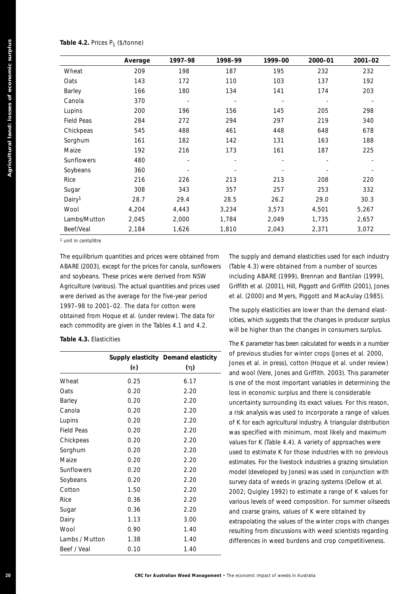|                         | Average                                                                                                                                                                                                                                                                                                                                    | 1997-98  | 1998-99 | 1999-00                                                                                                                                                                                                                                                                                                                                                                | 2000-01 | 2001-02 |
|-------------------------|--------------------------------------------------------------------------------------------------------------------------------------------------------------------------------------------------------------------------------------------------------------------------------------------------------------------------------------------|----------|---------|------------------------------------------------------------------------------------------------------------------------------------------------------------------------------------------------------------------------------------------------------------------------------------------------------------------------------------------------------------------------|---------|---------|
| Wheat                   | 209                                                                                                                                                                                                                                                                                                                                        | 198      | 187     | 195                                                                                                                                                                                                                                                                                                                                                                    | 232     | 232     |
| Oats                    | 143                                                                                                                                                                                                                                                                                                                                        | 172      | 110     | 103                                                                                                                                                                                                                                                                                                                                                                    | 137     | 192     |
| Barley                  | 166                                                                                                                                                                                                                                                                                                                                        | 180      | 134     | 141                                                                                                                                                                                                                                                                                                                                                                    | 174     | 203     |
| Canola                  | 370                                                                                                                                                                                                                                                                                                                                        |          |         |                                                                                                                                                                                                                                                                                                                                                                        |         |         |
| Lupins                  | 200                                                                                                                                                                                                                                                                                                                                        | 196      | 156     | 145                                                                                                                                                                                                                                                                                                                                                                    | 205     | 298     |
| Field Peas              | 284                                                                                                                                                                                                                                                                                                                                        | 272      | 294     | 297                                                                                                                                                                                                                                                                                                                                                                    | 219     | 340     |
| Chickpeas               | 545                                                                                                                                                                                                                                                                                                                                        | 488      | 461     | 448                                                                                                                                                                                                                                                                                                                                                                    | 648     | 678     |
| Sorghum                 | 161                                                                                                                                                                                                                                                                                                                                        | 182      | 142     | 131                                                                                                                                                                                                                                                                                                                                                                    | 163     | 188     |
| Maize                   | 192                                                                                                                                                                                                                                                                                                                                        | 216      | 173     | 161                                                                                                                                                                                                                                                                                                                                                                    | 187     | 225     |
| Sunflowers              | 480                                                                                                                                                                                                                                                                                                                                        |          |         |                                                                                                                                                                                                                                                                                                                                                                        |         |         |
| Soybeans                | 360                                                                                                                                                                                                                                                                                                                                        |          |         |                                                                                                                                                                                                                                                                                                                                                                        |         |         |
| Rice                    | 216                                                                                                                                                                                                                                                                                                                                        | 226      | 213     | 213                                                                                                                                                                                                                                                                                                                                                                    | 208     | 220     |
|                         |                                                                                                                                                                                                                                                                                                                                            |          |         |                                                                                                                                                                                                                                                                                                                                                                        |         | 332     |
| Sugar                   | 308                                                                                                                                                                                                                                                                                                                                        | 343      | 357     | 257                                                                                                                                                                                                                                                                                                                                                                    | 253     |         |
| Dairy <sup>1</sup>      | 28.7                                                                                                                                                                                                                                                                                                                                       | 29.4     | 28.5    | 26.2                                                                                                                                                                                                                                                                                                                                                                   | 29.0    | 30.3    |
| Wool                    | 4,204                                                                                                                                                                                                                                                                                                                                      | 4,443    | 3,234   | 3,573                                                                                                                                                                                                                                                                                                                                                                  | 4,501   | 5,267   |
| Lambs/Mutton            | 2,045                                                                                                                                                                                                                                                                                                                                      | 2,000    | 1,784   | 2,049                                                                                                                                                                                                                                                                                                                                                                  | 1,735   | 2,657   |
| Beef/Veal               | 2,184                                                                                                                                                                                                                                                                                                                                      | 1,626    | 1,810   | 2,043                                                                                                                                                                                                                                                                                                                                                                  | 2,371   | 3,072   |
|                         | and soybeans. These prices were derived from NSW<br>Agriculture (various). The actual quantities and prices used<br>were derived as the average for the five-year period<br>1997-98 to 2001-02. The data for cotton were<br>obtained from Hoque et al. (under review). The data for<br>each commodity are given in the Tables 4.1 and 4.2. |          |         | including ABARE (1999), Brennan and Bantilan (1999),<br>Griffith et al. (2001), Hill, Piggott and Griffith (2001), Jones<br>et al. (2000) and Myers, Piggott and MacAulay (1985).<br>The supply elasticities are lower than the demand elast-<br>icities, which suggests that the changes in producer surplus<br>will be higher than the changes in consumers surplus. |         |         |
| Table 4.3. Elasticities |                                                                                                                                                                                                                                                                                                                                            |          |         | The $K$ parameter has been calculated for weeds in a number                                                                                                                                                                                                                                                                                                            |         |         |
|                         | Supply elasticity Demand elasticity                                                                                                                                                                                                                                                                                                        |          |         | of previous studies for winter crops (Jones et al. 2000)                                                                                                                                                                                                                                                                                                               |         |         |
|                         | $(\epsilon)$                                                                                                                                                                                                                                                                                                                               | $(\eta)$ |         | Jones et al. in press), cotton (Hoque et al. under review)                                                                                                                                                                                                                                                                                                             |         |         |
|                         |                                                                                                                                                                                                                                                                                                                                            |          |         | and wool (Vere, Jones and Griffith. 2003). This parameter                                                                                                                                                                                                                                                                                                              |         |         |
|                         | 0.25                                                                                                                                                                                                                                                                                                                                       | 6.17     |         | is one of the most important variables in determining the                                                                                                                                                                                                                                                                                                              |         |         |
| Wheat<br>Oats           | 0.20                                                                                                                                                                                                                                                                                                                                       | 2.20     |         | loss in economic surplus and there is considerable                                                                                                                                                                                                                                                                                                                     |         |         |
| Barley                  | 0.20                                                                                                                                                                                                                                                                                                                                       | 2.20     |         | uncertainty surrounding its exact values. For this reason,                                                                                                                                                                                                                                                                                                             |         |         |
| Canola                  | 0.20                                                                                                                                                                                                                                                                                                                                       | 2.20     |         | a risk analysis was used to incorporate a range of values                                                                                                                                                                                                                                                                                                              |         |         |
| Lupins                  | 0.20                                                                                                                                                                                                                                                                                                                                       | 2.20     |         | of K for each agricultural industry. A triangular distribution                                                                                                                                                                                                                                                                                                         |         |         |
| Field Peas              | 0.20                                                                                                                                                                                                                                                                                                                                       | 2.20     |         | was specified with minimum, most likely and maximum                                                                                                                                                                                                                                                                                                                    |         |         |
| Chickpeas               | 0.20                                                                                                                                                                                                                                                                                                                                       | 2.20     |         | values for K (Table 4.4). A variety of approaches were                                                                                                                                                                                                                                                                                                                 |         |         |
|                         | 0.20                                                                                                                                                                                                                                                                                                                                       | 2.20     |         | used to estimate $K$ for those industries with no previous                                                                                                                                                                                                                                                                                                             |         |         |
| Sorghum<br>Maize        | 0.20                                                                                                                                                                                                                                                                                                                                       | 2.20     |         | estimates. For the livestock industries a grazing simulation                                                                                                                                                                                                                                                                                                           |         |         |
| Sunflowers              | 0.20                                                                                                                                                                                                                                                                                                                                       | 2.20     |         | model (developed by Jones) was used in conjunction with                                                                                                                                                                                                                                                                                                                |         |         |
| Soybeans                | 0.20                                                                                                                                                                                                                                                                                                                                       | 2.20     |         | survey data of weeds in grazing systems (Dellow et al.                                                                                                                                                                                                                                                                                                                 |         |         |
| Cotton                  | 1.50                                                                                                                                                                                                                                                                                                                                       | 2.20     |         | 2002; Quigley 1992) to estimate a range of K values for                                                                                                                                                                                                                                                                                                                |         |         |
| Rice                    | 0.36                                                                                                                                                                                                                                                                                                                                       | 2.20     |         | various levels of weed composition. For summer oilseeds                                                                                                                                                                                                                                                                                                                |         |         |
|                         | 0.36                                                                                                                                                                                                                                                                                                                                       | 2.20     |         | and coarse grains, values of K were obtained by                                                                                                                                                                                                                                                                                                                        |         |         |
| Dairy                   | 1.13                                                                                                                                                                                                                                                                                                                                       | 3.00     |         | extrapolating the values of the winter crops with changes                                                                                                                                                                                                                                                                                                              |         |         |
| Sugar<br>Wool           | 0.90                                                                                                                                                                                                                                                                                                                                       | 1.40     |         | resulting from discussions with weed scientists regarding                                                                                                                                                                                                                                                                                                              |         |         |
| Lambs / Mutton          | 1.38                                                                                                                                                                                                                                                                                                                                       | 1.40     |         | differences in weed burdens and crop competitiveness.                                                                                                                                                                                                                                                                                                                  |         |         |

#### **Table 4.3.** Elasticities

|                   |      | Supply elasticity Demand elasticity |
|-------------------|------|-------------------------------------|
|                   | (€)  | (უ)                                 |
| Wheat             | 0.25 | 6.17                                |
| Oats              | 0.20 | 2.20                                |
| Barley            | 0.20 | 2.20                                |
| Canola            | 0.20 | 2.20                                |
| Lupins            | 0.20 | 2.20                                |
| <b>Field Peas</b> | 0.20 | 2.20                                |
| Chickpeas         | 0.20 | 2.20                                |
| Sorghum           | 0.20 | 2.20                                |
| Maize             | 0.20 | 2.20                                |
| Sunflowers        | 0.20 | 2.20                                |
| Soybeans          | 0.20 | 2.20                                |
| Cotton            | 1.50 | 2.20                                |
| Rice              | 0.36 | 2.20                                |
| Sugar             | 0.36 | 2.20                                |
| Dairy             | 1.13 | 3.00                                |
| Wool              | 0.90 | 1.40                                |
| Lambs / Mutton    | 1.38 | 1.40                                |
| Beef / Veal       | 0.10 | 1.40                                |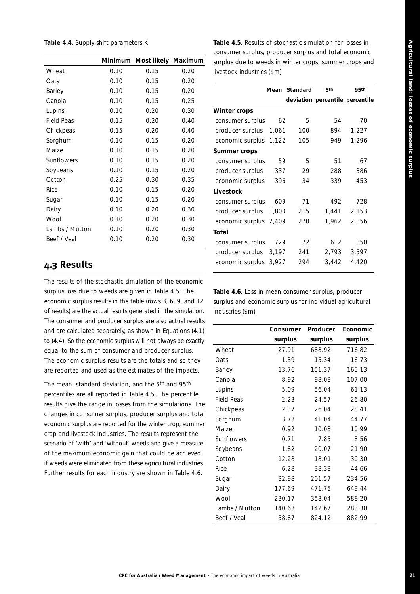#### **Table 4.4.** Supply shift parameters *K*

|                | Minimum | Most likely Maximum |      |
|----------------|---------|---------------------|------|
| Wheat          | 0.10    | 0.15                | 0.20 |
| Oats           | 0.10    | 0.15                | 0.20 |
| Barley         | 0.10    | 0.15                | 0.20 |
| Canola         | 0.10    | 0.15                | 0.25 |
| Lupins         | 0.10    | 0.20                | 0.30 |
| Field Peas     | 0.15    | 0.20                | 0.40 |
| Chickpeas      | 0.15    | 0.20                | 0.40 |
| Sorghum        | 0.10    | 0.15                | 0.20 |
| Maize          | 0.10    | 0.15                | 0.20 |
| Sunflowers     | 0.10    | 0.15                | 0.20 |
| Soybeans       | 0.10    | 0.15                | 0.20 |
| Cotton         | 0.25    | 0.30                | 0.35 |
| Rice           | 0.10    | 0.15                | 0.20 |
| Sugar          | 0.10    | 0.15                | 0.20 |
| Dairy          | 0.10    | 0.20                | 0.30 |
| Wool           | 0.10    | 0.20                | 0.30 |
| Lambs / Mutton | 0.10    | 0.20                | 0.30 |
| Beef / Veal    | 0.10    | 0.20                | 0.30 |
|                |         |                     |      |

# **4.3 Results**

The results of the stochastic simulation of the economic surplus loss due to weeds are given in Table 4.5. The economic surplus results in the table (rows 3, 6, 9, and 12 of results) are the actual results generated in the simulation. The consumer and producer surplus are also actual results and are calculated separately, as shown in Equations (4.1) to (4.4). So the economic surplus will not always be exactly equal to the sum of consumer and producer surplus. The economic surplus results are the totals and so they are reported and used as the estimates of the impacts.

The mean, standard deviation, and the 5<sup>th</sup> and 95<sup>th</sup> percentiles are all reported in Table 4.5. The percentile results give the range in losses from the simulations. The changes in consumer surplus, producer surplus and total economic surplus are reported for the winter crop, summer crop and livestock industries. The results represent the scenario of 'with' and 'without' weeds and give a measure of the maximum economic gain that could be achieved if weeds were eliminated from these agricultural industries. Further results for each industry are shown in Table 4.6.

**Table 4.5.** Results of stochastic simulation for losses in consumer surplus, producer surplus and total economic surplus due to weeds in winter crops, summer crops and livestock industries (\$m)

|                  | Mean  | Standard | 5 <sub>th</sub>                 | 95th  |
|------------------|-------|----------|---------------------------------|-------|
|                  |       |          | deviation percentile percentile |       |
| Winter crops     |       |          |                                 |       |
| consumer surplus | 62    | 5        | 54                              | 70    |
| producer surplus | 1,061 | 100      | 894                             | 1.227 |
| economic surplus | 1,122 | 105      | 949                             | 1,296 |
| Summer crops     |       |          |                                 |       |
| consumer surplus | 59    | 5        | 51                              | 67    |
| producer surplus | 337   | 29       | 288                             | 386   |
| economic surplus | 396   | 34       | 339                             | 453   |
| Livestock        |       |          |                                 |       |
| consumer surplus | 609   | 71       | 492                             | 728   |
| producer surplus | 1,800 | 215      | 1,441                           | 2,153 |
| economic surplus | 2,409 | 270      | 1,962                           | 2,856 |
| Total            |       |          |                                 |       |
| consumer surplus | 729   | 72       | 612                             | 850   |
| producer surplus | 3,197 | 241      | 2,793                           | 3,597 |
| economic surplus | 3,927 | 294      | 3,442                           | 4,420 |
|                  |       |          |                                 |       |

**Table 4.6.** Loss in mean consumer surplus, producer surplus and economic surplus for individual agricultural industries (\$m)

|                   | Consumer | Producer | Economic |
|-------------------|----------|----------|----------|
|                   | surplus  | surplus  | surplus  |
| Wheat             | 27.91    | 688.92   | 716.82   |
| Oats              | 1.39     | 15.34    | 16.73    |
| Barley            | 13.76    | 151.37   | 165.13   |
| Canola            | 8.92     | 98.08    | 107.00   |
| Lupins            | 5.09     | 56.04    | 61.13    |
| <b>Field Peas</b> | 2.23     | 24.57    | 26.80    |
| Chickpeas         | 2.37     | 26.04    | 28.41    |
| Sorghum           | 3.73     | 41.04    | 44.77    |
| Maize             | 0.92     | 10.08    | 10.99    |
| Sunflowers        | 0.71     | 7.85     | 8.56     |
| Soybeans          | 1.82     | 20.07    | 21.90    |
| Cotton            | 12.28    | 18.01    | 30.30    |
| Rice              | 6.28     | 38.38    | 44.66    |
| Sugar             | 32.98    | 201.57   | 234.56   |
| Dairy             | 177.69   | 471.75   | 649.44   |
| Wool              | 230.17   | 358.04   | 588.20   |
| Lambs / Mutton    | 140.63   | 142.67   | 283.30   |
| Beef / Veal       | 58.87    | 824.12   | 882.99   |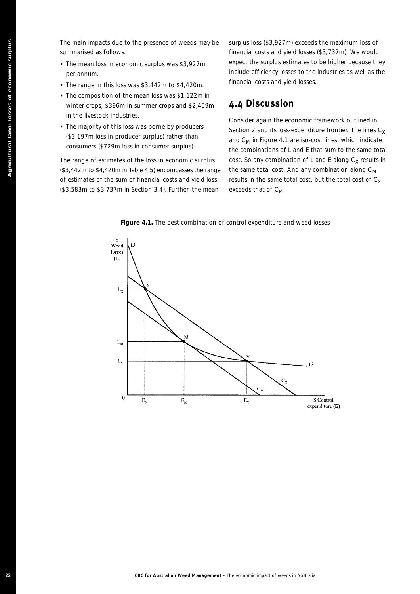The main impacts due to the presence of weeds may be summarised as follows.

- The mean loss in economic surplus was \$3,927m per annum.
- The range in this loss was \$3,442m to \$4,420m.
- The composition of the mean loss was \$1,122m in winter crops, \$396m in summer crops and \$2,409m in the livestock industries.
- The majority of this loss was borne by producers (\$3,197m loss in producer surplus) rather than consumers (\$729m loss in consumer surplus).

The range of estimates of the loss in economic surplus (\$3,442m to \$4,420m in Table 4.5) encompasses the range of estimates of the sum of financial costs and yield loss (\$3,583m to \$3,737m in Section 3.4). Further, the mean

surplus loss (\$3,927m) exceeds the maximum loss of financial costs and yield losses (\$3,737m). We would expect the surplus estimates to be higher because they include efficiency losses to the industries as well as the financial costs and yield losses.

# **4.4 Discussion**

Consider again the economic framework outlined in Section 2 and its loss-expenditure frontier. The lines  $C_X$ and  $C_M$  in Figure 4.1 are iso-cost lines, which indicate the combinations of L and E that sum to the same total cost. So any combination of L and E along  $C_X$  results in the same total cost. And any combination along  $C_M$ results in the same total cost, but the total cost of  $C_X$ exceeds that of  $C_M$ .



**Figure 4.1.** The best combination of control expenditure and weed losses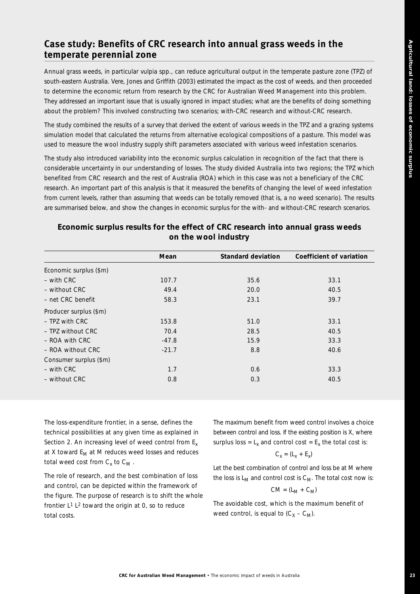# **Case study: Benefits of CRC research into annual grass weeds in the temperate perennial zone**

Annual grass weeds, in particular vulpia *spp.*, can reduce agricultural output in the temperate pasture zone (TPZ) of south-eastern Australia. Vere, Jones and Griffith (2003) estimated the impact as the cost of weeds, and then proceeded to determine the economic return from research by the CRC for Australian Weed Management into this problem. They addressed an important issue that is usually ignored in impact studies; what are the benefits of doing something about the problem? This involved constructing two scenarios; with-CRC research and without-CRC research.

The study combined the results of a survey that derived the extent of various weeds in the TPZ and a grazing systems simulation model that calculated the returns from alternative ecological compositions of a pasture. This model was used to measure the wool industry supply shift parameters associated with various weed infestation scenarios.

The study also introduced variability into the economic surplus calculation in recognition of the fact that there is considerable uncertainty in our understanding of losses. The study divided Australia into two regions; the TPZ which benefited from CRC research and the rest of Australia (ROA) which in this case was not a beneficiary of the CRC research. An important part of this analysis is that it measured the benefits of changing the level of weed infestation from current levels, rather than assuming that weeds can be totally removed (that is, a no weed scenario). The results are summarised below, and show the changes in economic surplus for the with- and without-CRC research scenarios.

|                        | Mean    | <b>Standard deviation</b> | Coefficient of variation |
|------------------------|---------|---------------------------|--------------------------|
| Economic surplus (\$m) |         |                           |                          |
| $-$ with CRC           | 107.7   | 35.6                      | 33.1                     |
| $-$ without CRC        | 49.4    | 20.0                      | 40.5                     |
| - net CRC benefit      | 58.3    | 23.1                      | 39.7                     |
| Producer surplus (\$m) |         |                           |                          |
| $-$ TPZ with CRC       | 153.8   | 51.0                      | 33.1                     |
| $-$ TPZ without CRC    | 70.4    | 28.5                      | 40.5                     |
| $-$ ROA with CRC       | $-47.8$ | 15.9                      | 33.3                     |
| $-$ ROA without CRC    | $-21.7$ | 8.8                       | 40.6                     |
| Consumer surplus (\$m) |         |                           |                          |
| – with CRC             | 1.7     | 0.6                       | 33.3                     |
| $-$ without CRC        | 0.8     | 0.3                       | 40.5                     |

#### **Economic surplus results for the effect of CRC research into annual grass weeds on the wool industry**

The loss-expenditure frontier, in a sense, defines the technical possibilities at any given time as explained in Section 2. An increasing level of weed control from  $E_x$ at X toward  $E_M$  at M reduces weed losses and reduces total weed cost from  $C_x$  to  $C_M$ .

The role of research, and the best combination of loss and control, can be depicted within the framework of the figure. The purpose of research is to shift the whole frontier  $L^1 L^2$  toward the origin at 0, so to reduce total costs.

The maximum benefit from weed control involves a choice between control and loss. If the existing position is X, where surplus loss =  $L_x$  and control cost =  $E_x$  the total cost is:

$$
C_x = (L_x + E_x)
$$

Let the best combination of control and loss be at M where the loss is  $L_M$  and control cost is  $C_M$ . The total cost now is:

$$
CM = (L_M + C_M)
$$

The avoidable cost, which is the maximum benefit of weed control, is equal to  $(C_X - C_M)$ .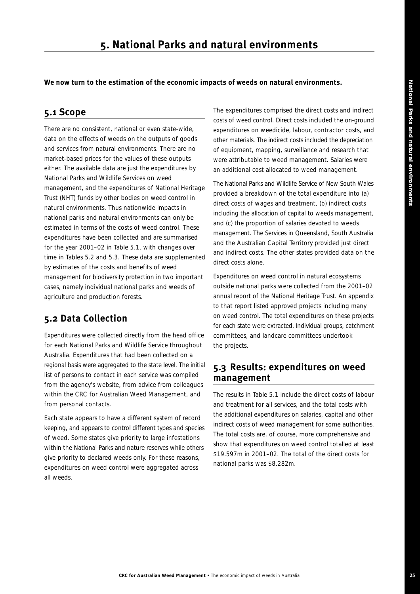**We now turn to the estimation of the economic impacts of weeds on natural environments.** 

# **5.1 Scope**

There are no consistent, national or even state-wide, data on the effects of weeds on the outputs of goods and services from natural environments. There are no market-based prices for the values of these outputs either. The available data are just the expenditures by National Parks and Wildlife Services on weed management, and the expenditures of National Heritage Trust (NHT) funds by other bodies on weed control in natural environments. Thus nationwide impacts in national parks and natural environments can only be estimated in terms of the costs of weed control. These expenditures have been collected and are summarised for the year 2001–02 in Table 5.1, with changes over time in Tables 5.2 and 5.3. These data are supplemented by estimates of the costs and benefits of weed management for biodiversity protection in two important cases, namely individual national parks and weeds of agriculture and production forests.

# **5.2 Data Collection**

Expenditures were collected directly from the head office for each National Parks and Wildlife Service throughout Australia. Expenditures that had been collected on a regional basis were aggregated to the state level. The initial list of persons to contact in each service was compiled from the agency's website, from advice from colleagues within the CRC for Australian Weed Management, and from personal contacts.

Each state appears to have a different system of record keeping, and appears to control different types and species of weed. Some states give priority to large infestations within the National Parks and nature reserves while others give priority to declared weeds only. For these reasons, expenditures on weed control were aggregated across all weeds.

The expenditures comprised the direct costs and indirect costs of weed control. Direct costs included the on-ground expenditures on weedicide, labour, contractor costs, and other materials. The indirect costs included the depreciation of equipment, mapping, surveillance and research that were attributable to weed management. Salaries were an additional cost allocated to weed management.

The National Parks and Wildlife Service of New South Wales provided a breakdown of the total expenditure into (a) direct costs of wages and treatment, (b) indirect costs including the allocation of capital to weeds management, and (c) the proportion of salaries devoted to weeds management. The Services in Queensland, South Australia and the Australian Capital Territory provided just direct and indirect costs. The other states provided data on the direct costs alone.

Expenditures on weed control in natural ecosystems outside national parks were collected from the 2001–02 annual report of the National Heritage Trust. An appendix to that report listed approved projects including many on weed control. The total expenditures on these projects for each state were extracted. Individual groups, catchment committees, and landcare committees undertook the projects.

# **5.3 Results: expenditures on weed management**

The results in Table 5.1 include the direct costs of labour and treatment for all services, and the total costs with the additional expenditures on salaries, capital and other indirect costs of weed management for some authorities. The total costs are, of course, more comprehensive and show that expenditures on weed control totalled at least \$19.597m in 2001–02. The total of the direct costs for national parks was \$8.282m.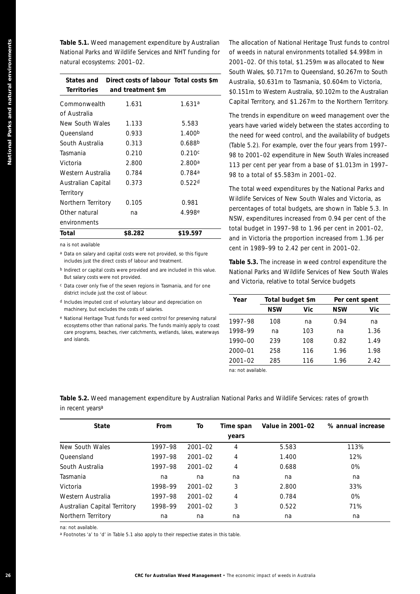| <b>Territories</b><br>and treatment \$m<br>\$0.151m to Western Australia,<br>Capital Territory, and \$1.267m<br>Commonwealth<br>1.631ª<br>1.631<br>of Australia<br>The trends in expenditure on w<br>New South Wales<br>5.583<br>1.133<br>years have varied widely betwe<br>Queensland<br>1.400 <sup>b</sup><br>0.933<br>the need for weed control, and<br>South Australia<br>0.313<br>0.688 <sup>b</sup><br>(Table 5.2). For example, over t<br>Tasmania<br>0.210<br>0.210c<br>98 to 2001-02 expenditure in N<br>Victoria<br>2.800<br>2.800 <sup>a</sup><br>113 per cent per year from a b<br>Western Australia<br>0.784<br>0.784a<br>98 to a total of \$5.583m in 20<br>Australian Capital<br>0.522 <sup>d</sup><br>0.373<br>The total weed expenditures b<br>Territory<br>Wildlife Services of New South<br>Northern Territory<br>0.981<br>0.105<br>percentages of total budgets,<br>Other natural<br>4.998 <sup>e</sup><br>na<br>NSW, expenditures increased f<br>environments<br>total budget in 1997-98 to 1.<br>\$8.282<br>\$19.597<br>Total<br>and in Victoria the proportion<br>na is not available<br>cent in 1989-99 to 2.42 per c<br>a Data on salary and capital costs were not provided, so this figure<br>includes just the direct costs of labour and treatment.<br>Table 5.3. The increase in wee<br><sup>b</sup> Indirect or capital costs were provided and are included in this value.<br>National Parks and Wildlife Ser<br>But salary costs were not provided.<br>and Victoria, relative to total S<br>c Data cover only five of the seven regions in Tasmania, and for one<br>district include just the cost of labour.<br>Total budget \$m<br>Year<br>d Includes imputed cost of voluntary labour and depreciation on<br><b>NSW</b><br>machinery, but excludes the costs of salaries.<br><sup>e</sup> National Heritage Trust funds for weed control for preserving natural<br>1997-98<br>108<br>ecosystems other than national parks. The funds mainly apply to coast<br>1998-99<br>na<br>care programs, beaches, river catchments, wetlands, lakes, waterways<br>and islands.<br>1990-00<br>239<br>$2000 - 01$<br>258<br>$2001 - 02$<br>285<br>na: not available.<br>Table 5.2. Weed management expenditure by Australian National Parks and Wildlife Servic<br>in recent years <sup>a</sup><br>From<br>Value in 2001-02<br><b>State</b><br>To<br>Time span<br>years<br>New South Wales<br>$2001 - 02$<br>5.583<br>1997-98<br>4<br>Queensland<br>1997-98<br>$2001 - 02$<br>1.400<br>4<br>South Australia<br>$2001 - 02$<br>0.688<br>1997–98<br>4<br>Tasmania<br>na<br>na<br>na<br>na<br>Victoria<br>$2001 - 02$<br>1998-99<br>3<br>2.800<br>Western Australia<br>$2001 - 02$<br>0.784<br>1997–98<br>4<br>Australian Capital Territory<br>1998-99<br>$2001 - 02$<br>0.522<br>3<br>Northern Territory<br>na<br>na<br>na<br>na<br>na: not available. | States and | Direct costs of labour Total costs \$m |  | South Wales, \$0.717m to Quee<br>Australia, \$0.631m to Tasmani |     |
|-----------------------------------------------------------------------------------------------------------------------------------------------------------------------------------------------------------------------------------------------------------------------------------------------------------------------------------------------------------------------------------------------------------------------------------------------------------------------------------------------------------------------------------------------------------------------------------------------------------------------------------------------------------------------------------------------------------------------------------------------------------------------------------------------------------------------------------------------------------------------------------------------------------------------------------------------------------------------------------------------------------------------------------------------------------------------------------------------------------------------------------------------------------------------------------------------------------------------------------------------------------------------------------------------------------------------------------------------------------------------------------------------------------------------------------------------------------------------------------------------------------------------------------------------------------------------------------------------------------------------------------------------------------------------------------------------------------------------------------------------------------------------------------------------------------------------------------------------------------------------------------------------------------------------------------------------------------------------------------------------------------------------------------------------------------------------------------------------------------------------------------------------------------------------------------------------------------------------------------------------------------------------------------------------------------------------------------------------------------------------------------------------------------------------------------------------------------------------------------------------------------------------------------------------------------------------------------------------------------------------------------------------------------------------------------------------------------------------------------------------------------------------------------------------------------------------------------------------------------------------------|------------|----------------------------------------|--|-----------------------------------------------------------------|-----|
|                                                                                                                                                                                                                                                                                                                                                                                                                                                                                                                                                                                                                                                                                                                                                                                                                                                                                                                                                                                                                                                                                                                                                                                                                                                                                                                                                                                                                                                                                                                                                                                                                                                                                                                                                                                                                                                                                                                                                                                                                                                                                                                                                                                                                                                                                                                                                                                                                                                                                                                                                                                                                                                                                                                                                                                                                                                                             |            |                                        |  |                                                                 |     |
|                                                                                                                                                                                                                                                                                                                                                                                                                                                                                                                                                                                                                                                                                                                                                                                                                                                                                                                                                                                                                                                                                                                                                                                                                                                                                                                                                                                                                                                                                                                                                                                                                                                                                                                                                                                                                                                                                                                                                                                                                                                                                                                                                                                                                                                                                                                                                                                                                                                                                                                                                                                                                                                                                                                                                                                                                                                                             |            |                                        |  |                                                                 |     |
|                                                                                                                                                                                                                                                                                                                                                                                                                                                                                                                                                                                                                                                                                                                                                                                                                                                                                                                                                                                                                                                                                                                                                                                                                                                                                                                                                                                                                                                                                                                                                                                                                                                                                                                                                                                                                                                                                                                                                                                                                                                                                                                                                                                                                                                                                                                                                                                                                                                                                                                                                                                                                                                                                                                                                                                                                                                                             |            |                                        |  |                                                                 |     |
|                                                                                                                                                                                                                                                                                                                                                                                                                                                                                                                                                                                                                                                                                                                                                                                                                                                                                                                                                                                                                                                                                                                                                                                                                                                                                                                                                                                                                                                                                                                                                                                                                                                                                                                                                                                                                                                                                                                                                                                                                                                                                                                                                                                                                                                                                                                                                                                                                                                                                                                                                                                                                                                                                                                                                                                                                                                                             |            |                                        |  |                                                                 |     |
|                                                                                                                                                                                                                                                                                                                                                                                                                                                                                                                                                                                                                                                                                                                                                                                                                                                                                                                                                                                                                                                                                                                                                                                                                                                                                                                                                                                                                                                                                                                                                                                                                                                                                                                                                                                                                                                                                                                                                                                                                                                                                                                                                                                                                                                                                                                                                                                                                                                                                                                                                                                                                                                                                                                                                                                                                                                                             |            |                                        |  |                                                                 |     |
|                                                                                                                                                                                                                                                                                                                                                                                                                                                                                                                                                                                                                                                                                                                                                                                                                                                                                                                                                                                                                                                                                                                                                                                                                                                                                                                                                                                                                                                                                                                                                                                                                                                                                                                                                                                                                                                                                                                                                                                                                                                                                                                                                                                                                                                                                                                                                                                                                                                                                                                                                                                                                                                                                                                                                                                                                                                                             |            |                                        |  |                                                                 |     |
|                                                                                                                                                                                                                                                                                                                                                                                                                                                                                                                                                                                                                                                                                                                                                                                                                                                                                                                                                                                                                                                                                                                                                                                                                                                                                                                                                                                                                                                                                                                                                                                                                                                                                                                                                                                                                                                                                                                                                                                                                                                                                                                                                                                                                                                                                                                                                                                                                                                                                                                                                                                                                                                                                                                                                                                                                                                                             |            |                                        |  |                                                                 |     |
|                                                                                                                                                                                                                                                                                                                                                                                                                                                                                                                                                                                                                                                                                                                                                                                                                                                                                                                                                                                                                                                                                                                                                                                                                                                                                                                                                                                                                                                                                                                                                                                                                                                                                                                                                                                                                                                                                                                                                                                                                                                                                                                                                                                                                                                                                                                                                                                                                                                                                                                                                                                                                                                                                                                                                                                                                                                                             |            |                                        |  |                                                                 |     |
|                                                                                                                                                                                                                                                                                                                                                                                                                                                                                                                                                                                                                                                                                                                                                                                                                                                                                                                                                                                                                                                                                                                                                                                                                                                                                                                                                                                                                                                                                                                                                                                                                                                                                                                                                                                                                                                                                                                                                                                                                                                                                                                                                                                                                                                                                                                                                                                                                                                                                                                                                                                                                                                                                                                                                                                                                                                                             |            |                                        |  |                                                                 |     |
|                                                                                                                                                                                                                                                                                                                                                                                                                                                                                                                                                                                                                                                                                                                                                                                                                                                                                                                                                                                                                                                                                                                                                                                                                                                                                                                                                                                                                                                                                                                                                                                                                                                                                                                                                                                                                                                                                                                                                                                                                                                                                                                                                                                                                                                                                                                                                                                                                                                                                                                                                                                                                                                                                                                                                                                                                                                                             |            |                                        |  |                                                                 |     |
|                                                                                                                                                                                                                                                                                                                                                                                                                                                                                                                                                                                                                                                                                                                                                                                                                                                                                                                                                                                                                                                                                                                                                                                                                                                                                                                                                                                                                                                                                                                                                                                                                                                                                                                                                                                                                                                                                                                                                                                                                                                                                                                                                                                                                                                                                                                                                                                                                                                                                                                                                                                                                                                                                                                                                                                                                                                                             |            |                                        |  |                                                                 |     |
|                                                                                                                                                                                                                                                                                                                                                                                                                                                                                                                                                                                                                                                                                                                                                                                                                                                                                                                                                                                                                                                                                                                                                                                                                                                                                                                                                                                                                                                                                                                                                                                                                                                                                                                                                                                                                                                                                                                                                                                                                                                                                                                                                                                                                                                                                                                                                                                                                                                                                                                                                                                                                                                                                                                                                                                                                                                                             |            |                                        |  |                                                                 |     |
|                                                                                                                                                                                                                                                                                                                                                                                                                                                                                                                                                                                                                                                                                                                                                                                                                                                                                                                                                                                                                                                                                                                                                                                                                                                                                                                                                                                                                                                                                                                                                                                                                                                                                                                                                                                                                                                                                                                                                                                                                                                                                                                                                                                                                                                                                                                                                                                                                                                                                                                                                                                                                                                                                                                                                                                                                                                                             |            |                                        |  |                                                                 |     |
|                                                                                                                                                                                                                                                                                                                                                                                                                                                                                                                                                                                                                                                                                                                                                                                                                                                                                                                                                                                                                                                                                                                                                                                                                                                                                                                                                                                                                                                                                                                                                                                                                                                                                                                                                                                                                                                                                                                                                                                                                                                                                                                                                                                                                                                                                                                                                                                                                                                                                                                                                                                                                                                                                                                                                                                                                                                                             |            |                                        |  |                                                                 |     |
|                                                                                                                                                                                                                                                                                                                                                                                                                                                                                                                                                                                                                                                                                                                                                                                                                                                                                                                                                                                                                                                                                                                                                                                                                                                                                                                                                                                                                                                                                                                                                                                                                                                                                                                                                                                                                                                                                                                                                                                                                                                                                                                                                                                                                                                                                                                                                                                                                                                                                                                                                                                                                                                                                                                                                                                                                                                                             |            |                                        |  |                                                                 |     |
|                                                                                                                                                                                                                                                                                                                                                                                                                                                                                                                                                                                                                                                                                                                                                                                                                                                                                                                                                                                                                                                                                                                                                                                                                                                                                                                                                                                                                                                                                                                                                                                                                                                                                                                                                                                                                                                                                                                                                                                                                                                                                                                                                                                                                                                                                                                                                                                                                                                                                                                                                                                                                                                                                                                                                                                                                                                                             |            |                                        |  |                                                                 |     |
|                                                                                                                                                                                                                                                                                                                                                                                                                                                                                                                                                                                                                                                                                                                                                                                                                                                                                                                                                                                                                                                                                                                                                                                                                                                                                                                                                                                                                                                                                                                                                                                                                                                                                                                                                                                                                                                                                                                                                                                                                                                                                                                                                                                                                                                                                                                                                                                                                                                                                                                                                                                                                                                                                                                                                                                                                                                                             |            |                                        |  |                                                                 |     |
|                                                                                                                                                                                                                                                                                                                                                                                                                                                                                                                                                                                                                                                                                                                                                                                                                                                                                                                                                                                                                                                                                                                                                                                                                                                                                                                                                                                                                                                                                                                                                                                                                                                                                                                                                                                                                                                                                                                                                                                                                                                                                                                                                                                                                                                                                                                                                                                                                                                                                                                                                                                                                                                                                                                                                                                                                                                                             |            |                                        |  |                                                                 |     |
|                                                                                                                                                                                                                                                                                                                                                                                                                                                                                                                                                                                                                                                                                                                                                                                                                                                                                                                                                                                                                                                                                                                                                                                                                                                                                                                                                                                                                                                                                                                                                                                                                                                                                                                                                                                                                                                                                                                                                                                                                                                                                                                                                                                                                                                                                                                                                                                                                                                                                                                                                                                                                                                                                                                                                                                                                                                                             |            |                                        |  |                                                                 |     |
|                                                                                                                                                                                                                                                                                                                                                                                                                                                                                                                                                                                                                                                                                                                                                                                                                                                                                                                                                                                                                                                                                                                                                                                                                                                                                                                                                                                                                                                                                                                                                                                                                                                                                                                                                                                                                                                                                                                                                                                                                                                                                                                                                                                                                                                                                                                                                                                                                                                                                                                                                                                                                                                                                                                                                                                                                                                                             |            |                                        |  |                                                                 |     |
|                                                                                                                                                                                                                                                                                                                                                                                                                                                                                                                                                                                                                                                                                                                                                                                                                                                                                                                                                                                                                                                                                                                                                                                                                                                                                                                                                                                                                                                                                                                                                                                                                                                                                                                                                                                                                                                                                                                                                                                                                                                                                                                                                                                                                                                                                                                                                                                                                                                                                                                                                                                                                                                                                                                                                                                                                                                                             |            |                                        |  |                                                                 |     |
|                                                                                                                                                                                                                                                                                                                                                                                                                                                                                                                                                                                                                                                                                                                                                                                                                                                                                                                                                                                                                                                                                                                                                                                                                                                                                                                                                                                                                                                                                                                                                                                                                                                                                                                                                                                                                                                                                                                                                                                                                                                                                                                                                                                                                                                                                                                                                                                                                                                                                                                                                                                                                                                                                                                                                                                                                                                                             |            |                                        |  |                                                                 | Vic |
|                                                                                                                                                                                                                                                                                                                                                                                                                                                                                                                                                                                                                                                                                                                                                                                                                                                                                                                                                                                                                                                                                                                                                                                                                                                                                                                                                                                                                                                                                                                                                                                                                                                                                                                                                                                                                                                                                                                                                                                                                                                                                                                                                                                                                                                                                                                                                                                                                                                                                                                                                                                                                                                                                                                                                                                                                                                                             |            |                                        |  |                                                                 | na  |
|                                                                                                                                                                                                                                                                                                                                                                                                                                                                                                                                                                                                                                                                                                                                                                                                                                                                                                                                                                                                                                                                                                                                                                                                                                                                                                                                                                                                                                                                                                                                                                                                                                                                                                                                                                                                                                                                                                                                                                                                                                                                                                                                                                                                                                                                                                                                                                                                                                                                                                                                                                                                                                                                                                                                                                                                                                                                             |            |                                        |  |                                                                 | 103 |
|                                                                                                                                                                                                                                                                                                                                                                                                                                                                                                                                                                                                                                                                                                                                                                                                                                                                                                                                                                                                                                                                                                                                                                                                                                                                                                                                                                                                                                                                                                                                                                                                                                                                                                                                                                                                                                                                                                                                                                                                                                                                                                                                                                                                                                                                                                                                                                                                                                                                                                                                                                                                                                                                                                                                                                                                                                                                             |            |                                        |  |                                                                 | 108 |
|                                                                                                                                                                                                                                                                                                                                                                                                                                                                                                                                                                                                                                                                                                                                                                                                                                                                                                                                                                                                                                                                                                                                                                                                                                                                                                                                                                                                                                                                                                                                                                                                                                                                                                                                                                                                                                                                                                                                                                                                                                                                                                                                                                                                                                                                                                                                                                                                                                                                                                                                                                                                                                                                                                                                                                                                                                                                             |            |                                        |  |                                                                 | 116 |
|                                                                                                                                                                                                                                                                                                                                                                                                                                                                                                                                                                                                                                                                                                                                                                                                                                                                                                                                                                                                                                                                                                                                                                                                                                                                                                                                                                                                                                                                                                                                                                                                                                                                                                                                                                                                                                                                                                                                                                                                                                                                                                                                                                                                                                                                                                                                                                                                                                                                                                                                                                                                                                                                                                                                                                                                                                                                             |            |                                        |  |                                                                 | 116 |
|                                                                                                                                                                                                                                                                                                                                                                                                                                                                                                                                                                                                                                                                                                                                                                                                                                                                                                                                                                                                                                                                                                                                                                                                                                                                                                                                                                                                                                                                                                                                                                                                                                                                                                                                                                                                                                                                                                                                                                                                                                                                                                                                                                                                                                                                                                                                                                                                                                                                                                                                                                                                                                                                                                                                                                                                                                                                             |            |                                        |  |                                                                 |     |
|                                                                                                                                                                                                                                                                                                                                                                                                                                                                                                                                                                                                                                                                                                                                                                                                                                                                                                                                                                                                                                                                                                                                                                                                                                                                                                                                                                                                                                                                                                                                                                                                                                                                                                                                                                                                                                                                                                                                                                                                                                                                                                                                                                                                                                                                                                                                                                                                                                                                                                                                                                                                                                                                                                                                                                                                                                                                             |            |                                        |  |                                                                 |     |
|                                                                                                                                                                                                                                                                                                                                                                                                                                                                                                                                                                                                                                                                                                                                                                                                                                                                                                                                                                                                                                                                                                                                                                                                                                                                                                                                                                                                                                                                                                                                                                                                                                                                                                                                                                                                                                                                                                                                                                                                                                                                                                                                                                                                                                                                                                                                                                                                                                                                                                                                                                                                                                                                                                                                                                                                                                                                             |            |                                        |  |                                                                 |     |
|                                                                                                                                                                                                                                                                                                                                                                                                                                                                                                                                                                                                                                                                                                                                                                                                                                                                                                                                                                                                                                                                                                                                                                                                                                                                                                                                                                                                                                                                                                                                                                                                                                                                                                                                                                                                                                                                                                                                                                                                                                                                                                                                                                                                                                                                                                                                                                                                                                                                                                                                                                                                                                                                                                                                                                                                                                                                             |            |                                        |  |                                                                 |     |
|                                                                                                                                                                                                                                                                                                                                                                                                                                                                                                                                                                                                                                                                                                                                                                                                                                                                                                                                                                                                                                                                                                                                                                                                                                                                                                                                                                                                                                                                                                                                                                                                                                                                                                                                                                                                                                                                                                                                                                                                                                                                                                                                                                                                                                                                                                                                                                                                                                                                                                                                                                                                                                                                                                                                                                                                                                                                             |            |                                        |  |                                                                 |     |
|                                                                                                                                                                                                                                                                                                                                                                                                                                                                                                                                                                                                                                                                                                                                                                                                                                                                                                                                                                                                                                                                                                                                                                                                                                                                                                                                                                                                                                                                                                                                                                                                                                                                                                                                                                                                                                                                                                                                                                                                                                                                                                                                                                                                                                                                                                                                                                                                                                                                                                                                                                                                                                                                                                                                                                                                                                                                             |            |                                        |  |                                                                 |     |
|                                                                                                                                                                                                                                                                                                                                                                                                                                                                                                                                                                                                                                                                                                                                                                                                                                                                                                                                                                                                                                                                                                                                                                                                                                                                                                                                                                                                                                                                                                                                                                                                                                                                                                                                                                                                                                                                                                                                                                                                                                                                                                                                                                                                                                                                                                                                                                                                                                                                                                                                                                                                                                                                                                                                                                                                                                                                             |            |                                        |  |                                                                 |     |
|                                                                                                                                                                                                                                                                                                                                                                                                                                                                                                                                                                                                                                                                                                                                                                                                                                                                                                                                                                                                                                                                                                                                                                                                                                                                                                                                                                                                                                                                                                                                                                                                                                                                                                                                                                                                                                                                                                                                                                                                                                                                                                                                                                                                                                                                                                                                                                                                                                                                                                                                                                                                                                                                                                                                                                                                                                                                             |            |                                        |  |                                                                 |     |
|                                                                                                                                                                                                                                                                                                                                                                                                                                                                                                                                                                                                                                                                                                                                                                                                                                                                                                                                                                                                                                                                                                                                                                                                                                                                                                                                                                                                                                                                                                                                                                                                                                                                                                                                                                                                                                                                                                                                                                                                                                                                                                                                                                                                                                                                                                                                                                                                                                                                                                                                                                                                                                                                                                                                                                                                                                                                             |            |                                        |  |                                                                 |     |
|                                                                                                                                                                                                                                                                                                                                                                                                                                                                                                                                                                                                                                                                                                                                                                                                                                                                                                                                                                                                                                                                                                                                                                                                                                                                                                                                                                                                                                                                                                                                                                                                                                                                                                                                                                                                                                                                                                                                                                                                                                                                                                                                                                                                                                                                                                                                                                                                                                                                                                                                                                                                                                                                                                                                                                                                                                                                             |            |                                        |  |                                                                 |     |
|                                                                                                                                                                                                                                                                                                                                                                                                                                                                                                                                                                                                                                                                                                                                                                                                                                                                                                                                                                                                                                                                                                                                                                                                                                                                                                                                                                                                                                                                                                                                                                                                                                                                                                                                                                                                                                                                                                                                                                                                                                                                                                                                                                                                                                                                                                                                                                                                                                                                                                                                                                                                                                                                                                                                                                                                                                                                             |            |                                        |  |                                                                 |     |

The allocation of National Heritage Trust funds to control of weeds in natural environments totalled \$4.998m in 2001–02. Of this total, \$1.259m was allocated to New South Wales, \$0.717m to Queensland, \$0.267m to South Australia, \$0.631m to Tasmania, \$0.604m to Victoria, \$0.151m to Western Australia, \$0.102m to the Australian Capital Territory, and \$1.267m to the Northern Territory.

The trends in expenditure on weed management over the years have varied widely between the states according to the need for weed control, and the availability of budgets (Table 5.2). For example, over the four years from 1997– 98 to 2001–02 expenditure in New South Wales increased 113 per cent per year from a base of \$1.013m in 1997– 98 to a total of \$5.583m in 2001–02.

The total weed expenditures by the National Parks and Wildlife Services of New South Wales and Victoria, as percentages of total budgets, are shown in Table 5.3. In NSW, expenditures increased from 0.94 per cent of the total budget in 1997–98 to 1.96 per cent in 2001–02, and in Victoria the proportion increased from 1.36 per cent in 1989–99 to 2.42 per cent in 2001–02.

**Table 5.3.** The increase in weed control expenditure the National Parks and Wildlife Services of New South Wales and Victoria, relative to total Service budgets

| Year        | Total budget \$m |     | Per cent spent |      |
|-------------|------------------|-----|----------------|------|
|             | <b>NSW</b>       | Vic | <b>NSW</b>     | Vic  |
| 1997-98     | 108              | na  | 0.94           | na   |
| 1998-99     | na               | 103 | na             | 1.36 |
| $1990 - 00$ | 239              | 108 | 0.82           | 1.49 |
| $2000 - 01$ | 258              | 116 | 1.96           | 1.98 |
| $2001 - 02$ | 285              | 116 | 1.96           | 2.42 |

**Table 5.2.** Weed management expenditure by Australian National Parks and Wildlife Services: rates of growth in recent years<sup>a</sup>

| <b>State</b>                 | From    | To          | Time span | Value in 2001-02 | % annual increase |
|------------------------------|---------|-------------|-----------|------------------|-------------------|
|                              |         |             | years     |                  |                   |
| New South Wales              | 1997-98 | $2001 - 02$ | 4         | 5.583            | 113%              |
| Queensland                   | 1997-98 | $2001 - 02$ | 4         | 1.400            | 12%               |
| South Australia              | 1997-98 | $2001 - 02$ | 4         | 0.688            | 0%                |
| Tasmania                     | na      | na          | na        | na               | na                |
| Victoria                     | 1998-99 | $2001 - 02$ | 3         | 2.800            | 33%               |
| Western Australia            | 1997-98 | $2001 - 02$ | 4         | 0.784            | $0\%$             |
| Australian Capital Territory | 1998-99 | $2001 - 02$ | 3         | 0.522            | 71%               |
| Northern Territory           | na      | na          | na        | na               | na                |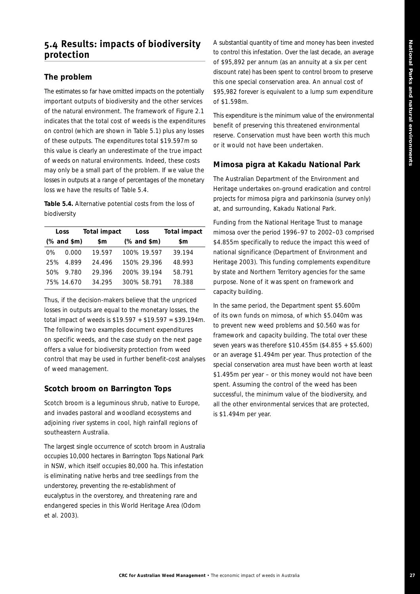# **5.4 Results: impacts of biodiversity protection**

#### **The problem**

The estimates so far have omitted impacts on the potentially important outputs of biodiversity and the other services of the natural environment. The framework of Figure 2.1 indicates that the total cost of weeds is the expenditures on control (which are shown in Table 5.1) plus any losses of these outputs. The expenditures total \$19.597m so this value is clearly an underestimate of the true impact of weeds on natural environments. Indeed, these costs may only be a small part of the problem. If we value the losses in outputs at a range of percentages of the monetary loss we have the results of Table 5.4.

**Table 5.4.** Alternative potential costs from the loss of biodiversity

|       | Loss                                                                                                    | Total impact | Loss                                                     | <b>Total impact</b> |
|-------|---------------------------------------------------------------------------------------------------------|--------------|----------------------------------------------------------|---------------------|
|       | $(% \mathcal{L}_{0}^{\ast}(\mathcal{C})\cap \mathcal{L}_{1})$ and $\mathcal{L}_{0}^{\ast}(\mathcal{C})$ | \$m          | $(% \mathcal{L}_{0}^{\ast} \mathcal{L}_{1})$ (% and \$m) | \$m                 |
| $0\%$ | 0.000                                                                                                   | 19.597       | 100% 19.597                                              | 39.194              |
|       | 25% 4.899                                                                                               | 24.496       | 150% 29.396                                              | 48.993              |
|       | 50% 9.780                                                                                               | 29.396       | 200% 39.194                                              | 58.791              |
|       | 75% 14.670                                                                                              | 34.295       | 300% 58.791                                              | 78.388              |

Thus, if the decision-makers believe that the unpriced losses in outputs are equal to the monetary losses, the total impact of weeds is \$19.597 + \$19.597 = \$39.194m. The following two examples document expenditures on specific weeds, and the case study on the next page offers a value for biodiversity protection from weed control that may be used in further benefit-cost analyses of weed management.

#### **Scotch broom on Barrington Tops**

Scotch broom is a leguminous shrub, native to Europe, and invades pastoral and woodland ecosystems and adjoining river systems in cool, high rainfall regions of southeastern Australia.

The largest single occurrence of scotch broom in Australia occupies 10,000 hectares in Barrington Tops National Park in NSW, which itself occupies 80,000 ha. This infestation is eliminating native herbs and tree seedlings from the understorey, preventing the re-establishment of eucalyptus in the overstorey, and threatening rare and endangered species in this World Heritage Area (Odom *et al*. 2003).

A substantial quantity of time and money has been invested to control this infestation. Over the last decade, an average of \$95,892 per annum (as an annuity at a six per cent discount rate) has been spent to control broom to preserve this one special conservation area. An annual cost of \$95,982 forever is equivalent to a lump sum expenditure of \$1.598m.

This expenditure is the minimum value of the environmental benefit of preserving this threatened environmental reserve. Conservation must have been worth this much or it would not have been undertaken.

#### *Mimosa pigra* **at Kakadu National Park**

The Australian Department of the Environment and Heritage undertakes on-ground eradication and control projects for mimosa pigra and parkinsonia (survey only) at, and surrounding, Kakadu National Park.

Funding from the National Heritage Trust to manage mimosa over the period 1996–97 to 2002–03 comprised \$4.855m specifically to reduce the impact this weed of national significance (Department of Environment and Heritage 2003). This funding complements expenditure by state and Northern Territory agencies for the same purpose. None of it was spent on framework and capacity building.

In the same period, the Department spent \$5.600m of its own funds on mimosa, of which \$5.040m was to prevent new weed problems and \$0.560 was for framework and capacity building. The total over these seven years was therefore \$10.455m (\$4.855 + \$5.600) or an average \$1.494m per year. Thus protection of the special conservation area must have been worth at least \$1.495m per year – or this money would not have been spent. Assuming the control of the weed has been successful, the minimum value of the biodiversity, and all the other environmental services that are protected, is \$1.494m per year.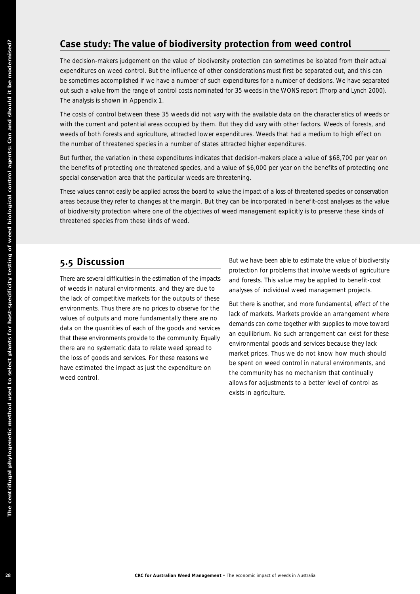# **Case study: The value of biodiversity protection from weed control**

The decision-makers judgement on the value of biodiversity protection can sometimes be isolated from their actual expenditures on weed control. But the influence of other considerations must first be separated out, and this can be sometimes accomplished if we have a number of such expenditures for a number of decisions. We have separated out such a value from the range of control costs nominated for 35 weeds in the WONS report (Thorp and Lynch 2000). The analysis is shown in Appendix 1.

The costs of control between these 35 weeds did not vary with the available data on the characteristics of weeds or with the current and potential areas occupied by them. But they did vary with other factors. Weeds of forests, and weeds of both forests and agriculture, attracted lower expenditures. Weeds that had a medium to high effect on the number of threatened species in a number of states attracted higher expenditures.

But further, the variation in these expenditures indicates that decision-makers place a value of \$68,700 per year on the benefits of protecting one threatened species, and a value of \$6,000 per year on the benefits of protecting one special conservation area that the particular weeds are threatening.

These values cannot easily be applied across the board to value the impact of a loss of threatened species or conservation areas because they refer to changes at the margin. But they can be incorporated in benefit-cost analyses as the value of biodiversity protection where one of the objectives of weed management explicitly is to preserve these kinds of threatened species from these kinds of weed.

# **5.5 Discussion**

There are several difficulties in the estimation of the impacts of weeds in natural environments, and they are due to the lack of competitive markets for the outputs of these environments. Thus there are no prices to observe for the values of outputs and more fundamentally there are no data on the quantities of each of the goods and services that these environments provide to the community. Equally there are no systematic data to relate weed spread to the loss of goods and services. For these reasons we have estimated the impact as just the expenditure on weed control. Case study: The value of biodiversity protection from weed<br>
The value of biodiversity protection from weed<br>
the value of the subsets and the subsets and the subsets of the subsets of<br>
the method of the subsets and the sub

But we have been able to estimate the value of biodiversity protection for problems that involve weeds of agriculture and forests. This value may be applied to benefit-cost analyses of individual weed management projects.

But there is another, and more fundamental, effect of the lack of markets. Markets provide an arrangement where demands can come together with supplies to move toward an equilibrium. No such arrangement can exist for these environmental goods and services because they lack market prices. Thus we do not know how much should be spent on weed control in natural environments, and the community has no mechanism that continually allows for adjustments to a better level of control as exists in agriculture.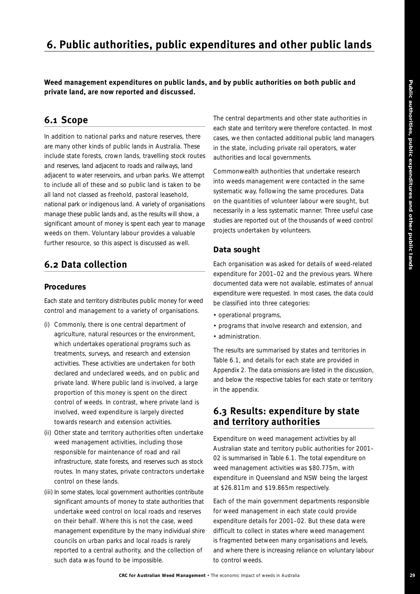# **6. Public authorities, public expenditures and other public lands**

**Weed management expenditures on public lands, and by public authorities on both public and private land, are now reported and discussed.** 

# **6.1 Scope**

In addition to national parks and nature reserves, there are many other kinds of public lands in Australia. These include state forests, crown lands, travelling stock routes and reserves, land adjacent to roads and railways, land adjacent to water reservoirs, and urban parks. We attempt to include all of these and so public land is taken to be all land not classed as freehold, pastoral leasehold, national park or indigenous land. A variety of organisations manage these public lands and, as the results will show, a significant amount of money is spent each year to manage weeds on them. Voluntary labour provides a valuable further resource, so this aspect is discussed as well.

# **6.2 Data collection**

#### **Procedures**

Each state and territory distributes public money for weed control and management to a variety of organisations.

- (i) Commonly, there is one central department of agriculture, natural resources or the environment, which undertakes operational programs such as treatments, surveys, and research and extension activities. These activities are undertaken for both declared and undeclared weeds, and on public and private land. Where public land is involved, a large proportion of this money is spent on the direct control of weeds. In contrast, where private land is involved, weed expenditure is largely directed towards research and extension activities.
- (ii) Other state and territory authorities often undertake weed management activities, including those responsible for maintenance of road and rail infrastructure, state forests, and reserves such as stock routes. In many states, private contractors undertake control on these lands.
- (iii) In some states, local government authorities contribute significant amounts of money to state authorities that undertake weed control on local roads and reserves on their behalf. Where this is not the case, weed management expenditure by the many individual shire councils on urban parks and local roads is rarely reported to a central authority, and the collection of such data was found to be impossible.

The central departments and other state authorities in each state and territory were therefore contacted. In most cases, we then contacted additional public land managers in the state, including private rail operators, water authorities and local governments.

Commonwealth authorities that undertake research into weeds management were contacted in the same systematic way, following the same procedures. Data on the quantities of volunteer labour were sought, but necessarily in a less systematic manner. Three useful case studies are reported out of the thousands of weed control projects undertaken by volunteers.

#### **Data sought**

Each organisation was asked for details of weed-related expenditure for 2001–02 and the previous years. Where documented data were not available, estimates of annual expenditure were requested. In most cases, the data could be classified into three categories:

- operational programs,
- programs that involve research and extension, and
- administration.

The results are summarised by states and territories in Table 6.1, and details for each state are provided in Appendix 2. The data omissions are listed in the discussion, and below the respective tables for each state or territory in the appendix.

# **6.3 Results: expenditure by state and territory authorities**

Expenditure on weed management activities by all Australian state and territory public authorities for 2001– 02 is summarised in Table 6.1. The total expenditure on weed management activities was \$80.775m, with expenditure in Queensland and NSW being the largest at \$26.811m and \$19.865m respectively.

Each of the main government departments responsible for weed management in each state could provide expenditure details for 2001–02. But these data were difficult to collect in states where weed management is fragmented between many organisations and levels, and where there is increasing reliance on voluntary labour to control weeds.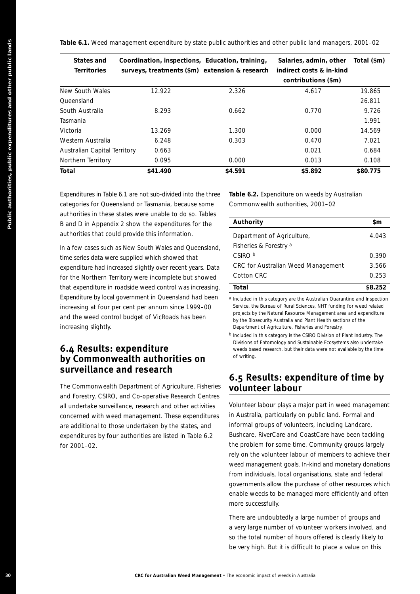| <b>States and</b><br><b>Territories</b>          | Coordination, inspections, Education, training,<br>surveys, treatments (\$m) extension & research                                                                                                                                                                                              |                                   | Salaries, admin, other<br>indirect costs & in-kind<br>contributions (\$m)                                                                                                                                                                                                                                                                                                                                                                                                                                                                                                                 | Total (\$m) |
|--------------------------------------------------|------------------------------------------------------------------------------------------------------------------------------------------------------------------------------------------------------------------------------------------------------------------------------------------------|-----------------------------------|-------------------------------------------------------------------------------------------------------------------------------------------------------------------------------------------------------------------------------------------------------------------------------------------------------------------------------------------------------------------------------------------------------------------------------------------------------------------------------------------------------------------------------------------------------------------------------------------|-------------|
| New South Wales                                  | 12.922                                                                                                                                                                                                                                                                                         | 2.326                             | 4.617                                                                                                                                                                                                                                                                                                                                                                                                                                                                                                                                                                                     | 19.865      |
| Queensland                                       |                                                                                                                                                                                                                                                                                                |                                   |                                                                                                                                                                                                                                                                                                                                                                                                                                                                                                                                                                                           | 26.811      |
| South Australia                                  | 8.293                                                                                                                                                                                                                                                                                          | 0.662                             | 0.770                                                                                                                                                                                                                                                                                                                                                                                                                                                                                                                                                                                     | 9.726       |
| Tasmania                                         |                                                                                                                                                                                                                                                                                                |                                   |                                                                                                                                                                                                                                                                                                                                                                                                                                                                                                                                                                                           | 1.991       |
| Victoria                                         | 13.269                                                                                                                                                                                                                                                                                         | 1.300                             | 0.000                                                                                                                                                                                                                                                                                                                                                                                                                                                                                                                                                                                     | 14.569      |
| Western Australia                                | 6.248                                                                                                                                                                                                                                                                                          | 0.303                             | 0.470                                                                                                                                                                                                                                                                                                                                                                                                                                                                                                                                                                                     | 7.021       |
| Australian Capital Territory                     | 0.663                                                                                                                                                                                                                                                                                          |                                   | 0.021                                                                                                                                                                                                                                                                                                                                                                                                                                                                                                                                                                                     | 0.684       |
| Northern Territory                               | 0.095                                                                                                                                                                                                                                                                                          | 0.000                             | 0.013                                                                                                                                                                                                                                                                                                                                                                                                                                                                                                                                                                                     | 0.108       |
| Total                                            | \$41.490                                                                                                                                                                                                                                                                                       | \$4.591                           | \$5.892                                                                                                                                                                                                                                                                                                                                                                                                                                                                                                                                                                                   | \$80.775    |
|                                                  | Expenditures in Table 6.1 are not sub-divided into the three<br>categories for Queensland or Tasmania, because some<br>authorities in these states were unable to do so. Tables                                                                                                                |                                   | Table 6.2. Expenditure on weeds by Australian<br>Commonwealth authorities, 2001-02                                                                                                                                                                                                                                                                                                                                                                                                                                                                                                        |             |
|                                                  | B and D in Appendix 2 show the expenditures for the                                                                                                                                                                                                                                            | Authority                         |                                                                                                                                                                                                                                                                                                                                                                                                                                                                                                                                                                                           | \$m         |
|                                                  | authorities that could provide this information.<br>In a few cases such as New South Wales and Queensland,                                                                                                                                                                                     | Fisheries & Forestry <sup>a</sup> | Department of Agriculture,                                                                                                                                                                                                                                                                                                                                                                                                                                                                                                                                                                | 4.043       |
|                                                  | time series data were supplied which showed that                                                                                                                                                                                                                                               | CSIRO b                           |                                                                                                                                                                                                                                                                                                                                                                                                                                                                                                                                                                                           | 0.390       |
|                                                  | expenditure had increased slightly over recent years. Data                                                                                                                                                                                                                                     |                                   | CRC for Australian Weed Management                                                                                                                                                                                                                                                                                                                                                                                                                                                                                                                                                        | 3.566       |
|                                                  | for the Northern Territory were incomplete but showed                                                                                                                                                                                                                                          | Cotton CRC                        |                                                                                                                                                                                                                                                                                                                                                                                                                                                                                                                                                                                           | 0.253       |
|                                                  | that expenditure in roadside weed control was increasing.                                                                                                                                                                                                                                      | Total                             |                                                                                                                                                                                                                                                                                                                                                                                                                                                                                                                                                                                           | \$8.252     |
| increasing slightly.<br>6.4 Results: expenditure | and the weed control budget of VicRoads has been<br>by Commonwealth authorities on                                                                                                                                                                                                             | of writing.                       | by the Biosecurity Australia and Plant Health sections of the<br>Department of Agriculture, Fisheries and Forestry.<br><sup>b</sup> Included in this category is the CSIRO Division of Plant Industry. The<br>Divisions of Entomology and Sustainable Ecosystems also undertake<br>weeds based research, but their data were not available by the time                                                                                                                                                                                                                                    |             |
|                                                  | surveillance and research<br>The Commonwealth Department of Agriculture, Fisheries                                                                                                                                                                                                             | volunteer labour                  | 6.5 Results: expenditure of time by                                                                                                                                                                                                                                                                                                                                                                                                                                                                                                                                                       |             |
| for 2001-02.                                     | and Forestry, CSIRO, and Co-operative Research Centres<br>all undertake surveillance, research and other activities<br>concerned with weed management. These expenditures<br>are additional to those undertaken by the states, and<br>expenditures by four authorities are listed in Table 6.2 | more successfully.                | Volunteer labour plays a major part in weed management<br>in Australia, particularly on public land. Formal and<br>informal groups of volunteers, including Landcare,<br>Bushcare, RiverCare and CoastCare have been tackling<br>the problem for some time. Community groups largely<br>rely on the volunteer labour of members to achieve their<br>weed management goals. In-kind and monetary donations<br>from individuals, local organisations, state and federal<br>governments allow the purchase of other resources which<br>enable weeds to be managed more efficiently and often |             |
|                                                  |                                                                                                                                                                                                                                                                                                |                                   | There are undoubtedly a large number of groups and<br>a very large number of volunteer workers involved, and<br>so the total number of hours offered is clearly likely to                                                                                                                                                                                                                                                                                                                                                                                                                 |             |

# **6.4 Results: expenditure by Commonwealth authorities on surveillance and research**

| Authority                          | \$m     |
|------------------------------------|---------|
| Department of Agriculture,         | 4.043   |
| Fisheries & Forestry a             |         |
| CSIRO b                            | 0.390   |
| CRC for Australian Weed Management | 3.566   |
| Cotton CRC                         | 0.253   |
| Total                              | \$8.252 |

## **6.5 Results: expenditure of time by volunteer labour**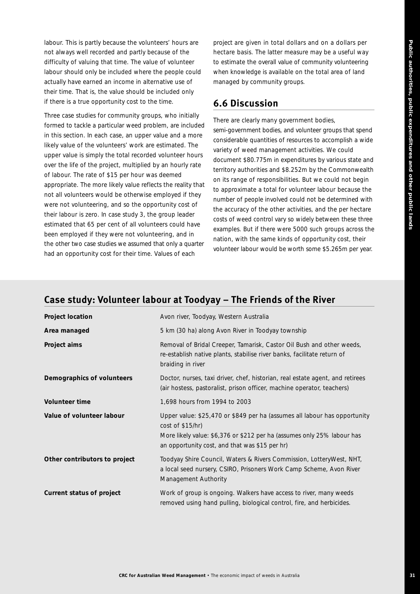labour. This is partly because the volunteers' hours are not always well recorded and partly because of the difficulty of valuing that time. The value of volunteer labour should only be included where the people could actually have earned an income in alternative use of their time. That is, the value should be included only if there is a true opportunity cost to the time.

Three case studies for community groups, who initially formed to tackle a particular weed problem, are included in this section. In each case, an *upper value* and a *more likely* value of the volunteers' work are estimated. The *upper value* is simply the total recorded volunteer hours over the life of the project, multiplied by an hourly rate of labour. The rate of \$15 per hour was deemed appropriate. The *more likely* value reflects the reality that not all volunteers would be otherwise employed if they were not volunteering, and so the opportunity cost of their labour is zero. In case study 3, the group leader estimated that 65 per cent of all volunteers could have been employed if they were not volunteering, and in the other two case studies we assumed that only a quarter had an opportunity cost for their time. Values of each

project are given in total dollars and on a dollars per hectare basis. The latter measure may be a useful way to estimate the overall value of community volunteering when knowledge is available on the total area of land managed by community groups.

# **6.6 Discussion**

There are clearly many government bodies, semi-government bodies, and volunteer groups that spend considerable quantities of resources to accomplish a wide variety of weed management activities. We could document \$80.775m in expenditures by various state and territory authorities and \$8.252m by the Commonwealth on its range of responsibilities. But we could not begin to approximate a total for volunteer labour because the number of people involved could not be determined with the accuracy of the other activities, and the per hectare costs of weed control vary so widely between these three examples. But if there were 5000 such groups across the nation, with the same kinds of opportunity cost, their volunteer labour would be worth some \$5.265m per year.

| Project location              | Avon river, Toodyay, Western Australia                                                                                                                                                                                     |
|-------------------------------|----------------------------------------------------------------------------------------------------------------------------------------------------------------------------------------------------------------------------|
| Area managed                  | 5 km (30 ha) along Avon River in Toodyay township                                                                                                                                                                          |
| Project aims                  | Removal of Bridal Creeper, Tamarisk, Castor Oil Bush and other weeds,<br>re-establish native plants, stabilise river banks, facilitate return of<br>braiding in river                                                      |
| Demographics of volunteers    | Doctor, nurses, taxi driver, chef, historian, real estate agent, and retirees<br>(air hostess, pastoralist, prison officer, machine operator, teachers)                                                                    |
| Volunteer time                | 1,698 hours from 1994 to 2003                                                                                                                                                                                              |
| Value of volunteer labour     | Upper value: \$25,470 or \$849 per ha (assumes all labour has opportunity<br>cost of \$15/hr)<br>More likely value: \$6,376 or \$212 per ha (assumes only 25% labour has<br>an opportunity cost, and that was \$15 per hr) |
| Other contributors to project | Toodyay Shire Council, Waters & Rivers Commission, LotteryWest, NHT,<br>a local seed nursery, CSIRO, Prisoners Work Camp Scheme, Avon River<br>Management Authority                                                        |
| Current status of project     | Work of group is ongoing. Walkers have access to river, many weeds<br>removed using hand pulling, biological control, fire, and herbicides.                                                                                |

# **Case study: Volunteer labour at Toodyay – The Friends of the River**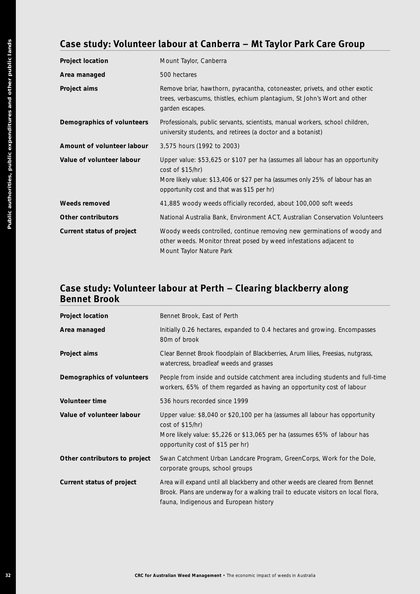# **Case study: Volunteer labour at Canberra – Mt Taylor Park Care Group**

| Area managed                                               | 500 hectares                                                                                                                                                                                                                                                                                                                                                              |
|------------------------------------------------------------|---------------------------------------------------------------------------------------------------------------------------------------------------------------------------------------------------------------------------------------------------------------------------------------------------------------------------------------------------------------------------|
| Project aims                                               | Remove briar, hawthorn, pyracantha, cotoneaster, privets, and other exotic<br>trees, verbascums, thistles, echium plantagium, St John's Wort and other<br>garden escapes.                                                                                                                                                                                                 |
| Demographics of volunteers                                 | Professionals, public servants, scientists, manual workers, school children,<br>university students, and retirees (a doctor and a botanist)                                                                                                                                                                                                                               |
| Amount of volunteer labour                                 | 3,575 hours (1992 to 2003)                                                                                                                                                                                                                                                                                                                                                |
| Value of volunteer labour                                  | Upper value: \$53,625 or \$107 per ha (assumes all labour has an opportunity<br>cost of \$15/hr)<br>More likely value: \$13,406 or \$27 per ha (assumes only 25% of labour has an<br>opportunity cost and that was \$15 per hr)                                                                                                                                           |
| Weeds removed                                              | 41,885 woody weeds officially recorded, about 100,000 soft weeds                                                                                                                                                                                                                                                                                                          |
| <b>Other contributors</b>                                  | National Australia Bank, Environment ACT, Australian Conservation Volunteers                                                                                                                                                                                                                                                                                              |
| Current status of project                                  | Woody weeds controlled, continue removing new germinations of woody and<br>other weeds. Monitor threat posed by weed infestations adjacent to<br>Mount Taylor Nature Park                                                                                                                                                                                                 |
|                                                            | Case study: Volunteer labour at Perth - Clearing blackberry along<br>Bennet Brook, East of Perth                                                                                                                                                                                                                                                                          |
| <b>Bennet Brook</b><br><b>Project location</b>             |                                                                                                                                                                                                                                                                                                                                                                           |
| Area managed                                               | 80m of brook                                                                                                                                                                                                                                                                                                                                                              |
| Project aims                                               | Initially 0.26 hectares, expanded to 0.4 hectares and growing. Encompasses<br>Clear Bennet Brook floodplain of Blackberries, Arum lilies, Freesias, nutgrass,<br>watercress, broadleaf weeds and grasses                                                                                                                                                                  |
| Demographics of volunteers                                 |                                                                                                                                                                                                                                                                                                                                                                           |
| Volunteer time                                             | 536 hours recorded since 1999                                                                                                                                                                                                                                                                                                                                             |
|                                                            | People from inside and outside catchment area including students and full-tim<br>workers, 65% of them regarded as having an opportunity cost of labour<br>Upper value: \$8,040 or \$20,100 per ha (assumes all labour has opportunity<br>cost of \$15/hr)<br>More likely value: \$5,226 or \$13,065 per ha (assumes 65% of labour has<br>opportunity cost of \$15 per hr) |
| Value of volunteer labour<br>Other contributors to project | Swan Catchment Urban Landcare Program, GreenCorps, Work for the Dole,<br>corporate groups, school groups                                                                                                                                                                                                                                                                  |

# **Case study: Volunteer labour at Perth – Clearing blackberry along Bennet Brook**

| Project location              | Bennet Brook, East of Perth                                                                                                                                                                                     |
|-------------------------------|-----------------------------------------------------------------------------------------------------------------------------------------------------------------------------------------------------------------|
| Area managed                  | Initially 0.26 hectares, expanded to 0.4 hectares and growing. Encompasses<br>80m of brook                                                                                                                      |
| Project aims                  | Clear Bennet Brook floodplain of Blackberries, Arum lilies, Freesias, nutgrass,<br>watercress, broadleaf weeds and grasses                                                                                      |
| Demographics of volunteers    | People from inside and outside catchment area including students and full-time<br>workers, 65% of them regarded as having an opportunity cost of labour                                                         |
| Volunteer time                | 536 hours recorded since 1999                                                                                                                                                                                   |
| Value of volunteer labour     | Upper value: \$8,040 or \$20,100 per ha (assumes all labour has opportunity<br>cost of \$15/hr)<br>More likely value: \$5,226 or \$13,065 per ha (assumes 65% of labour has<br>opportunity cost of \$15 per hr) |
| Other contributors to project | Swan Catchment Urban Landcare Program, GreenCorps, Work for the Dole,<br>corporate groups, school groups                                                                                                        |
| Current status of project     | Area will expand until all blackberry and other weeds are cleared from Bennet<br>Brook. Plans are underway for a walking trail to educate visitors on local flora,<br>fauna, Indigenous and European history    |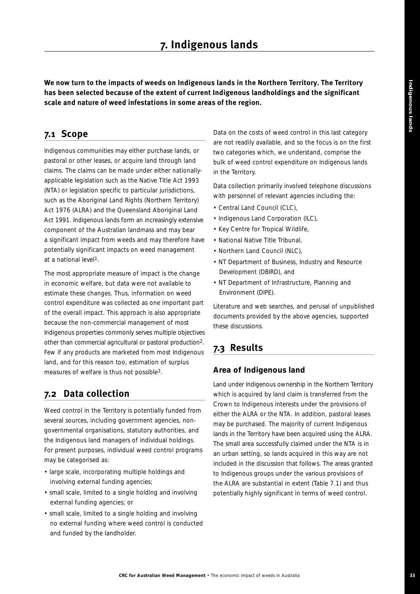**We now turn to the impacts of weeds on Indigenous lands in the Northern Territory. The Territory has been selected because of the extent of current Indigenous landholdings and the significant scale and nature of weed infestations in some areas of the region.**

# **7.1 Scope**

Indigenous communities may either purchase lands, or pastoral or other leases, or acquire land through land claims. The claims can be made under either nationallyapplicable legislation such as the *Native Title Act 1993* (NTA) or legislation specific to particular jurisdictions, such as the *Aboriginal Land Rights (Northern Territory) Act 1976* (ALRA) and the *Queensland Aboriginal Land Act 1991*. Indigenous lands form an increasingly extensive component of the Australian landmass and may bear a significant impact from weeds and may therefore have potentially significant impacts on weed management at a national level1.

The most appropriate measure of impact is the change in economic welfare, but data were not available to estimate these changes. Thus, information on weed control expenditure was collected as one important part of the overall impact. This approach is also appropriate because the non-commercial management of most Indigenous properties commonly serves multiple objectives other than commercial agricultural or pastoral production2. Few if any products are marketed from most Indigenous land, and for this reason too, estimation of surplus measures of welfare is thus not possible3.

# **7.2 Data collection**

Weed control in the Territory is potentially funded from several sources, including government agencies, nongovernmental organisations, statutory authorities, and the Indigenous land managers of individual holdings. For present purposes, individual weed control programs may be categorised as:

- large scale, incorporating multiple holdings and involving external funding agencies;
- small scale, limited to a single holding and involving external funding agencies; or
- small scale, limited to a single holding and involving no external funding where weed control is conducted and funded by the landholder.

Data on the costs of weed control in this last category are not readily available, and so the focus is on the first two categories which, we understand, comprise the bulk of weed control expenditure on Indigenous lands in the Territory.

Data collection primarily involved telephone discussions with personnel of relevant agencies including the:

- Central Land Council (CLC),
- Indigenous Land Corporation (ILC),
- Key Centre for Tropical Wildlife,
- National Native Title Tribunal,
- Northern Land Council (NLC),
- NT Department of Business, Industry and Resource Development (DBIRD), and
- NT Department of Infrastructure, Planning and Environment (DIPE).

Literature and web searches, and perusal of unpublished documents provided by the above agencies, supported these discussions.

# **7.3 Results**

#### **Area of Indigenous land**

Land under Indigenous ownership in the Northern Territory which is acquired by land claim is transferred from the Crown to Indigenous interests under the provisions of either the ALRA or the NTA. In addition, pastoral leases may be purchased. The majority of current Indigenous lands in the Territory have been acquired using the ALRA. The small area successfully claimed under the NTA is in an urban setting, so lands acquired in this way are not included in the discussion that follows. The areas granted to Indigenous groups under the various provisions of the ALRA are substantial in extent (Table 7.1) and thus potentially highly significant in terms of weed control.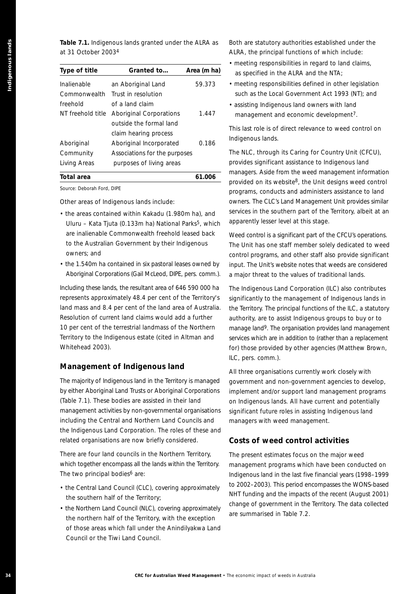**Table 7.1.** Indigenous lands granted under the ALRA as at 31 October 20034

| Type of title                              | Granted to                                                                                                              | Area (m ha) | as specified in the ALRA and                                                  |
|--------------------------------------------|-------------------------------------------------------------------------------------------------------------------------|-------------|-------------------------------------------------------------------------------|
| Inalienable                                | an Aboriginal Land                                                                                                      | 59.373      | • meeting responsibilities defir                                              |
| Commonwealth                               | Trust in resolution                                                                                                     |             | such as the Local Governme                                                    |
| freehold                                   | of a land claim                                                                                                         |             | • assisting Indigenous land ow                                                |
|                                            | NT freehold title Aboriginal Corporations<br>outside the formal land                                                    | 1.447       | management and economic                                                       |
|                                            | claim hearing process                                                                                                   |             | This last role is of direct releva<br>Indigenous lands.                       |
| Aboriginal                                 | Aboriginal Incorporated                                                                                                 | 0.186       |                                                                               |
| Community                                  | Associations for the purposes                                                                                           |             | The NLC, through its Caring fo                                                |
| Living Areas                               | purposes of living areas                                                                                                |             | provides significant assistance                                               |
| <b>Total area</b>                          |                                                                                                                         | 61.006      | managers. Aside from the weed<br>provided on its website <sup>8</sup> , the L |
| Source: Deborah Ford, DIPE                 |                                                                                                                         |             | programs, conducts and admir                                                  |
|                                            | Other areas of Indigenous lands include:                                                                                |             | owners. The CLC's Land Manage                                                 |
|                                            | • the areas contained within Kakadu (1.980m ha), and                                                                    |             | services in the southern part o                                               |
|                                            | Uluru - Kata Tjuta (0.133m ha) National Parks <sup>5</sup> , which                                                      |             | apparently lesser level at this s                                             |
|                                            | are inalienable Commonwealth freehold leased back                                                                       |             | Weed control is a significant par                                             |
|                                            | to the Australian Government by their Indigenous                                                                        |             | The Unit has one staff membe                                                  |
| owners; and                                |                                                                                                                         |             | control programs, and other st                                                |
|                                            | • the 1.540m ha contained in six pastoral leases owned by<br>Aboriginal Corporations (Gail McLeod, DIPE, pers. comm.).  |             | input. The Unit's website notes                                               |
|                                            |                                                                                                                         |             | a major threat to the values of                                               |
|                                            | Including these lands, the resultant area of 646 590 000 ha                                                             |             | The Indigenous Land Corporat                                                  |
|                                            | represents approximately 48.4 per cent of the Territory's                                                               |             | significantly to the manageme                                                 |
|                                            | land mass and 8.4 per cent of the land area of Australia.<br>Resolution of current land claims would add a further      |             | the Territory. The principal funct<br>authority, are to assist Indigen        |
|                                            | 10 per cent of the terrestrial landmass of the Northern                                                                 |             | manage land <sup>9</sup> . The organisation                                   |
|                                            | Territory to the Indigenous estate (cited in Altman and                                                                 |             | services which are in addition to                                             |
| Whitehead 2003).                           |                                                                                                                         |             | for) those provided by other a                                                |
|                                            |                                                                                                                         |             | ILC, pers. comm.).                                                            |
|                                            | <b>Management of Indigenous land</b>                                                                                    |             | All three organisations current                                               |
|                                            | The majority of Indigenous land in the Territory is managed                                                             |             | government and non-governm                                                    |
|                                            | by either Aboriginal Land Trusts or Aboriginal Corporations                                                             |             | implement and/or support land                                                 |
|                                            | (Table 7.1). These bodies are assisted in their land                                                                    |             | on Indigenous lands. All have                                                 |
|                                            | management activities by non-governmental organisations                                                                 |             | significant future roles in assist                                            |
|                                            | including the Central and Northern Land Councils and                                                                    |             | managers with weed manager                                                    |
|                                            | the Indigenous Land Corporation. The roles of these and                                                                 |             |                                                                               |
|                                            | related organisations are now briefly considered.                                                                       |             | Costs of weed control                                                         |
|                                            | There are four land councils in the Northern Territory,<br>which together encompass all the lands within the Territory. |             | The present estimates focus or                                                |
| The two principal bodies <sup>6</sup> are: |                                                                                                                         |             | management programs which<br>Indigenous land in the last five                 |
|                                            |                                                                                                                         |             | to 2002-2003). This period enco                                               |
|                                            | • the Central Land Council (CLC), covering approximately<br>the southern half of the Territory;                         |             | NHT funding and the impacts o                                                 |
|                                            | • the Northern Land Council (NLC), covering approximately                                                               |             | change of government in the T                                                 |
|                                            | the northern half of the Territory, with the exception                                                                  |             | are summarised in Table 7.2.                                                  |
|                                            | of those areas which fall under the Anindilyakwa Land                                                                   |             |                                                                               |
|                                            |                                                                                                                         |             |                                                                               |

- the areas contained within Kakadu (1.980m ha), and Uluru – Kata Tjuta (0.133m ha) National Parks5, which are inalienable Commonwealth freehold leased back to the Australian Government by their Indigenous owners; and
- the 1.540m ha contained in six pastoral leases owned by Aboriginal Corporations (Gail McLeod, DIPE, pers. comm.).

#### **Management of Indigenous land**

- the Central Land Council (CLC), covering approximately the southern half of the Territory;
- the Northern Land Council (NLC), covering approximately the northern half of the Territory, with the exception of those areas which fall under the Anindilyakwa Land Council or the Tiwi Land Council.

Both are statutory authorities established under the ALRA, the principal functions of which include:

- meeting responsibilities in regard to land claims, as specified in the ALRA and the NTA;
- meeting responsibilities defined in other legislation such as the *Local Government Act 1993* (NT); and
- assisting Indigenous land owners with land management and economic development<sup>7</sup>.

This last role is of direct relevance to weed control on Indigenous lands.

The NLC, through its Caring for Country Unit (CFCU), provides significant assistance to Indigenous land managers. Aside from the weed management information provided on its website8, the Unit designs weed control programs, conducts and administers assistance to land owners. The CLC's Land Management Unit provides similar services in the southern part of the Territory, albeit at an apparently lesser level at this stage.

Weed control is a significant part of the CFCU's operations. The Unit has one staff member solely dedicated to weed control programs, and other staff also provide significant input. The Unit's website notes that weeds are considered a major threat to the values of traditional lands.

The Indigenous Land Corporation (ILC) also contributes significantly to the management of Indigenous lands in the Territory. The principal functions of the ILC, a statutory authority, are to assist Indigenous groups to buy or to manage land9. The organisation provides land management services which are in addition to (rather than a replacement for) those provided by other agencies (Matthew Brown, ILC, pers. comm.).

All three organisations currently work closely with government and non-government agencies to develop, implement and/or support land management programs on Indigenous lands. All have current and potentially significant future roles in assisting Indigenous land managers with weed management.

#### **Costs of weed control activities**

The present estimates focus on the major weed management programs which have been conducted on Indigenous land in the last five financial years (1998–1999 to 2002–2003). This period encompasses the WONS-based NHT funding and the impacts of the recent (August 2001) change of government in the Territory. The data collected are summarised in Table 7.2.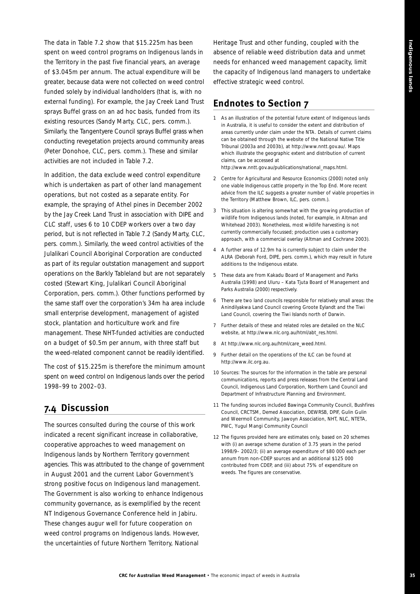The data in Table 7.2 show that \$15.225m has been spent on weed control programs on Indigenous lands in the Territory in the past five financial years, an average of \$3.045m per annum. The actual expenditure will be greater, because data were not collected on weed control funded solely by individual landholders (that is, with no external funding). For example, the Jay Creek Land Trust sprays Buffel grass on an *ad hoc* basis, funded from its existing resources (Sandy Marty, CLC, pers. comm.). Similarly, the Tangentyere Council sprays Buffel grass when conducting revegetation projects around community areas (Peter Donohoe, CLC, pers. comm.). These and similar activities are not included in Table 7.2.

In addition, the data exclude weed control expenditure which is undertaken as part of other land management operations, but not costed as a separate entity. For example, the spraying of Athel pines in December 2002 by the Jay Creek Land Trust in association with DIPE and CLC staff, uses 6 to 10 CDEP workers over a two day period, but is not reflected in Table 7.2 (Sandy Marty, CLC, pers. comm.). Similarly, the weed control activities of the Julalikari Council Aboriginal Corporation are conducted as part of its regular outstation management and support operations on the Barkly Tableland but are not separately costed (Stewart King, Julalikari Council Aboriginal Corporation, pers. comm.). Other functions performed by the same staff over the corporation's 34m ha area include small enterprise development, management of agisted stock, plantation and horticulture work and fire management. These NHT-funded activities are conducted on a budget of \$0.5m per annum, with three staff but the weed-related component cannot be readily identified.

The cost of \$15.225m is therefore the minimum amount spent on weed control on Indigenous lands over the period 1998–99 to 2002–03.

# **7.4 Discussion**

The sources consulted during the course of this work indicated a recent significant increase in collaborative, cooperative approaches to weed management on Indigenous lands by Northern Territory government agencies. This was attributed to the change of government in August 2001 and the current Labor Government's strong positive focus on Indigenous land management. The Government is also working to enhance Indigenous community governance, as is exemplified by the recent NT Indigenous Governance Conference held in Jabiru. These changes augur well for future cooperation on weed control programs on Indigenous lands. However, the uncertainties of future Northern Territory, National

Heritage Trust and other funding, coupled with the absence of reliable weed distribution data and unmet needs for enhanced weed management capacity, limit the capacity of Indigenous land managers to undertake effective strategic weed control.

# **Endnotes to Section 7**

- *1 As an illustration of the potential future extent of Indigenous lands in Australia, it is useful to consider the extent and distribution of areas currently under claim under the NTA. Details of current claims can be obtained through the website of the National Native Title Tribunal (2003a and 2003b), at http://www.nntt.gov.au/. Maps which illustrate the geographic extent and distribution of current claims, can be accessed at http://www.nntt.gov.au/publications/national\_maps.html.*
- *2 Centre for Agricultural and Resource Economics (2000) noted only one viable Indigenous cattle property in the Top End. More recent advice from the ILC suggests a greater number of viable properties in the Territory (Matthew Brown, ILC, pers. comm.).*
- *3 This situation is altering somewhat with the growing production of wildlife from Indigenous lands (noted, for example, in Altman and Whitehead 2003). Nonetheless, most wildlife harvesting is not currently commercially focussed; production uses a customary approach, with a commercial overlay (Altman and Cochrane 2003).*
- *4 A further area of 12.9m ha is currently subject to claim under the ALRA (Deborah Ford, DIPE, pers. comm.), which may result in future additions to the Indigenous estate.*
- *5 These data are from Kakadu Board of Management and Parks Australia (1998) and Uluru – Kata Tjuta Board of Management and Parks Australia (2000) respectively.*
- *6 There are two land councils responsible for relatively small areas: the Anindilyakwa Land Council covering Groote Eylandt and the Tiwi Land Council, covering the Tiwi Islands north of Darwin.*
- *7 Further details of these and related roles are detailed on the NLC website, at http://www.nlc.org.au/html/abt\_res.html.*
- *8 At http://www.nlc.org.au/html/care\_weed.html.*
- *9 Further detail on the operations of the ILC can be found at http://www.ilc.org.au.*
- *10 Sources: The sources for the information in the table are personal communications, reports and press releases from the Central Land Council, Indigenous Land Corporation, Northern Land Council and Department of Infrastructure Planning and Environment.*
- *11 The funding sources included Bawinga Community Council, Bushfires Council, CRCTSM, Demed Association, DEWRSB, DPIF, Gulin Gulin and Weermoll Community, Jawoyn Association, NHT, NLC, NTETA, PWC, Yugul Mangi Community Council*
- *12 The figures provided here are estimates only, based on 20 schemes with (i) an average scheme duration of 3.75 years in the period 1998/9– 2002/3; (ii) an average expenditure of \$80 000 each per annum from non-CDEP sources and an additional \$125 000 contributed from CDEP, and (iii) about 75% of expenditure on weeds. The figures are conservative.*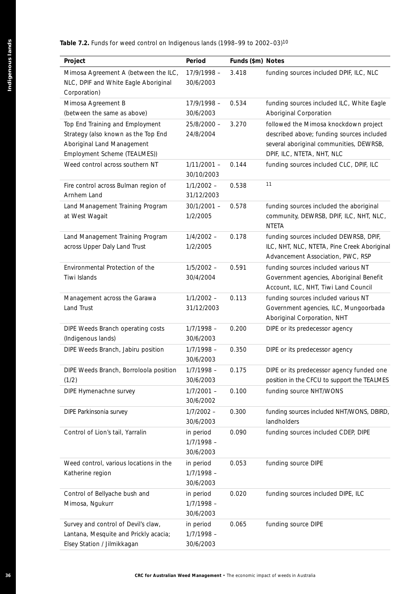#### **Table 7.2.** Funds for weed control on Indigenous lands (1998–99 to 2002–03)10

| Project                                                                                                                              | Period                                 | Funds (\$m) Notes |                                                                                                                                                             |
|--------------------------------------------------------------------------------------------------------------------------------------|----------------------------------------|-------------------|-------------------------------------------------------------------------------------------------------------------------------------------------------------|
| Mimosa Agreement A (between the ILC,<br>NLC, DPIF and White Eagle Aboriginal<br>Corporation)                                         | $17/9/1998 -$<br>30/6/2003             | 3.418             | funding sources included DPIF, ILC, NLC                                                                                                                     |
| Mimosa Agreement B<br>(between the same as above)                                                                                    | 17/9/1998 -<br>30/6/2003               | 0.534             | funding sources included ILC, White Eagle<br>Aboriginal Corporation                                                                                         |
| Top End Training and Employment<br>Strategy (also known as the Top End<br>Aboriginal Land Management<br>Employment Scheme (TEALMES)) | $25/8/2000 -$<br>24/8/2004             | 3.270             | followed the Mimosa knockdown project<br>described above; funding sources included<br>several aboriginal communities, DEWRSB,<br>DPIF, ILC, NTETA, NHT, NLC |
| Weed control across southern NT                                                                                                      | $1/11/2001 -$<br>30/10/2003            | 0.144             | funding sources included CLC, DPIF, ILC                                                                                                                     |
| Fire control across Bulman region of<br>Arnhem Land                                                                                  | $1/1/2002 -$<br>31/12/2003             | 0.538             | 11                                                                                                                                                          |
| Land Management Training Program<br>at West Wagait                                                                                   | $30/1/2001 -$<br>1/2/2005              | 0.578             | funding sources included the aboriginal<br>community, DEWRSB, DPIF, ILC, NHT, NLC,<br><b>NTETA</b>                                                          |
| Land Management Training Program<br>across Upper Daly Land Trust                                                                     | $1/4/2002 -$<br>1/2/2005               | 0.178             | funding sources included DEWRSB, DPIF,<br>ILC, NHT, NLC, NTETA, Pine Creek Aboriginal<br>Advancement Association, PWC, RSP                                  |
| Environmental Protection of the<br>Tiwi Islands                                                                                      | $1/5/2002 -$<br>30/4/2004              | 0.591             | funding sources included various NT<br>Government agencies, Aboriginal Benefit<br>Account, ILC, NHT, Tiwi Land Council                                      |
| Management across the Garawa<br>Land Trust                                                                                           | $1/1/2002 -$<br>31/12/2003             | 0.113             | funding sources included various NT<br>Government agencies, ILC, Mungoorbada<br>Aboriginal Corporation, NHT                                                 |
| DIPE Weeds Branch operating costs<br>(Indigenous lands)                                                                              | $1/7/1998 -$<br>30/6/2003              | 0.200             | DIPE or its predecessor agency                                                                                                                              |
| DIPE Weeds Branch, Jabiru position                                                                                                   | $1/7/1998 -$<br>30/6/2003              | 0.350             | DIPE or its predecessor agency                                                                                                                              |
| DIPE Weeds Branch, Borroloola position<br>(1/2)                                                                                      | $1/7/1998 -$<br>30/6/2003              | 0.175             | DIPE or its predecessor agency funded one<br>position in the CFCU to support the TEALMES                                                                    |
| DIPE Hymenachne survey                                                                                                               | $1/7/2001 -$<br>30/6/2002              | 0.100             | funding source NHT/WONS                                                                                                                                     |
| DIPE Parkinsonia survey                                                                                                              | $1/7/2002 -$<br>30/6/2003              | 0.300             | funding sources included NHT/WONS, DBIRD,<br>landholders                                                                                                    |
| Control of Lion's tail, Yarralin                                                                                                     | in period<br>$1/7/1998 -$<br>30/6/2003 | 0.090             | funding sources included CDEP, DIPE                                                                                                                         |
| Weed control, various locations in the<br>Katherine region                                                                           | in period<br>$1/7/1998 -$<br>30/6/2003 | 0.053             | funding source DIPE                                                                                                                                         |
| Control of Bellyache bush and<br>Mimosa, Ngukurr                                                                                     | in period<br>$1/7/1998 -$<br>30/6/2003 | 0.020             | funding sources included DIPE, ILC                                                                                                                          |
| Survey and control of Devil's claw,<br>Lantana, Mesquite and Prickly acacia;<br>Elsey Station / Jilmikkagan                          | in period<br>$1/7/1998 -$<br>30/6/2003 | 0.065             | funding source DIPE                                                                                                                                         |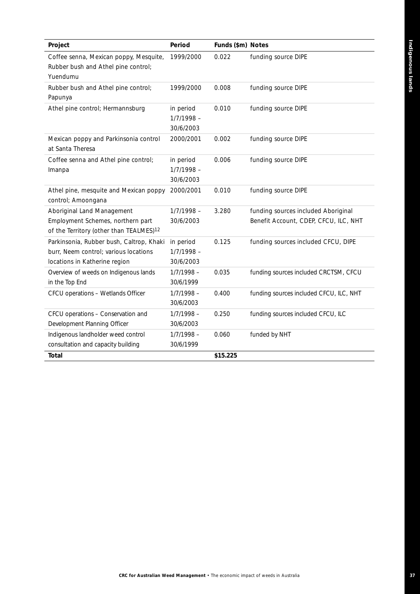| Project                                                                                                                | Period                                 | Funds (\$m) Notes |                                                                              |
|------------------------------------------------------------------------------------------------------------------------|----------------------------------------|-------------------|------------------------------------------------------------------------------|
| Coffee senna, Mexican poppy, Mesquite,<br>Rubber bush and Athel pine control;<br>Yuendumu                              | 1999/2000                              | 0.022             | funding source DIPE                                                          |
| Rubber bush and Athel pine control;<br>Papunya                                                                         | 1999/2000                              | 0.008             | funding source DIPE                                                          |
| Athel pine control; Hermannsburg                                                                                       | in period<br>$1/7/1998 -$<br>30/6/2003 | 0.010             | funding source DIPE                                                          |
| Mexican poppy and Parkinsonia control<br>at Santa Theresa                                                              | 2000/2001                              | 0.002             | funding source DIPE                                                          |
| Coffee senna and Athel pine control;<br>Imanpa                                                                         | in period<br>$1/7/1998 -$<br>30/6/2003 | 0.006             | funding source DIPE                                                          |
| Athel pine, mesquite and Mexican poppy<br>control; Amoongana                                                           | 2000/2001                              | 0.010             | funding source DIPE                                                          |
| Aboriginal Land Management<br>Employment Schemes, northern part<br>of the Territory (other than TEALMES) <sup>12</sup> | $1/7/1998 -$<br>30/6/2003              | 3.280             | funding sources included Aboriginal<br>Benefit Account, CDEP, CFCU, ILC, NHT |
| Parkinsonia, Rubber bush, Caltrop, Khaki<br>burr, Neem control; various locations<br>locations in Katherine region     | in period<br>$1/7/1998 -$<br>30/6/2003 | 0.125             | funding sources included CFCU, DIPE                                          |
| Overview of weeds on Indigenous lands<br>in the Top End                                                                | $1/7/1998 -$<br>30/6/1999              | 0.035             | funding sources included CRCTSM, CFCU                                        |
| CFCU operations - Wetlands Officer                                                                                     | $1/7/1998 -$<br>30/6/2003              | 0.400             | funding sources included CFCU, ILC, NHT                                      |
| CFCU operations - Conservation and<br>Development Planning Officer                                                     | $1/7/1998 -$<br>30/6/2003              | 0.250             | funding sources included CFCU, ILC                                           |
| Indigenous landholder weed control<br>consultation and capacity building                                               | $1/7/1998 -$<br>30/6/1999              | 0.060             | funded by NHT                                                                |
| Total                                                                                                                  |                                        | \$15.225          |                                                                              |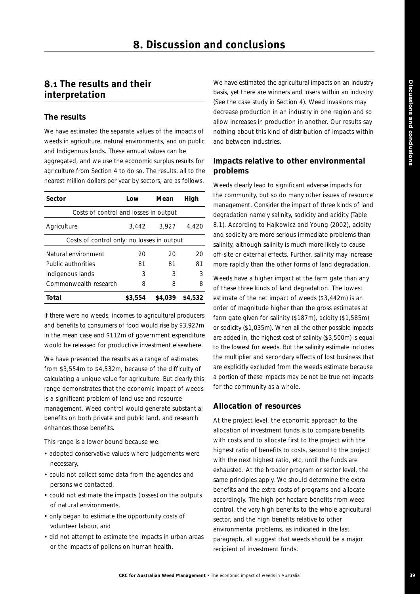# **8.1 The results and their interpretation**

#### **The results**

We have estimated the separate values of the impacts of weeds in agriculture, natural environments, and on public and Indigenous lands. These annual values can be aggregated, and we use the economic surplus results for agriculture from Section 4 to do so. The results, all to the nearest million dollars per year by sectors, are as follows.

| Sector                                     | Low     | Mean    | High    |
|--------------------------------------------|---------|---------|---------|
| Costs of control and losses in output      |         |         |         |
| Agriculture                                | 3.442   | 3.927   | 4.420   |
| Costs of control only: no losses in output |         |         |         |
| Natural environment                        | 20      | 20      | 20      |
| Public authorities                         | 81      | 81      | 81      |
| Indigenous lands                           | 3       | 3       | 3       |
| Commonwealth research                      | 8       | 8       | 8       |
| Total                                      | \$3.554 | \$4,039 | \$4,532 |

If there were no weeds, incomes to agricultural producers and benefits to consumers of food would rise by \$3,927m in the mean case and \$112m of government expenditure would be released for productive investment elsewhere.

We have presented the results as a range of estimates from \$3,554m to \$4,532m, because of the difficulty of calculating a unique value for agriculture. But clearly this range demonstrates that the economic impact of weeds is a significant problem of land use and resource management. Weed control would generate substantial benefits on both private and public land, and research enhances those benefits.

This range is a lower bound because we:

- adopted conservative values where judgements were necessary,
- could not collect some data from the agencies and persons we contacted,
- could not estimate the impacts (losses) on the outputs of natural environments,
- only began to estimate the opportunity costs of volunteer labour, and
- did not attempt to estimate the impacts in urban areas or the impacts of pollens on human health.

We have estimated the agricultural impacts on an industry basis, yet there are winners and losers within an industry (See the case study in Section 4). Weed invasions may decrease production in an industry in one region and so allow increases in production in another. Our results say nothing about this kind of distribution of impacts within and between industries.

#### **Impacts relative to other environmental problems**

Weeds clearly lead to significant adverse impacts for the community, but so do many other issues of resource management. Consider the impact of three kinds of land degradation namely salinity, sodicity and acidity (Table 8.1). According to Hajkowicz and Young (2002), acidity and sodicity are more serious immediate problems than salinity, although salinity is much more likely to cause off-site or external effects. Further, salinity may increase more rapidly than the other forms of land degradation.

Weeds have a higher impact at the farm gate than any of these three kinds of land degradation. The lowest estimate of the *net* impact of weeds (\$3,442m) is an order of magnitude higher than the *gross* estimates at farm gate given for salinity (\$187m), acidity (\$1,585m) or sodicity (\$1,035m). When all the other possible impacts are added in, the highest cost of salinity (\$3,500m) is equal to the lowest for weeds. But the salinity estimate includes the multiplier and secondary effects of lost business that are explicitly excluded from the weeds estimate because a portion of these impacts may be not be true net impacts for the community as a whole.

#### **Allocation of resources**

At the project level, the economic approach to the allocation of investment funds is to compare benefits with costs and to allocate first to the project with the highest ratio of benefits to costs, second to the project with the next highest ratio, etc, until the funds are exhausted. At the broader program or sector level, the same principles apply. We should determine the extra benefits and the extra costs of programs and allocate accordingly. The high per hectare benefits from weed control, the very high benefits to the whole agricultural sector, and the high benefits relative to other environmental problems, as indicated in the last paragraph, all suggest that weeds should be a major recipient of investment funds.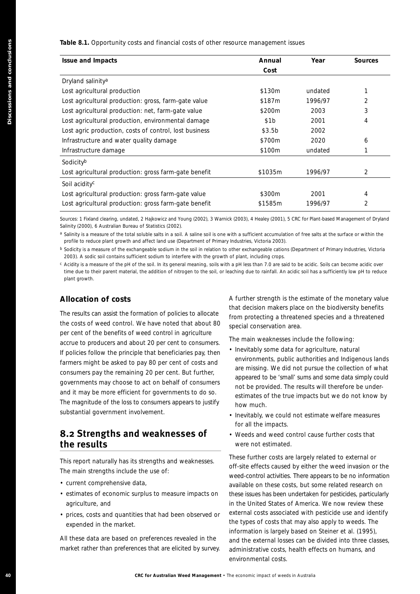#### **Table 8.1.** Opportunity costs and financial costs of other resource management issues

| <b>Issue and Impacts</b>                                                                                                                                                                                                                                                                                                                                                                                                                                                                                                                                                                                                                                                                                                                                                                                                                                                                                                                                                                                                                                                                                       | Annual<br>Cost                                                                                                                                                              | Year    | <b>Sources</b> |
|----------------------------------------------------------------------------------------------------------------------------------------------------------------------------------------------------------------------------------------------------------------------------------------------------------------------------------------------------------------------------------------------------------------------------------------------------------------------------------------------------------------------------------------------------------------------------------------------------------------------------------------------------------------------------------------------------------------------------------------------------------------------------------------------------------------------------------------------------------------------------------------------------------------------------------------------------------------------------------------------------------------------------------------------------------------------------------------------------------------|-----------------------------------------------------------------------------------------------------------------------------------------------------------------------------|---------|----------------|
| Dryland salinity <sup>a</sup>                                                                                                                                                                                                                                                                                                                                                                                                                                                                                                                                                                                                                                                                                                                                                                                                                                                                                                                                                                                                                                                                                  |                                                                                                                                                                             |         |                |
| Lost agricultural production                                                                                                                                                                                                                                                                                                                                                                                                                                                                                                                                                                                                                                                                                                                                                                                                                                                                                                                                                                                                                                                                                   | \$130m                                                                                                                                                                      | undated | 1              |
| Lost agricultural production: gross, farm-gate value                                                                                                                                                                                                                                                                                                                                                                                                                                                                                                                                                                                                                                                                                                                                                                                                                                                                                                                                                                                                                                                           | \$187m                                                                                                                                                                      | 1996/97 | 2              |
| Lost agricultural production: net, farm-gate value                                                                                                                                                                                                                                                                                                                                                                                                                                                                                                                                                                                                                                                                                                                                                                                                                                                                                                                                                                                                                                                             | \$200m                                                                                                                                                                      | 2003    | 3              |
| Lost agricultural production, environmental damage                                                                                                                                                                                                                                                                                                                                                                                                                                                                                                                                                                                                                                                                                                                                                                                                                                                                                                                                                                                                                                                             | \$1b                                                                                                                                                                        | 2001    | 4              |
| Lost agric production, costs of control, lost business                                                                                                                                                                                                                                                                                                                                                                                                                                                                                                                                                                                                                                                                                                                                                                                                                                                                                                                                                                                                                                                         | \$3.5b                                                                                                                                                                      | 2002    |                |
| Infrastructure and water quality damage                                                                                                                                                                                                                                                                                                                                                                                                                                                                                                                                                                                                                                                                                                                                                                                                                                                                                                                                                                                                                                                                        | \$700m                                                                                                                                                                      | 2020    | 6              |
| Infrastructure damage                                                                                                                                                                                                                                                                                                                                                                                                                                                                                                                                                                                                                                                                                                                                                                                                                                                                                                                                                                                                                                                                                          | \$100m                                                                                                                                                                      | undated | 1              |
| Sodicityb                                                                                                                                                                                                                                                                                                                                                                                                                                                                                                                                                                                                                                                                                                                                                                                                                                                                                                                                                                                                                                                                                                      |                                                                                                                                                                             |         |                |
| Lost agricultural production: gross farm-gate benefit                                                                                                                                                                                                                                                                                                                                                                                                                                                                                                                                                                                                                                                                                                                                                                                                                                                                                                                                                                                                                                                          | \$1035m                                                                                                                                                                     | 1996/97 | 2              |
| Soil acidity <sup>c</sup>                                                                                                                                                                                                                                                                                                                                                                                                                                                                                                                                                                                                                                                                                                                                                                                                                                                                                                                                                                                                                                                                                      |                                                                                                                                                                             |         |                |
| Lost agricultural production: gross farm-gate value                                                                                                                                                                                                                                                                                                                                                                                                                                                                                                                                                                                                                                                                                                                                                                                                                                                                                                                                                                                                                                                            | \$300m                                                                                                                                                                      | 2001    | 4              |
| Lost agricultural production: gross farm-gate benefit                                                                                                                                                                                                                                                                                                                                                                                                                                                                                                                                                                                                                                                                                                                                                                                                                                                                                                                                                                                                                                                          | \$1585m                                                                                                                                                                     | 1996/97 | 2              |
| Sources: 1 Fixland clearing, undated, 2 Hajkowicz and Young (2002), 3 Warnick (2003), 4 Healey (2001), 5 CRC for Plant-based Management of Dryland<br>Salinity (2000), 6 Australian Bureau of Statistics (2002).<br>a Salinity is a measure of the total soluble salts in a soil. A saline soil is one with a sufficient accumulation of free salts at the surface or within the<br>profile to reduce plant growth and affect land use (Department of Primary Industries, Victoria 2003).<br><sup>b</sup> Sodicity is a measure of the exchangeable sodium in the soil in relation to other exchangeable cations (Department of Primary Industries, Victoria<br>2003). A sodic soil contains sufficient sodium to interfere with the growth of plant, including crops.<br>c Acidity is a measure of the pH of the soil. In its general meaning, soils with a pH less than 7.0 are said to be acidic. Soils can become acidic over<br>time due to their parent material, the addition of nitrogen to the soil, or leaching due to rainfall. An acidic soil has a sufficiently low pH to reduce<br>plant growth. |                                                                                                                                                                             |         |                |
|                                                                                                                                                                                                                                                                                                                                                                                                                                                                                                                                                                                                                                                                                                                                                                                                                                                                                                                                                                                                                                                                                                                |                                                                                                                                                                             |         |                |
| <b>Allocation of costs</b>                                                                                                                                                                                                                                                                                                                                                                                                                                                                                                                                                                                                                                                                                                                                                                                                                                                                                                                                                                                                                                                                                     | A further strength is the estimate of the monetary value                                                                                                                    |         |                |
|                                                                                                                                                                                                                                                                                                                                                                                                                                                                                                                                                                                                                                                                                                                                                                                                                                                                                                                                                                                                                                                                                                                | that decision makers place on the biodiversity benefits                                                                                                                     |         |                |
| The results can assist the formation of policies to allocate                                                                                                                                                                                                                                                                                                                                                                                                                                                                                                                                                                                                                                                                                                                                                                                                                                                                                                                                                                                                                                                   | from protecting a threatened species and a threatened                                                                                                                       |         |                |
| the costs of weed control. We have noted that about 80                                                                                                                                                                                                                                                                                                                                                                                                                                                                                                                                                                                                                                                                                                                                                                                                                                                                                                                                                                                                                                                         | special conservation area.                                                                                                                                                  |         |                |
| per cent of the benefits of weed control in agriculture                                                                                                                                                                                                                                                                                                                                                                                                                                                                                                                                                                                                                                                                                                                                                                                                                                                                                                                                                                                                                                                        | The main weaknesses include the following:                                                                                                                                  |         |                |
| accrue to producers and about 20 per cent to consumers.                                                                                                                                                                                                                                                                                                                                                                                                                                                                                                                                                                                                                                                                                                                                                                                                                                                                                                                                                                                                                                                        | • Inevitably some data for agriculture, natural                                                                                                                             |         |                |
| If policies follow the principle that beneficiaries pay, then<br>farmers might be asked to pay 80 per cent of costs and                                                                                                                                                                                                                                                                                                                                                                                                                                                                                                                                                                                                                                                                                                                                                                                                                                                                                                                                                                                        | environments, public authorities and Indigenous lands                                                                                                                       |         |                |
|                                                                                                                                                                                                                                                                                                                                                                                                                                                                                                                                                                                                                                                                                                                                                                                                                                                                                                                                                                                                                                                                                                                | are missing. We did not pursue the collection of what                                                                                                                       |         |                |
|                                                                                                                                                                                                                                                                                                                                                                                                                                                                                                                                                                                                                                                                                                                                                                                                                                                                                                                                                                                                                                                                                                                | appeared to be 'small' sums and some data simply could                                                                                                                      |         |                |
|                                                                                                                                                                                                                                                                                                                                                                                                                                                                                                                                                                                                                                                                                                                                                                                                                                                                                                                                                                                                                                                                                                                | not be provided. The results will therefore be under-                                                                                                                       |         |                |
|                                                                                                                                                                                                                                                                                                                                                                                                                                                                                                                                                                                                                                                                                                                                                                                                                                                                                                                                                                                                                                                                                                                | estimates of the true impacts but we do not know by<br>how much.                                                                                                            |         |                |
|                                                                                                                                                                                                                                                                                                                                                                                                                                                                                                                                                                                                                                                                                                                                                                                                                                                                                                                                                                                                                                                                                                                | · Inevitably, we could not estimate welfare measures                                                                                                                        |         |                |
| consumers pay the remaining 20 per cent. But further,<br>governments may choose to act on behalf of consumers<br>and it may be more efficient for governments to do so.<br>The magnitude of the loss to consumers appears to justify<br>substantial government involvement.                                                                                                                                                                                                                                                                                                                                                                                                                                                                                                                                                                                                                                                                                                                                                                                                                                    | for all the impacts.                                                                                                                                                        |         |                |
| 8.2 Strengths and weaknesses of<br>the results                                                                                                                                                                                                                                                                                                                                                                                                                                                                                                                                                                                                                                                                                                                                                                                                                                                                                                                                                                                                                                                                 | • Weeds and weed control cause further costs that<br>were not estimated.                                                                                                    |         |                |
|                                                                                                                                                                                                                                                                                                                                                                                                                                                                                                                                                                                                                                                                                                                                                                                                                                                                                                                                                                                                                                                                                                                |                                                                                                                                                                             |         |                |
|                                                                                                                                                                                                                                                                                                                                                                                                                                                                                                                                                                                                                                                                                                                                                                                                                                                                                                                                                                                                                                                                                                                | These further costs are largely related to external or<br>off-site effects caused by either the weed invasion or the                                                        |         |                |
| This report naturally has its strengths and weaknesses.<br>The main strengths include the use of:                                                                                                                                                                                                                                                                                                                                                                                                                                                                                                                                                                                                                                                                                                                                                                                                                                                                                                                                                                                                              | weed-control activities. There appears to be no information                                                                                                                 |         |                |
| · current comprehensive data,                                                                                                                                                                                                                                                                                                                                                                                                                                                                                                                                                                                                                                                                                                                                                                                                                                                                                                                                                                                                                                                                                  | available on these costs, but some related research on                                                                                                                      |         |                |
| • estimates of economic surplus to measure impacts on                                                                                                                                                                                                                                                                                                                                                                                                                                                                                                                                                                                                                                                                                                                                                                                                                                                                                                                                                                                                                                                          | these issues has been undertaken for pesticides, particularly                                                                                                               |         |                |
| agriculture, and                                                                                                                                                                                                                                                                                                                                                                                                                                                                                                                                                                                                                                                                                                                                                                                                                                                                                                                                                                                                                                                                                               | in the United States of America. We now review these                                                                                                                        |         |                |
| • prices, costs and quantities that had been observed or<br>expended in the market.                                                                                                                                                                                                                                                                                                                                                                                                                                                                                                                                                                                                                                                                                                                                                                                                                                                                                                                                                                                                                            | external costs associated with pesticide use and identify<br>the types of costs that may also apply to weeds. The<br>information is largely based on Steiner et al. (1995), |         |                |

#### **Allocation of costs**

## **8.2 Strengths and weaknesses of the results**

- current comprehensive data,
- estimates of economic surplus to measure impacts on agriculture, and
- prices, costs and quantities that had been observed or expended in the market.

- Inevitably some data for agriculture, natural environments, public authorities and Indigenous lands are missing. We did not pursue the collection of what appeared to be 'small' sums and some data simply could not be provided. The results will therefore be underestimates of the true impacts but we do not know by how much.
- Inevitably, we could not estimate welfare measures for all the impacts.
- Weeds and weed control cause further costs that were not estimated.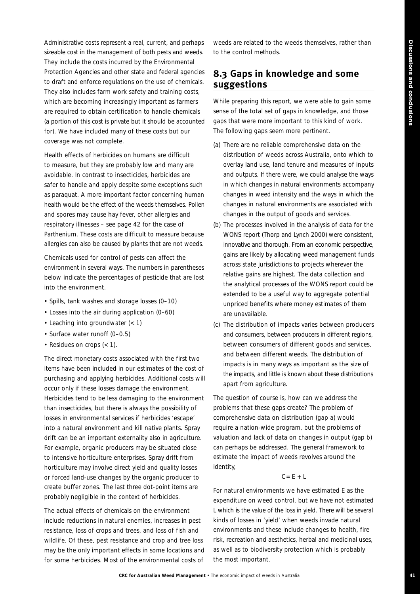Administrative costs represent a real, current, and perhaps sizeable cost in the management of both pests and weeds. They include the costs incurred by the Environmental Protection Agencies and other state and federal agencies to draft and enforce regulations on the use of chemicals. They also includes farm work safety and training costs, which are becoming increasingly important as farmers are required to obtain certification to handle chemicals (a portion of this cost is private but it should be accounted for). We have included many of these costs but our coverage was not complete.

Health effects of herbicides on humans are difficult to measure, but they are probably low and many are avoidable. In contrast to insecticides, herbicides are safer to handle and apply despite some exceptions such as paraquat. A more important factor concerning human health would be the effect of the weeds themselves. Pollen and spores may cause hay fever, other allergies and respiratory illnesses – see page 42 for the case of Parthenium. These costs are difficult to measure because allergies can also be caused by plants that are not weeds.

Chemicals used for control of pests can affect the environment in several ways. The numbers in parentheses below indicate the percentages of pesticide that are lost into the environment.

- Spills, tank washes and storage losses (0–10)
- Losses into the air during application (0–60)
- Leaching into groundwater (< 1)
- Surface water runoff (0–0.5)
- Residues on crops (< 1).

The direct monetary costs associated with the first two items have been included in our estimates of the cost of purchasing and applying herbicides. Additional costs will occur only if these losses damage the environment. Herbicides tend to be less damaging to the environment than insecticides, but there is always the possibility of losses in environmental services if herbicides 'escape' into a natural environment and kill native plants. Spray drift can be an important externality also in agriculture. For example, organic producers may be situated close to intensive horticulture enterprises. Spray drift from horticulture may involve direct yield and quality losses or forced land-use changes by the organic producer to create buffer zones. The last three dot-point items are probably negligible in the context of herbicides.

The actual effects of chemicals on the environment include reductions in natural enemies, increases in pest resistance, loss of crops and trees, and loss of fish and wildlife. Of these, pest resistance and crop and tree loss may be the only important effects in some locations and for some herbicides. Most of the environmental costs of

weeds are related to the weeds themselves, rather than to the control methods.

# **8.3 Gaps in knowledge and some suggestions**

While preparing this report, we were able to gain some sense of the total set of gaps in knowledge, and those gaps that were more important to this kind of work. The following gaps seem more pertinent.

- (a) There are no reliable comprehensive data on the distribution of weeds across Australia, onto which to overlay land use, land tenure and measures of inputs and outputs. If there were, we could analyse the ways in which changes in natural environments accompany changes in weed intensity and the ways in which the changes in natural environments are associated with changes in the output of goods and services.
- (b) The processes involved in the analysis of data for the WONS report (Thorp and Lynch 2000) were consistent, innovative and thorough. From an economic perspective, gains are likely by allocating weed management funds across state jurisdictions to projects wherever the relative gains are highest. The data collection and the analytical processes of the WONS report could be extended to be a useful way to aggregate potential unpriced benefits where money estimates of them are unavailable.
- (c) The distribution of impacts varies between producers and consumers, between producers in different regions, between consumers of different goods and services, and between different weeds. The distribution of impacts is in many ways as important as the size of the impacts, and little is known about these distributions apart from agriculture.

The question of course is, how can we address the problems that these gaps create? The problem of comprehensive data on distribution (gap a) would require a nation-wide program, but the problems of valuation and lack of data on changes in output (gap b) can perhaps be addressed. The general framework to estimate the impact of weeds revolves around the identity,

#### $C = E + L$

For natural environments we have estimated E as the expenditure on weed control, but we have not estimated L which is the value of the loss in yield. There will be several kinds of losses in 'yield' when weeds invade natural environments and these include changes to health, fire risk, recreation and aesthetics, herbal and medicinal uses, as well as to biodiversity protection which is probably the most important.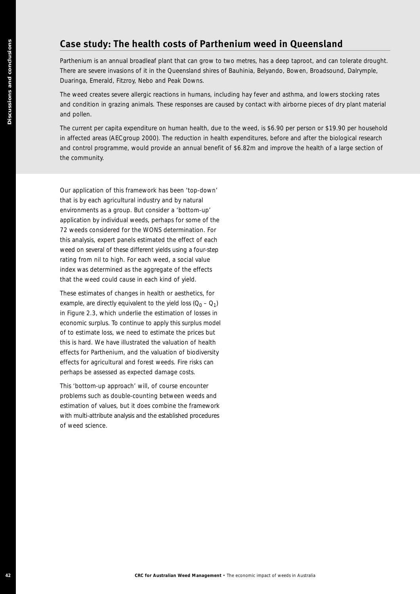# **Case study: The health costs of Parthenium weed in Queensland**

Parthenium is an annual broadleaf plant that can grow to two metres, has a deep taproot, and can tolerate drought. There are severe invasions of it in the Queensland shires of Bauhinia, Belyando, Bowen, Broadsound, Dalrymple, Duaringa, Emerald, Fitzroy, Nebo and Peak Downs.

The weed creates severe allergic reactions in humans, including hay fever and asthma, and lowers stocking rates and condition in grazing animals. These responses are caused by contact with airborne pieces of dry plant material and pollen.

The current per capita expenditure on human health, due to the weed, is \$6.90 per person or \$19.90 per household in affected areas (AECgroup 2000). The reduction in health expenditures, before and after the biological research and control programme, would provide an annual benefit of \$6.82m and improve the health of a large section of the community.

**Case study: The health costs of Parthenium weed in Queer**<br>Finlemanns an mean boarded part tal an yout to be related as even been. If<br>the minimizary reduction the properties in the economic filterinal particles in the seco Our application of this framework has been 'top-down' that is by each agricultural industry and by natural environments as a group. But consider a 'bottom-up' application by individual weeds, perhaps for some of the 72 weeds considered for the WONS determination. For this analysis, expert panels estimated the effect of each weed on several of these different yields using a four-step rating from nil to high. For each weed, a social value index was determined as the aggregate of the effects that the weed could cause in each kind of yield.

These estimates of changes in health or aesthetics, for example, are directly equivalent to the yield loss  $(Q_0 - Q_1)$ in Figure 2.3, which underlie the estimation of losses in economic surplus. To continue to apply this surplus model of to estimate loss, we need to estimate the prices but this is hard. We have illustrated the valuation of health effects for Parthenium, and the valuation of biodiversity effects for agricultural and forest weeds. Fire risks can perhaps be assessed as expected damage costs.

This 'bottom-up approach' will, of course encounter problems such as double-counting between weeds and estimation of values, but it does combine the framework with multi-attribute analysis and the established procedures of weed science.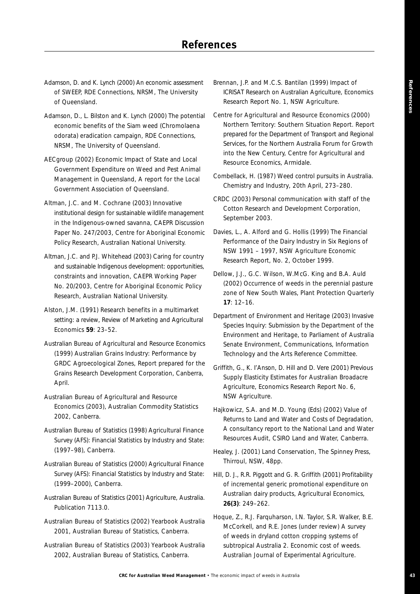- Adamson, D. and K. Lynch (2000) An economic assessment of SWEEP, RDE Connections, NRSM, The University of Queensland.
- Adamson, D., L. Bilston and K. Lynch (2000) The potential economic benefits of the Siam weed (*Chromolaena odorata*) eradication campaign, RDE Connections, NRSM, The University of Queensland.
- AECgroup (2002) Economic Impact of State and Local Government Expenditure on Weed and Pest Animal Management in Queensland, A report for the Local Government Association of Queensland.
- Altman, J.C. and M. Cochrane (2003) Innovative institutional design for sustainable wildlife management in the Indigenous-owned savanna, CAEPR Discussion Paper No. 247/2003, Centre for Aboriginal Economic Policy Research, Australian National University.
- Altman, J.C. and P.J. Whitehead (2003) Caring for country and sustainable Indigenous development: opportunities, constraints and innovation, CAEPR Working Paper No. 20/2003, Centre for Aboriginal Economic Policy Research, Australian National University.
- Alston, J.M. (1991) Research benefits in a multimarket setting: a review, *Review of Marketing and Agricultural Economics* **59**: 23–52.
- Australian Bureau of Agricultural and Resource Economics (1999) Australian Grains Industry: Performance by GRDC Agroecological Zones, Report prepared for the Grains Research Development Corporation, Canberra, April.
- Australian Bureau of Agricultural and Resource Economics (2003), *Australian Commodity Statistics 2002*, Canberra.
- Australian Bureau of Statistics (1998) *Agricultural Finance Survey (AFS): Financial Statistics by Industry and State: (1997–98)*, Canberra.
- Australian Bureau of Statistics (2000) *Agricultural Finance Survey (AFS): Financial Statistics by Industry and State: (1999–2000)*, Canberra.
- Australian Bureau of Statistics (2001) *Agriculture, Australia*. Publication 7113.0.
- Australian Bureau of Statistics (2002) *Yearbook Australia 2001*, Australian Bureau of Statistics, Canberra.
- Australian Bureau of Statistics (2003) *Yearbook Australia 2002*, Australian Bureau of Statistics, Canberra.
- Brennan, J.P. and M.C.S. Bantilan (1999) *Impact of ICRISAT Research on Australian Agriculture*, Economics Research Report No. 1, NSW Agriculture.
- Centre for Agricultural and Resource Economics (2000) Northern Territory: Southern Situation Report. Report prepared for the Department of Transport and Regional Services, for the Northern Australia Forum for Growth into the New Century, Centre for Agricultural and Resource Economics, Armidale.
- Combellack, H. (1987) Weed control pursuits in Australia. *Chemistry and Industry*, 20th April, 273–280.
- CRDC (2003) Personal communication with staff of the Cotton Research and Development Corporation, September 2003.
- Davies, L., A. Alford and G. Hollis (1999) The Financial Performance of the Dairy Industry in Six Regions of NSW 1991 – 1997, NSW Agriculture Economic Research Report, No. 2, October 1999.
- Dellow, J.J., G.C. Wilson, W.McG. King and B.A. Auld (2002) Occurrence of weeds in the perennial pasture zone of New South Wales, *Plant Protection Quarterly* **17**: 12–16.
- Department of Environment and Heritage (2003) Invasive Species Inquiry: Submission by the Department of the Environment and Heritage, to Parliament of Australia Senate Environment, Communications, Information Technology and the Arts Reference Committee.
- Griffith, G., K. I'Anson, D. Hill and D. Vere (2001) Previous Supply Elasticity Estimates for Australian Broadacre Agriculture, Economics Research Report No. 6, NSW Agriculture.
- Hajkowicz, S.A. and M.D. Young (Eds) (2002) Value of Returns to Land and Water and Costs of Degradation, A consultancy report to the National Land and Water Resources Audit, CSIRO Land and Water, Canberra.
- Healey, J. (2001) *Land Conservation*, The Spinney Press, Thirroul, NSW, 48pp.
- Hill, D. J., R.R. Piggott and G. R. Griffith (2001) Profitability of incremental generic promotional expenditure on Australian dairy products, *Agricultural Economics*, **26(3)**: 249–262.
- Hoque, Z., R.J. Farquharson, I.N. Taylor, S.R. Walker, B.E. McCorkell, and R.E. Jones (under review) A survey of weeds in dryland cotton cropping systems of subtropical Australia 2. Economic cost of weeds. *Australian Journal of Experimental Agriculture*.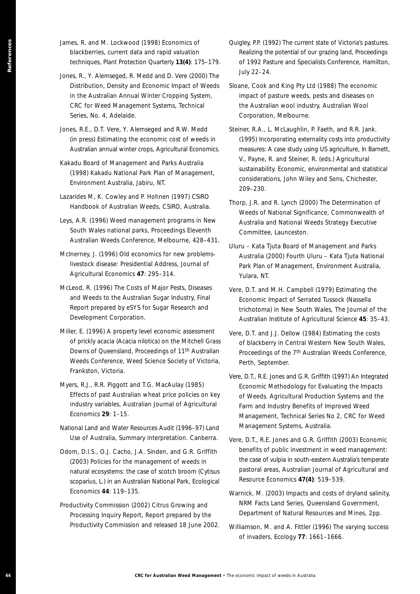- James, R. and M. Lockwood (1998) Economics of blackberries, current data and rapid valuation techniques, *Plant Protection Quarterly* **13(4)**: 175–179.
- Jones, R., Y. Alemseged, R. Medd and D. Vere (2000) *The Distribution, Density and Economic Impact of Weeds in the Australian Annual Winter Cropping System*, CRC for Weed Management Systems, Technical Series, No. 4, Adelaide.
- Jones, R.E., D.T. Vere, Y. Alemseged and R.W. Medd (in press) Estimating the economic cost of weeds in Australian annual winter crops, *Agricultural Economics*.
- Kakadu Board of Management and Parks Australia (1998) Kakadu National Park Plan of Management, Environment Australia, Jabiru, NT.
- Lazarides M, K. Cowley and P. Hohnen (1997) *CSIRO Handbook of Australian Weeds*, CSIRO, Australia.
- Leys, A.R. (1996) Weed management programs in New South Wales national parks, *Proceedings Eleventh Australian Weeds Conference*, Melbourne, 428–431.
- McInerney, J. (1996) Old economics for new problemslivestock disease: Presidential Address, *Journal of Agricultural Economics* **47**: 295–314.
- McLeod, R. (1996) The Costs of Major Pests, Diseases and Weeds to the Australian Sugar Industry, Final Report prepared by eSYS for Sugar Research and Development Corporation.
- Miller, E. (1996) A property level economic assessment of prickly acacia (Acacia nilotica) on the Mitchell Grass Downs of Queensland, *Proceedings of 11th Australian Weeds Conference*, Weed Science Society of Victoria, Frankston, Victoria.
- Myers, R.J., R.R. Piggott and T.G. MacAulay (1985) Effects of past Australian wheat price policies on key industry variables, *Australian Journal of Agricultural Economics* **29**: 1–15.
- National Land and Water Resources Audit (1996–97) Land Use of Australia, Summary interpretation. Canberra.
- **After Excel of Managementa CRC for Australia CRC statistics of weeds in the economic impact of weeds in Australia CRC for Australia CRC for Australia CRC for Australia CRC for Australia CRC for Australia CRC for Australia** Odom, D.I.S., O.J. Cacho, J.A. Sinden, and G.R. Griffith (2003) Policies for the management of weeds in natural ecosystems: the case of scotch broom (Cytisus scoparius, L.) in an Australian National Park, *Ecological Economics* **44**: 119–135.
	- Productivity Commission (2002) Citrus Growing and Processing Inquiry Report, Report prepared by the Productivity Commission and released 18 June 2002.
- Quigley, P.P. (1992) The current state of Victoria's pastures. Realizing the potential of our grazing land, *Proceedings of 1992 Pasture and Specialists Conference*, Hamilton, July 22–24.
- Sloane, Cook and King Pty Ltd (1988) The economic impact of pasture weeds, pests and diseases on the Australian wool industry, Australian Wool Corporation, Melbourne.
- Steiner, R.A., L. McLaughlin, P. Faeth, and R.R. Jank. (1995) Incorporating externality costs into productivity measures: A case study using US agriculture, In Barnett, V., Payne, R. and Steiner, R. (eds.) *Agricultural sustainability. Economic, environmental and statistical considerations*, John Wiley and Sons, Chichester, 209–230.
- Thorp, J.R. and R. Lynch (2000) The Determination of Weeds of National Significance, Commonwealth of Australia and National Weeds Strategy Executive Committee, Launceston.
- Uluru Kata Tjuta Board of Management and Parks Australia (2000) Fourth Uluru – Kata Tjuta National Park Plan of Management, Environment Australia, Yulara, NT.
- Vere, D.T. and M.H. Campbell (1979) Estimating the Economic Impact of Serrated Tussock (Nassella trichotoma) in New South Wales, *The Journal of the Australian Institute of Agricultural Science* **45**: 35–43.
- Vere, D.T. and J.J. Dellow (1984) Estimating the costs of blackberry in Central Western New South Wales, *Proceedings of the 7th Australian Weeds Conference*, Perth, September.
- Vere, D.T., R.E. Jones and G.R. Griffith (1997) An Integrated Economic Methodology for Evaluating the Impacts of Weeds. *Agricultural Production Systems and the Farm and Industry Benefits of Improved Weed Management*, Technical Series No 2, CRC for Weed Management Systems, Australia.
- Vere, D.T., R.E. Jones and G.R. Griffith (2003) Economic benefits of public investment in weed management: the case of vulpia in south-eastern Australia's temperate pastoral areas, *Australian Journal of Agricultural and Resource Economics* **47(4)**: 519–539.
- Warnick, M. (2003) Impacts and costs of dryland salinity, NRM Facts Land Series, Queensland Government, Department of Natural Resources and Mines, 2pp.
- Williamson, M. and A. Fittler (1996) The varying success of invaders, *Ecology* **77**: 1661–1666.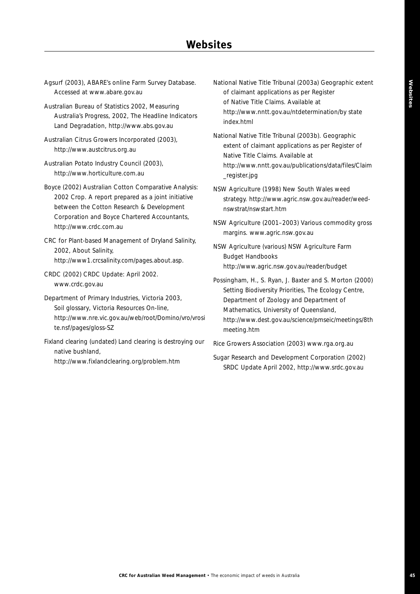- Agsurf (2003), ABARE's online Farm Survey Database. Accessed at www.abare.gov.au
- Australian Bureau of Statistics 2002, Measuring Australia's Progress, 2002, The Headline Indicators Land Degradation, http://www.abs.gov.au
- Australian Citrus Growers Incorporated (2003), http://www.austcitrus.org.au
- Australian Potato Industry Council (2003), http://www.horticulture.com.au
- Boyce (2002) Australian Cotton Comparative Analysis: 2002 Crop. A report prepared as a joint initiative between the Cotton Research & Development Corporation and Boyce Chartered Accountants, http://www.crdc.com.au
- CRC for Plant-based Management of Dryland Salinity, 2002, About Salinity, http://www1.crcsalinity.com/pages.about.asp.
- CRDC (2002) CRDC Update: April 2002. www.crdc.gov.au
- Department of Primary Industries, Victoria 2003, *Soil glossary*, Victoria Resources On-line, http://www.nre.vic.gov.au/web/root/Domino/vro/vrosi te.nsf/pages/gloss-SZ
- Fixland clearing (undated) Land clearing is destroying our native bushland, http://www.fixlandclearing.org/problem.htm
- National Native Title Tribunal (2003a) Geographic extent of claimant applications as per Register of Native Title Claims. Available at http://www.nntt.gov.au/ntdetermination/by state index.html
- National Native Title Tribunal (2003b). Geographic extent of claimant applications as per Register of Native Title Claims. Available at http://www.nntt.gov.au/publications/data/files/Claim \_register.jpg
- NSW Agriculture (1998) New South Wales weed strategy. http://www.agric.nsw.gov.au/reader/weednswstrat/nswstart.htm
- NSW Agriculture (2001–2003) Various commodity gross margins. www.agric.nsw.gov.au
- NSW Agriculture (various) *NSW Agriculture Farm Budget Handbooks* http://www.agric.nsw.gov.au/reader/budget
- Possingham, H., S. Ryan, J. Baxter and S. Morton (2000) *Setting Biodiversity Priorities*, The Ecology Centre, Department of Zoology and Department of Mathematics, University of Queensland, http://www.dest.gov.au/science/pmseic/meetings/8th meeting.htm

Rice Growers Association (2003) www.rga.org.au

Sugar Research and Development Corporation (2002) SRDC Update April 2002, http://www.srdc.gov.au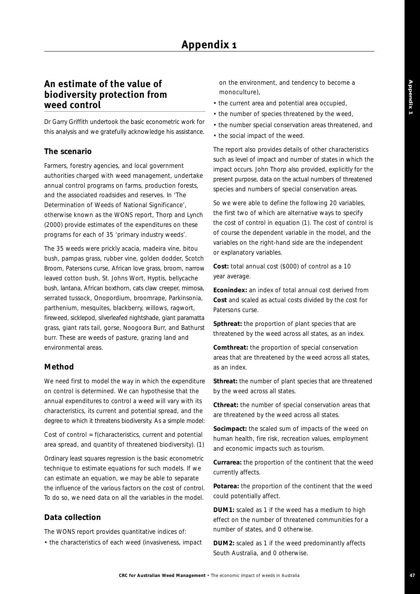# **An estimate of the value of biodiversity protection from weed control**

Dr Garry Griffith undertook the basic econometric work for this analysis and we gratefully acknowledge his assistance.

#### **The scenario**

Farmers, forestry agencies, and local government authorities charged with weed management, undertake annual control programs on farms, production forests, and the associated roadsides and reserves. In 'The Determination of Weeds of National Significance', otherwise known as the WONS report, Thorp and Lynch (2000) provide estimates of the expenditures on these programs for each of 35 'primary industry weeds'.

The 35 weeds were prickly acacia, madeira vine, bitou bush, pampas grass, rubber vine, golden dodder, Scotch Broom, Patersons curse, African love grass, broom, narrow leaved cotton bush, St. Johns Wort, Hyptis, bellycache bush, lantana, African boxthorn, cats claw creeper, mimosa, serrated tussock, Onopordium, broomrape, Parkinsonia, parthenium, mesquites, blackberry, willows, ragwort, fireweed, sicklepod, silverleafed nightshade, giant paramatta grass, giant rats tail, gorse, Noogoora Burr, and Bathurst burr. These are weeds of pasture, grazing land and environmental areas.

#### **Method**

We need first to model the way in which the expenditure on control is determined. We can hypothesise that the annual expenditures to control a weed will vary with its characteristics, its current and potential spread, and the degree to which it threatens biodiversity. As a simple model:

Cost of control = f(characteristics, current and potential area spread, and quantity of threatened biodiversity). (1)

Ordinary least squares regression is the basic econometric technique to estimate equations for such models. If we can estimate an equation, we may be able to separate the influence of the various factors on the cost of control. To do so, we need data on all the variables in the model.

#### **Data collection**

The WONS report provides quantitative indices of:

• the characteristics of each weed (invasiveness, impact

on the environment, and tendency to become a monoculture),

- the current area and potential area occupied,
- the number of species threatened by the weed,
- the number special conservation areas threatened, and
- the social impact of the weed.

The report also provides details of other characteristics such as level of impact and number of states in which the impact occurs. John Thorp also provided, explicitly for the present purpose, data on the actual numbers of threatened species and numbers of special conservation areas.

So we were able to define the following 20 variables, the first two of which are alternative ways to specify the cost of control in equation (1). The cost of control is of course the dependent variable in the model, and the variables on the right-hand side are the independent or explanatory variables.

**Cost:** total annual cost (\$000) of control as a 10 year average.

**Econindex:** an index of total annual cost derived from **Cost** and scaled as actual costs divided by the cost for Patersons curse.

**Spthreat:** the proportion of plant species that are threatened by the weed across all states, as an index.

**Comthreat:** the proportion of special conservation areas that are threatened by the weed across all states, as an index.

**Sthreat:** the number of plant species that are threatened by the weed across all states.

**Cthreat:** the number of special conservation areas that are threatened by the weed across all states.

**Socimpact:** the scaled sum of impacts of the weed on human health, fire risk, recreation values, employment and economic impacts such as tourism.

**Currarea:** the proportion of the continent that the weed currently affects.

**Potarea:** the proportion of the continent that the weed could potentially affect.

**DUM1:** scaled as 1 if the weed has a medium to high effect on the number of threatened communities for a number of states, and 0 otherwise.

**DUM2:** scaled as 1 if the weed predominantly affects South Australia, and 0 otherwise.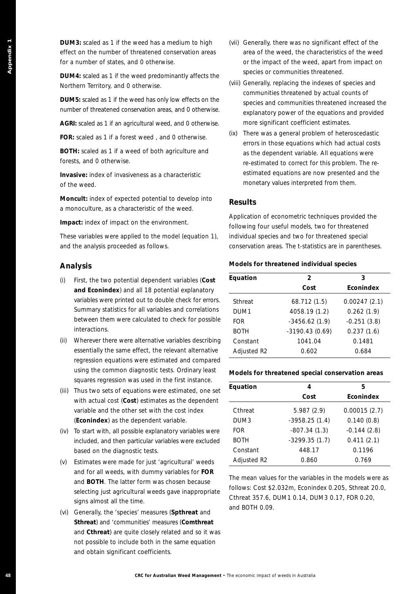**DUM3:** scaled as 1 if the weed has a medium to high effect on the number of threatened conservation areas for a number of states, and 0 otherwise.

**DUM4:** scaled as 1 if the weed predominantly affects the Northern Territory, and 0 otherwise.

**DUM5:** scaled as 1 if the weed has only low effects on the number of threatened conservation areas, and 0 otherwise.

**AGRI:** scaled as 1 if an agricultural weed, and 0 otherwise.

**FOR:** scaled as 1 if a forest weed , and 0 otherwise.

**BOTH:** scaled as 1 if a weed of both agriculture and forests, and 0 otherwise.

**Invasive:** index of invasiveness as a characteristic of the weed.

**Moncult:** index of expected potential to develop into a monoculture, as a characteristic of the weed.

**Impact:** index of impact on the environment.

These variables were applied to the model (equation 1), and the analysis proceeded as follows.

#### **Analysis**

- **EXERCT AUSTRALIA CONSUMERATION** (ACTUAL AUSTRALIA CONSUMERATION CONSUMERATION CONSUMERATION CONSUMERATION CONSUMERATION CONSUMERATION CONSUMERATION CONSUMERATION CONSUMERATION CONSUMERATION CONSUMERATION CONSUMERATION CO (i) First, the two potential dependent variables (**Cost and Econindex**) and all 18 potential explanatory variables were printed out to double check for errors. Summary statistics for all variables and correlations between them were calculated to check for possible interactions.
	- (ii) Wherever there were alternative variables describing essentially the same effect, the relevant alternative regression equations were estimated and compared using the common diagnostic tests. Ordinary least squares regression was used in the first instance.
	- (iii) Thus two sets of equations were estimated, one set with actual cost (**Cost**) estimates as the dependent variable and the other set with the cost index (**Econindex**) as the dependent variable.
	- (iv) To start with, all possible explanatory variables were included, and then particular variables were excluded based on the diagnostic tests.
	- (v) Estimates were made for just 'agricultural' weeds and for all weeds, with dummy variables for **FOR** and **BOTH**. The latter form was chosen because selecting just agricultural weeds gave inappropriate signs almost all the time.
	- (vi) Generally, the 'species' measures (**Spthreat** and **Sthreat**) and 'communities' measures (**Comthreat** and **Cthreat**) are quite closely related and so it was not possible to include both in the same equation and obtain significant coefficients.
- (vii) Generally, there was no significant effect of the area of the weed, the characteristics of the weed or the impact of the weed, apart from impact on species or communities threatened.
- (viii) Generally, replacing the indexes of species and communities threatened by actual counts of species and communities threatened increased the explanatory power of the equations and provided more significant coefficient estimates.
- (ix) There was a general problem of heteroscedastic errors in those equations which had actual costs as the dependent variable. All equations were re-estimated to correct for this problem. The reestimated equations are now presented and the monetary values interpreted from them.

#### **Results**

Application of econometric techniques provided the following four useful models, two for threatened individual species and two for threatened special conservation areas. The t-statistics are in parentheses.

#### **Models for threatened individual species**

| Equation         | $\overline{2}$   | 3                |
|------------------|------------------|------------------|
|                  | Cost             | <b>Econindex</b> |
| Sthreat          | 68.712 (1.5)     | 0.00247(2.1)     |
| DUM <sub>1</sub> | 4058.19 (1.2)    | 0.262(1.9)       |
| FOR              | $-3456.62(1.9)$  | $-0.251(3.8)$    |
| <b>BOTH</b>      | $-3190.43(0.69)$ | 0.237(1.6)       |
| Constant         | 1041.04          | 0.1481           |
| Adjusted R2      | 0.602            | 0.684            |

#### **Models for threatened special conservation areas**

| Equation    | 4               | 5             |
|-------------|-----------------|---------------|
|             | Cost            | Econindex     |
| Cthreat     | 5.987(2.9)      | 0.00015(2.7)  |
| DUM3        | $-3958.25(1.4)$ | 0.140(0.8)    |
| <b>FOR</b>  | $-807.34(1.3)$  | $-0.144(2.8)$ |
| <b>BOTH</b> | $-3299.35(1.7)$ | 0.411(2.1)    |
| Constant    | 448.17          | 0.1196        |
| Adjusted R2 | 0.860           | 0.769         |

The mean values for the variables in the models were as follows: Cost \$2.032m, Econindex 0.205, Sthreat 20.0, Cthreat 357.6, DUM1 0.14, DUM3 0.17, FOR 0.20, and BOTH 0.09.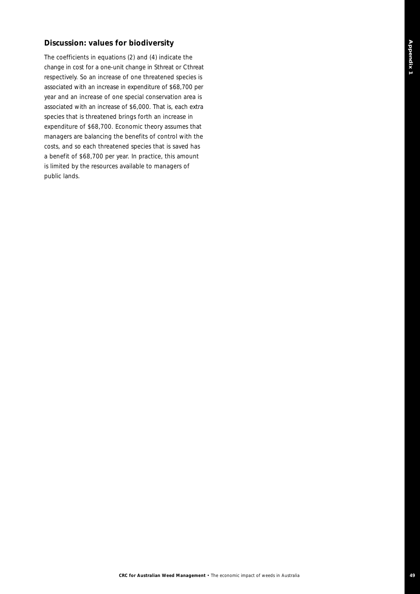#### **Discussion: values for biodiversity**

The coefficients in equations (2) and (4) indicate the change in cost for a one-unit change in Sthreat or Cthreat respectively. So an increase of one threatened species is associated with an increase in expenditure of \$68,700 per year and an increase of one special conservation area is associated with an increase of \$6,000. That is, each extra species that is threatened brings forth an increase in expenditure of \$68,700. Economic theory assumes that managers are balancing the benefits of control with the costs, and so each threatened species that is saved has a benefit of \$68,700 per year. In practice, this amount is limited by the resources available to managers of public lands.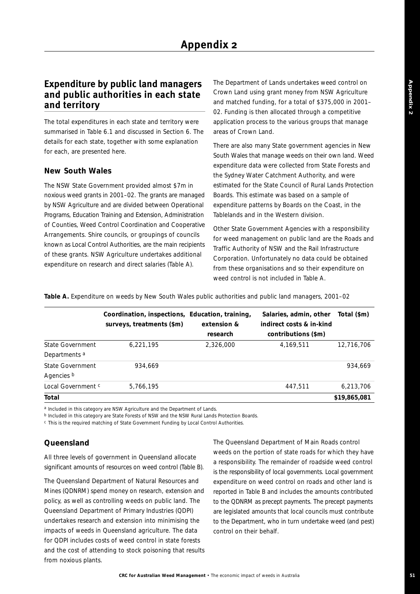# **Expenditure by public land managers and public authorities in each state and territory**

The total expenditures in each state and territory were summarised in Table 6.1 and discussed in Section 6. The details for each state, together with some explanation for each, are presented here.

#### **New South Wales**

The NSW State Government provided almost \$7m in noxious weed grants in 2001–02. The grants are managed by NSW Agriculture and are divided between Operational Programs, Education Training and Extension, Administration of Counties, Weed Control Coordination and Cooperative Arrangements. Shire councils, or groupings of councils known as Local Control Authorities, are the main recipients of these grants. NSW Agriculture undertakes additional expenditure on research and direct salaries (Table A).

The Department of Lands undertakes weed control on Crown Land using grant money from NSW Agriculture and matched funding, for a total of \$375,000 in 2001– 02. Funding is then allocated through a competitive application process to the various groups that manage areas of Crown Land.

There are also many State government agencies in New South Wales that manage weeds on their own land. Weed expenditure data were collected from State Forests and the Sydney Water Catchment Authority, and were estimated for the State Council of Rural Lands Protection Boards. This estimate was based on a sample of expenditure patterns by Boards on the Coast, in the Tablelands and in the Western division.

Other State Government Agencies with a responsibility for weed management on public land are the Roads and Traffic Authority of NSW and the Rail Infrastructure Corporation. Unfortunately no data could be obtained from these organisations and so their expenditure on weed control is not included in Table A.

**Table A.** Expenditure on weeds by New South Wales public authorities and public land managers, 2001–02

|                          | Coordination, inspections, Education, training,<br>surveys, treatments (\$m) | extension &<br>research | Salaries, admin, other<br>indirect costs & in-kind<br>contributions (\$m) | Total (\$m)  |
|--------------------------|------------------------------------------------------------------------------|-------------------------|---------------------------------------------------------------------------|--------------|
| State Government         | 6,221,195                                                                    | 2,326,000               | 4,169,511                                                                 | 12,716,706   |
| Departments <sup>a</sup> |                                                                              |                         |                                                                           |              |
| State Government         | 934.669                                                                      |                         |                                                                           | 934.669      |
| Agencies b               |                                                                              |                         |                                                                           |              |
| Local Government c       | 5,766,195                                                                    |                         | 447.511                                                                   | 6,213,706    |
| Total                    |                                                                              |                         |                                                                           | \$19,865,081 |

*a Included in this category are NSW Agriculture and the Department of Lands.*

*b Included in this category are State Forests of NSW and the NSW Rural Lands Protection Boards.*

*c This is the required matching of State Government Funding by Local Control Authorities.*

#### **Queensland**

All three levels of government in Queensland allocate significant amounts of resources on weed control (Table B).

The Queensland Department of Natural Resources and Mines (QDNRM) spend money on research, extension and policy, as well as controlling weeds on public land. The Queensland Department of Primary Industries (QDPI) undertakes research and extension into minimising the impacts of weeds in Queensland agriculture. The data for QDPI includes costs of weed control in state forests and the cost of attending to stock poisoning that results from noxious plants.

The Queensland Department of Main Roads control weeds on the portion of state roads for which they have a responsibility. The remainder of roadside weed control is the responsibility of local governments. Local government expenditure on weed control on roads and other land is reported in Table B and includes the amounts contributed to the QDNRM as precept payments. The precept payments are legislated amounts that local councils must contribute to the Department, who in turn undertake weed (and pest) control on their behalf.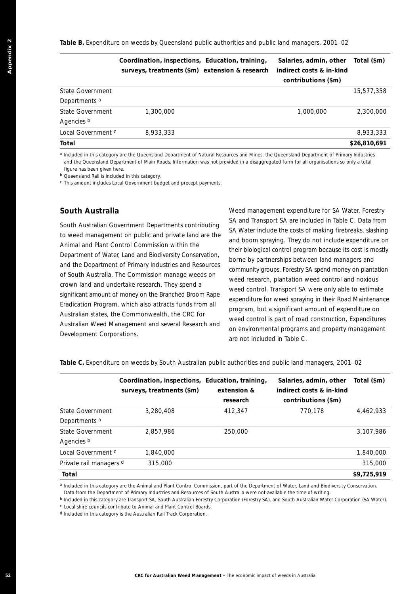**Table B.** Expenditure on weeds by Queensland public authorities and public land managers, 2001–02

|                          | Coordination, inspections, Education, training,<br>surveys, treatments (\$m) extension & research | Salaries, admin, other<br>indirect costs & in-kind<br>contributions (\$m) | Total (\$m)  |
|--------------------------|---------------------------------------------------------------------------------------------------|---------------------------------------------------------------------------|--------------|
| State Government         |                                                                                                   |                                                                           | 15,577,358   |
| Departments <sup>a</sup> |                                                                                                   |                                                                           |              |
| State Government         | 1,300,000                                                                                         | 1,000,000                                                                 | 2,300,000    |
| Agencies b               |                                                                                                   |                                                                           |              |
| Local Government c       | 8,933,333                                                                                         |                                                                           | 8,933,333    |
| Total                    |                                                                                                   |                                                                           | \$26,810,691 |

#### **South Australia**

| <b>State Government</b>                                                                                                                                                                                                                                                                                                   | surveys, treatments (\$m) extension & research                               | Coordination, inspections, Education, training, | Salaries, admin, other<br>indirect costs & in-kind<br>contributions (\$m)                                                               | Total (\$m)  |
|---------------------------------------------------------------------------------------------------------------------------------------------------------------------------------------------------------------------------------------------------------------------------------------------------------------------------|------------------------------------------------------------------------------|-------------------------------------------------|-----------------------------------------------------------------------------------------------------------------------------------------|--------------|
|                                                                                                                                                                                                                                                                                                                           |                                                                              |                                                 |                                                                                                                                         | 15,577,358   |
| Departments <sup>a</sup>                                                                                                                                                                                                                                                                                                  |                                                                              |                                                 |                                                                                                                                         |              |
| <b>State Government</b>                                                                                                                                                                                                                                                                                                   | 1,300,000                                                                    |                                                 | 1,000,000                                                                                                                               | 2,300,000    |
| Agencies b                                                                                                                                                                                                                                                                                                                |                                                                              |                                                 |                                                                                                                                         |              |
| Local Government <sup>c</sup>                                                                                                                                                                                                                                                                                             | 8,933,333                                                                    |                                                 |                                                                                                                                         | 8,933,333    |
| Total                                                                                                                                                                                                                                                                                                                     |                                                                              |                                                 |                                                                                                                                         | \$26,810,691 |
| a Included in this category are the Queensland Department of Natural Resources and Mines, the Queensland Department of Primary Industries<br>figure has been given here.<br><sup>b</sup> Queensland Rail is included in this category.<br><sup>c</sup> This amount includes Local Government budget and precept payments. |                                                                              |                                                 | and the Queensland Department of Main Roads. Information was not provided in a disaggregated form for all organisations so only a total |              |
| South Australia                                                                                                                                                                                                                                                                                                           |                                                                              |                                                 | Weed management expenditure for SA Water, Forestry                                                                                      |              |
| South Australian Government Departments contributing                                                                                                                                                                                                                                                                      |                                                                              |                                                 | SA and Transport SA are included in Table C. Data from                                                                                  |              |
| to weed management on public and private land are the                                                                                                                                                                                                                                                                     |                                                                              |                                                 | SA Water include the costs of making firebreaks, slashing                                                                               |              |
| Animal and Plant Control Commission within the                                                                                                                                                                                                                                                                            |                                                                              |                                                 | and boom spraying. They do not include expenditure on                                                                                   |              |
| Department of Water, Land and Biodiversity Conservation,                                                                                                                                                                                                                                                                  |                                                                              |                                                 | their biological control program because its cost is mostly                                                                             |              |
| and the Department of Primary Industries and Resources                                                                                                                                                                                                                                                                    |                                                                              |                                                 | borne by partnerships between land managers and                                                                                         |              |
| of South Australia. The Commission manage weeds on                                                                                                                                                                                                                                                                        |                                                                              |                                                 | community groups. Forestry SA spend money on plantation<br>weed research, plantation weed control and noxious                           |              |
| crown land and undertake research. They spend a                                                                                                                                                                                                                                                                           |                                                                              |                                                 | weed control. Transport SA were only able to estimate                                                                                   |              |
| significant amount of money on the Branched Broom Rape                                                                                                                                                                                                                                                                    |                                                                              |                                                 | expenditure for weed spraying in their Road Maintenance                                                                                 |              |
| Eradication Program, which also attracts funds from all                                                                                                                                                                                                                                                                   |                                                                              |                                                 | program, but a significant amount of expenditure on                                                                                     |              |
| Australian states, the Commonwealth, the CRC for                                                                                                                                                                                                                                                                          |                                                                              |                                                 | weed control is part of road construction, Expenditures                                                                                 |              |
| Australian Weed Management and several Research and                                                                                                                                                                                                                                                                       |                                                                              |                                                 | on environmental programs and property management                                                                                       |              |
| Development Corporations.                                                                                                                                                                                                                                                                                                 |                                                                              | are not included in Table C.                    |                                                                                                                                         |              |
| Table C. Expenditure on weeds by South Australian public authorities and public land managers, 2001-02                                                                                                                                                                                                                    |                                                                              |                                                 |                                                                                                                                         |              |
|                                                                                                                                                                                                                                                                                                                           | Coordination, inspections, Education, training,<br>surveys, treatments (\$m) | extension &                                     | Salaries, admin, other<br>indirect costs & in-kind                                                                                      | Total (\$m)  |
|                                                                                                                                                                                                                                                                                                                           |                                                                              | research                                        | contributions (\$m)                                                                                                                     |              |
| State Government                                                                                                                                                                                                                                                                                                          | 3,280,408                                                                    | 412,347                                         | 770,178                                                                                                                                 | 4,462,933    |
| Departments <sup>a</sup>                                                                                                                                                                                                                                                                                                  |                                                                              |                                                 |                                                                                                                                         |              |
| <b>State Government</b><br>Agencies b                                                                                                                                                                                                                                                                                     | 2,857,986                                                                    | 250,000                                         |                                                                                                                                         | 3,107,986    |
| Local Government <sup>c</sup>                                                                                                                                                                                                                                                                                             | 1,840,000                                                                    |                                                 |                                                                                                                                         | 1,840,000    |
|                                                                                                                                                                                                                                                                                                                           | 315,000                                                                      |                                                 |                                                                                                                                         | 315,000      |
| Private rail managers d                                                                                                                                                                                                                                                                                                   |                                                                              |                                                 |                                                                                                                                         | \$9,725,919  |
| Total                                                                                                                                                                                                                                                                                                                     |                                                                              |                                                 |                                                                                                                                         |              |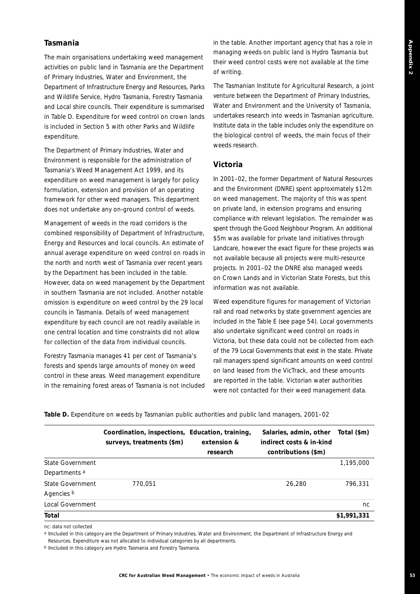#### **Tasmania**

The main organisations undertaking weed management activities on public land in Tasmania are the Department of Primary Industries, Water and Environment, the Department of Infrastructure Energy and Resources, Parks and Wildlife Service, Hydro Tasmania, Forestry Tasmania and Local shire councils. Their expenditure is summarised in Table D. Expenditure for weed control on crown lands is included in Section 5 with other Parks and Wildlife expenditure.

The Department of Primary Industries, Water and Environment is responsible for the administration of Tasmania's Weed Management Act 1999, and its expenditure on weed management is largely for policy formulation, extension and provision of an operating framework for other weed managers. This department does not undertake any on-ground control of weeds.

Management of weeds in the road corridors is the combined responsibility of Department of Infrastructure, Energy and Resources and local councils. An estimate of annual average expenditure on weed control on roads in the north and north west of Tasmania over recent years by the Department has been included in the table. However, data on weed management by the Department in southern Tasmania are not included. Another notable omission is expenditure on weed control by the 29 local councils in Tasmania. Details of weed management expenditure by each council are not readily available in one central location and time constraints did not allow for collection of the data from individual councils.

Forestry Tasmania manages 41 per cent of Tasmania's forests and spends large amounts of money on weed control in these areas. Weed management expenditure in the remaining forest areas of Tasmania is not included in the table. Another important agency that has a role in managing weeds on public land is Hydro Tasmania but their weed control costs were not available at the time of writing.

The Tasmanian Institute for Agricultural Research, a joint venture between the Department of Primary Industries, Water and Environment and the University of Tasmania, undertakes research into weeds in Tasmanian agriculture. Institute data in the table includes only the expenditure on the biological control of weeds, the main focus of their weeds research.

#### **Victoria**

In 2001–02, the former Department of Natural Resources and the Environment (DNRE) spent approximately \$12m on weed management. The majority of this was spent on private land, in extension programs and ensuring compliance with relevant legislation. The remainder was spent through the Good Neighbour Program. An additional \$5m was available for private land initiatives through Landcare, however the exact figure for these projects was not available because all projects were multi-resource projects. In 2001–02 the DNRE also managed weeds on Crown Lands and in Victorian State Forests, but this information was not available.

Weed expenditure figures for management of Victorian rail and road networks by state government agencies are included in the Table E (see page 54). Local governments also undertake significant weed control on roads in Victoria, but these data could not be collected from each of the 79 Local Governments that exist in the state. Private rail managers spend significant amounts on weed control on land leased from the VicTrack, and these amounts are reported in the table. Victorian water authorities were not contacted for their weed management data.

|                                              | Coordination, inspections, Education, training, |                         | Salaries, admin, other                          | Total (\$m) |
|----------------------------------------------|-------------------------------------------------|-------------------------|-------------------------------------------------|-------------|
|                                              | surveys, treatments (\$m)                       | extension &<br>research | indirect costs & in-kind<br>contributions (\$m) |             |
| State Government<br>Departments <sup>a</sup> |                                                 |                         |                                                 | 1,195,000   |
| State Government<br>Agencies b               | 770.051                                         |                         | 26,280                                          | 796.331     |
| Local Government                             |                                                 |                         |                                                 | nc          |
| Total                                        |                                                 |                         |                                                 | \$1,991,331 |

**Table D.** Expenditure on weeds by Tasmanian public authorities and public land managers, 2001–02

*nc: data not collected*

*a IIncluded in this category are the Department of Primary Industries, Water and Environment, the Department of Infrastructure Energy and Resources. Expenditure was not allocated to individual categories by all departments.*

*b IIncluded in this category are Hydro Tasmania and Forestry Tasmania.*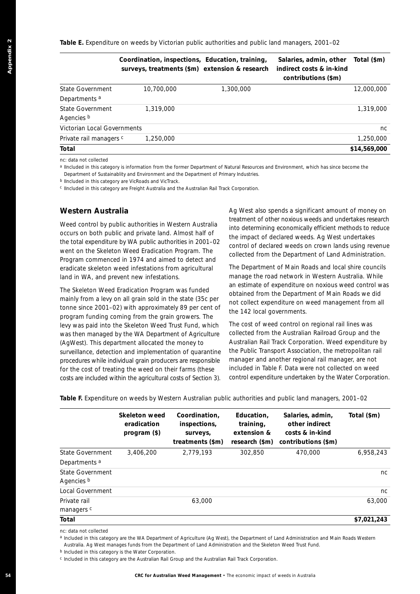**Table E.** Expenditure on weeds by Victorian public authorities and public land managers, 2001–02

|                                | Coordination, inspections, Education, training,<br>surveys, treatments (\$m) extension & research |           | Salaries, admin, other<br>indirect costs & in-kind<br>contributions (\$m) | Total (\$m)  |
|--------------------------------|---------------------------------------------------------------------------------------------------|-----------|---------------------------------------------------------------------------|--------------|
| State Government               | 10,700,000                                                                                        | 1,300,000 |                                                                           | 12,000,000   |
| Departments a                  |                                                                                                   |           |                                                                           |              |
| State Government<br>Agencies b | 1,319,000                                                                                         |           |                                                                           | 1,319,000    |
| Victorian Local Governments    |                                                                                                   |           |                                                                           | nc.          |
| Private rail managers c        | 1,250,000                                                                                         |           |                                                                           | 1,250,000    |
| Total                          |                                                                                                   |           |                                                                           | \$14,569,000 |

#### **Western Australia**

|                                                                                                                                                                                                                                                                                                                                                                                                                                                                                   | Coordination, inspections, Education, training,<br>surveys, treatments (\$m) extension & research                                                                                                                                                                                         |                                                               |        |                                                                                                                                                                                                                                                                                              | Salaries, admin, other<br>indirect costs & in-kind<br>contributions (\$m)                                                                                                                                                                                                                                                                                                                                  | Total (\$m)  |
|-----------------------------------------------------------------------------------------------------------------------------------------------------------------------------------------------------------------------------------------------------------------------------------------------------------------------------------------------------------------------------------------------------------------------------------------------------------------------------------|-------------------------------------------------------------------------------------------------------------------------------------------------------------------------------------------------------------------------------------------------------------------------------------------|---------------------------------------------------------------|--------|----------------------------------------------------------------------------------------------------------------------------------------------------------------------------------------------------------------------------------------------------------------------------------------------|------------------------------------------------------------------------------------------------------------------------------------------------------------------------------------------------------------------------------------------------------------------------------------------------------------------------------------------------------------------------------------------------------------|--------------|
| <b>State Government</b><br>Departments <sup>a</sup>                                                                                                                                                                                                                                                                                                                                                                                                                               | 10,700,000                                                                                                                                                                                                                                                                                |                                                               |        | 1,300,000                                                                                                                                                                                                                                                                                    |                                                                                                                                                                                                                                                                                                                                                                                                            | 12,000,000   |
| <b>State Government</b><br>Agencies b                                                                                                                                                                                                                                                                                                                                                                                                                                             | 1,319,000                                                                                                                                                                                                                                                                                 |                                                               |        |                                                                                                                                                                                                                                                                                              |                                                                                                                                                                                                                                                                                                                                                                                                            | 1,319,000    |
| Victorian Local Governments                                                                                                                                                                                                                                                                                                                                                                                                                                                       |                                                                                                                                                                                                                                                                                           |                                                               |        |                                                                                                                                                                                                                                                                                              |                                                                                                                                                                                                                                                                                                                                                                                                            | nc           |
| Private rail managers c                                                                                                                                                                                                                                                                                                                                                                                                                                                           | 1,250,000                                                                                                                                                                                                                                                                                 |                                                               |        |                                                                                                                                                                                                                                                                                              |                                                                                                                                                                                                                                                                                                                                                                                                            | 1,250,000    |
| Total                                                                                                                                                                                                                                                                                                                                                                                                                                                                             |                                                                                                                                                                                                                                                                                           |                                                               |        |                                                                                                                                                                                                                                                                                              |                                                                                                                                                                                                                                                                                                                                                                                                            | \$14,569,000 |
| nc: data not collected<br>Department of Sustainablity and Environment and the Department of Primary Industries.<br><sup>b</sup> IIncluded in this category are VicRoads and VicTrack.<br>c Ilncluded in this category are Freight Australia and the Australian Rail Track Corporation.                                                                                                                                                                                            |                                                                                                                                                                                                                                                                                           |                                                               |        |                                                                                                                                                                                                                                                                                              | a Ilncluded in this category is information from the former Department of Natural Resources and Environment, which has since become the                                                                                                                                                                                                                                                                    |              |
| <b>Western Australia</b>                                                                                                                                                                                                                                                                                                                                                                                                                                                          |                                                                                                                                                                                                                                                                                           |                                                               |        |                                                                                                                                                                                                                                                                                              | Ag West also spends a significant amount of money on                                                                                                                                                                                                                                                                                                                                                       |              |
|                                                                                                                                                                                                                                                                                                                                                                                                                                                                                   | Weed control by public authorities in Western Australia<br>occurs on both public and private land. Almost half of<br>the total expenditure by WA public authorities in 2001-02<br>went on the Skeleton Weed Eradication Program. The<br>Program commenced in 1974 and aimed to detect and |                                                               |        | treatment of other noxious weeds and undertakes research<br>into determining economically efficient methods to reduce<br>the impact of declared weeds. Ag West undertakes<br>control of declared weeds on crown lands using revenue<br>collected from the Department of Land Administration. |                                                                                                                                                                                                                                                                                                                                                                                                            |              |
| eradicate skeleton weed infestations from agricultural<br>land in WA, and prevent new infestations.<br>The Skeleton Weed Eradication Program was funded<br>mainly from a levy on all grain sold in the state (35c per<br>tonne since 2001-02) with approximately 89 per cent of                                                                                                                                                                                                   |                                                                                                                                                                                                                                                                                           |                                                               |        |                                                                                                                                                                                                                                                                                              | The Department of Main Roads and local shire councils<br>manage the road network in Western Australia. While<br>an estimate of expenditure on noxious weed control was<br>obtained from the Department of Main Roads we did<br>not collect expenditure on weed management from all                                                                                                                         |              |
| program funding coming from the grain growers. The<br>levy was paid into the Skeleton Weed Trust Fund, which<br>was then managed by the WA Department of Agriculture<br>(AgWest). This department allocated the money to<br>surveillance, detection and implementation of quarantine<br>procedures while individual grain producers are responsible<br>for the cost of treating the weed on their farms (these<br>costs are included within the agricultural costs of Section 3). |                                                                                                                                                                                                                                                                                           |                                                               |        | the 142 local governments.                                                                                                                                                                                                                                                                   | The cost of weed control on regional rail lines was<br>collected from the Australian Railroad Group and the<br>Australian Rail Track Corporation. Weed expenditure by<br>the Public Transport Association, the metropolitan rail<br>manager and another regional rail manager, are not<br>included in Table F. Data were not collected on weed<br>control expenditure undertaken by the Water Corporation. |              |
|                                                                                                                                                                                                                                                                                                                                                                                                                                                                                   |                                                                                                                                                                                                                                                                                           |                                                               |        |                                                                                                                                                                                                                                                                                              | Table F. Expenditure on weeds by Western Australian public authorities and public land managers, 2001-02                                                                                                                                                                                                                                                                                                   |              |
|                                                                                                                                                                                                                                                                                                                                                                                                                                                                                   | <b>Skeleton weed</b><br>eradication<br>program (\$)                                                                                                                                                                                                                                       | Coordination,<br>inspections,<br>surveys,<br>treatments (\$m) |        | Education,<br>training,<br>extension &<br>research (\$m)                                                                                                                                                                                                                                     | Salaries, admin,<br>other indirect<br>costs & in-kind<br>contributions (\$m)                                                                                                                                                                                                                                                                                                                               | Total (\$m)  |
| State Government                                                                                                                                                                                                                                                                                                                                                                                                                                                                  | 3,406,200                                                                                                                                                                                                                                                                                 | 2,779,193                                                     |        | 302,850                                                                                                                                                                                                                                                                                      | 470,000                                                                                                                                                                                                                                                                                                                                                                                                    | 6,958,243    |
| Departments <sup>a</sup>                                                                                                                                                                                                                                                                                                                                                                                                                                                          |                                                                                                                                                                                                                                                                                           |                                                               |        |                                                                                                                                                                                                                                                                                              |                                                                                                                                                                                                                                                                                                                                                                                                            |              |
| <b>State Government</b>                                                                                                                                                                                                                                                                                                                                                                                                                                                           |                                                                                                                                                                                                                                                                                           |                                                               |        |                                                                                                                                                                                                                                                                                              |                                                                                                                                                                                                                                                                                                                                                                                                            | nc           |
| Agencies b<br>Local Government                                                                                                                                                                                                                                                                                                                                                                                                                                                    |                                                                                                                                                                                                                                                                                           |                                                               |        |                                                                                                                                                                                                                                                                                              |                                                                                                                                                                                                                                                                                                                                                                                                            |              |
| Private rail                                                                                                                                                                                                                                                                                                                                                                                                                                                                      |                                                                                                                                                                                                                                                                                           |                                                               | 63,000 |                                                                                                                                                                                                                                                                                              |                                                                                                                                                                                                                                                                                                                                                                                                            | nc<br>63,000 |
| managers c                                                                                                                                                                                                                                                                                                                                                                                                                                                                        |                                                                                                                                                                                                                                                                                           |                                                               |        |                                                                                                                                                                                                                                                                                              |                                                                                                                                                                                                                                                                                                                                                                                                            |              |
| Total                                                                                                                                                                                                                                                                                                                                                                                                                                                                             |                                                                                                                                                                                                                                                                                           |                                                               |        |                                                                                                                                                                                                                                                                                              |                                                                                                                                                                                                                                                                                                                                                                                                            | \$7,021,243  |
| nc: data not collected<br>Australia. Ag West manages funds from the Department of Land Administration and the Skeleton Weed Trust Fund.<br><sup>b</sup> Included in this category is the Water Corporation.<br>c Included in this category are the Australian Rail Group and the Australian Rail Track Corporation.                                                                                                                                                               |                                                                                                                                                                                                                                                                                           |                                                               |        |                                                                                                                                                                                                                                                                                              | a Included in this category are the WA Department of Agriculture (Ag West), the Department of Land Administration and Main Roads Western                                                                                                                                                                                                                                                                   |              |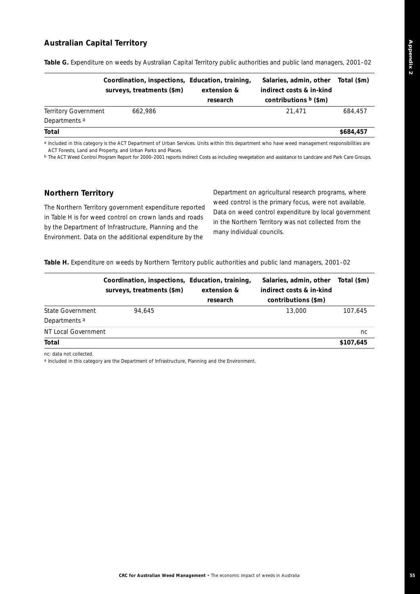## **Australian Capital Territory**

|                             | Coordination, inspections, Education, training,<br>surveys, treatments (\$m) | extension &<br>research | Salaries, admin, other<br>indirect costs & in-kind<br>contributions $b$ (\$m) | Total (\$m) |
|-----------------------------|------------------------------------------------------------------------------|-------------------------|-------------------------------------------------------------------------------|-------------|
| <b>Territory Government</b> | 662.986                                                                      |                         | 21.471                                                                        | 684.457     |
| Departments <sup>a</sup>    |                                                                              |                         |                                                                               |             |
| Total                       |                                                                              |                         |                                                                               | \$684,457   |

**Table G.** Expenditure on weeds by Australian Capital Territory public authorities and public land managers, 2001–02

*a Included in this category is the ACT Department of Urban Services. Units within this department who have weed management responsibilities are ACT Forests, Land and Property, and Urban Parks and Places.*

*b The ACT Weed Control Program Report for 2000–2001 reports Indirect Costs as including revegetation and assistance to Landcare and Park Care Groups.*

#### **Northern Territory**

The Northern Territory government expenditure reported in Table H is for weed control on crown lands and roads by the Department of Infrastructure, Planning and the Environment. Data on the additional expenditure by the

Department on agricultural research programs, where weed control is the primary focus, were not available. Data on weed control expenditure by local government in the Northern Territory was not collected from the many individual councils.

Table H. Expenditure on weeds by Northern Territory public authorities and public land managers, 2001–02

|                          | Coordination, inspections, Education, training,<br>surveys, treatments (\$m) | extension &<br>research | Salaries, admin, other<br>indirect costs & in-kind<br>contributions (\$m) | Total (\$m) |
|--------------------------|------------------------------------------------------------------------------|-------------------------|---------------------------------------------------------------------------|-------------|
| State Government         | 94.645                                                                       |                         | 13,000                                                                    | 107.645     |
| Departments <sup>a</sup> |                                                                              |                         |                                                                           |             |
| NT Local Government      |                                                                              |                         |                                                                           | nc          |
| Total                    |                                                                              |                         |                                                                           | \$107,645   |

*nc: data not collected.*

*a Included in this category are the Department of Infrastructure, Planning and the Environment.*